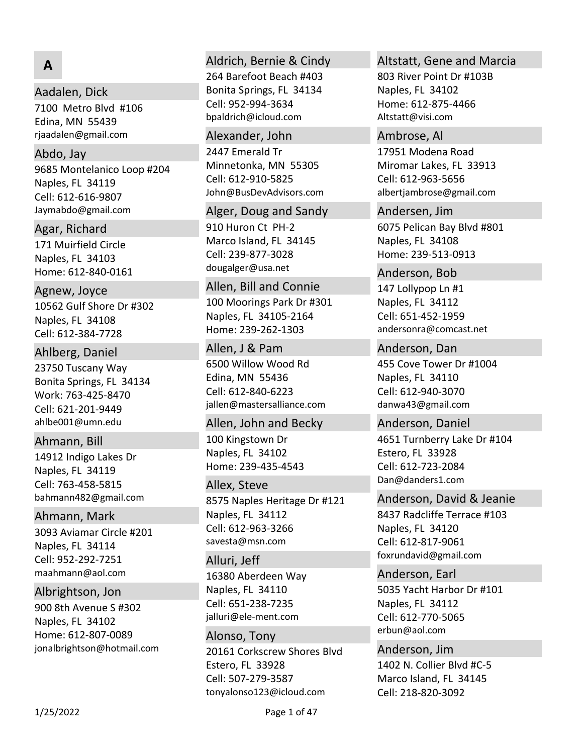# **A**

### Aadalen, Dick

7100 Metro Blvd #106 Edina, MN 55439 rjaadalen@gmail.com

#### Abdo, Jay

9685 Montelanico Loop #204 Naples, FL 34119 Jaymabdo@gmail.com Cell: 612‐616‐9807

Agar, Richard

171 Muirfield Circle Naples, FL 34103 Home: 612‐840‐0161

10562 Gulf Shore Dr #302 Naples, FL 34108 Agnew, Joyce Cell: 612‐384‐7728

#### Ahlberg, Daniel

23750 Tuscany Way Bonita Springs, FL 34134 Work: 763‐425‐8470 ahlbe001@umn.edu Cell: 621‐201‐9449

### Ahmann, Bill

14912 Indigo Lakes Dr Naples, FL 34119 bahmann482@gmail.com Cell: 763‐458‐5815

Ahmann, Mark

3093 Aviamar Circle #201 Naples, FL 34114 maahmann@aol.com Cell: 952‐292‐7251

900 8th Avenue S #302 Naples, FL 34102 Home: 612‐807‐0089 jonalbrightson@hotmail.com Albrightson, Jon

#### Aldrich, Bernie & Cindy

264 Barefoot Beach #403 Bonita Springs, FL 34134 bpaldrich@icloud.com Cell: 952‐994‐3634

#### Alexander, John

2447 Emerald Tr Minnetonka, MN 55305 John@BusDevAdvisors.com Cell: 612‐910‐5825

#### Alger, Doug and Sandy

910 Huron Ct PH‐2 Marco Island, FL 34145 dougalger@usa.net Cell: 239‐877‐3028

#### Allen, Bill and Connie

100 Moorings Park Dr #301 Naples, FL 34105‐2164 Home: 239‐262‐1303

6500 Willow Wood Rd Edina, MN 55436 jallen@mastersalliance.com Allen, J & Pam Cell: 612‐840‐6223

100 Kingstown Dr Naples, FL 34102 Home: 239‐435‐4543 Allen, John and Becky

#### Allex, Steve

8575 Naples Heritage Dr #121 Naples, FL 34112 savesta@msn.com Cell: 612‐963‐3266

16380 Aberdeen Way Naples, FL 34110 jalluri@ele‐ment.com Alluri, Jeff Cell: 651‐238‐7235

20161 Corkscrew Shores Blvd Estero, FL 33928 tonyalonso123@icloud.com Alonso, Tony Cell: 507‐279‐3587

#### Altstatt, Gene and Marcia

803 River Point Dr #103B Naples, FL 34102 Home: 612‐875‐4466 Altstatt@visi.com

17951 Modena Road Miromar Lakes, FL 33913 albertjambrose@gmail.com Ambrose, Al Cell: 612‐963‐5656

6075 Pelican Bay Blvd #801 Naples, FL 34108 Home: 239‐513‐0913 Andersen, Jim

147 Lollypop Ln #1 Naples, FL 34112 andersonra@comcast.net Anderson, Bob Cell: 651‐452‐1959

455 Cove Tower Dr #1004 Naples, FL 34110 danwa43@gmail.com Anderson, Dan Cell: 612‐940‐3070

4651 Turnberry Lake Dr #104 Estero, FL 33928 Dan@danders1.com Anderson, Daniel Cell: 612‐723‐2084

### Anderson, David & Jeanie

8437 Radcliffe Terrace #103 Naples, FL 34120 foxrundavid@gmail.com Cell: 612‐817‐9061

5035 Yacht Harbor Dr #101 Naples, FL 34112 erbun@aol.com Anderson, Earl Cell: 612‐770‐5065

1402 N. Collier Blvd #C‐5 Marco Island, FL 34145 Anderson, Jim Cell: 218‐820‐3092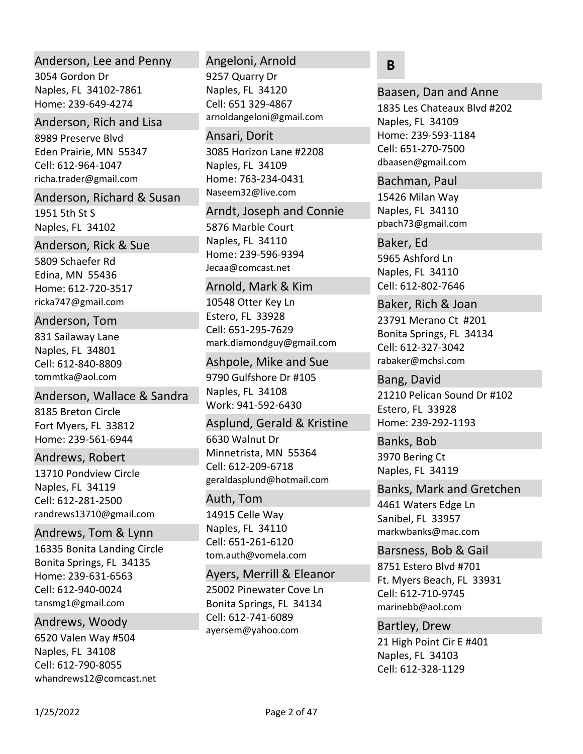### Anderson, Lee and Penny

3054 Gordon Dr Naples, FL 34102‐7861 Home: 239‐649‐4274

### Anderson, Rich and Lisa

8989 Preserve Blvd Eden Prairie, MN 55347 richa.trader@gmail.com Cell: 612‐964‐1047

#### Anderson, Richard & Susan

1951 5th St S Naples, FL 34102

#### Anderson, Rick & Sue

5809 Schaefer Rd Edina, MN 55436 Home: 612‐720‐3517 ricka747@gmail.com

### Anderson, Tom

831 Sailaway Lane Naples, FL 34801 tommtka@aol.com Cell: 612‐840‐8809

### Anderson, Wallace & Sandra

8185 Breton Circle Fort Myers, FL 33812 Home: 239‐561‐6944

### Andrews, Robert

13710 Pondview Circle Naples, FL 34119 randrews13710@gmail.com Cell: 612‐281‐2500

### Andrews, Tom & Lynn

16335 Bonita Landing Circle Bonita Springs, FL 34135 Home: 239‐631‐6563 tansmg1@gmail.com Cell: 612‐940‐0024

### Andrews, Woody

6520 Valen Way #504 Naples, FL 34108 whandrews12@comcast.net Cell: 612‐790‐8055

# Angeloni, Arnold

9257 Quarry Dr Naples, FL 34120 arnoldangeloni@gmail.com Cell: 651 329‐4867

# 3085 Horizon Lane #2208 Naples, FL 34109 Home: 763‐234‐0431 Naseem32@live.com Ansari, Dorit

5876 Marble Court Naples, FL 34110 Home: 239‐596‐9394 Jecaa@comcast.net Arndt, Joseph and Connie

### Arnold, Mark & Kim

10548 Otter Key Ln Estero, FL 33928 mark.diamondguy@gmail.com Cell: 651‐295‐7629

9790 Gulfshore Dr #105 Naples, FL 34108 Work: 941‐592‐6430 Ashpole, Mike and Sue

### Asplund, Gerald & Kristine

6630 Walnut Dr Minnetrista, MN 55364 geraldasplund@hotmail.com Cell: 612‐209‐6718

# Auth, Tom

14915 Celle Way Naples, FL 34110 tom.auth@vomela.com Cell: 651‐261‐6120

### Ayers, Merrill & Eleanor

25002 Pinewater Cove Ln Bonita Springs, FL 34134 ayersem@yahoo.com Cell: 612‐741‐6089

# **B**

1835 Les Chateaux Blvd #202 Naples, FL 34109 Home: 239‐593‐1184 dbaasen@gmail.com Baasen, Dan and Anne Cell: 651‐270‐7500

15426 Milan Way Naples, FL 34110 pbach73@gmail.com Bachman, Paul

### Baker, Ed

5965 Ashford Ln Naples, FL 34110 Cell: 612‐802‐7646

### Baker, Rich & Joan

23791 Merano Ct #201 Bonita Springs, FL 34134 rabaker@mchsi.com Cell: 612‐327‐3042

21210 Pelican Sound Dr #102 Estero, FL 33928 Home: 239‐292‐1193 Bang, David

3970 Bering Ct Naples, FL 34119 Banks, Bob

### Banks, Mark and Gretchen

4461 Waters Edge Ln Sanibel, FL 33957 markwbanks@mac.com

### Barsness, Bob & Gail

8751 Estero Blvd #701 Ft. Myers Beach, FL 33931 marinebb@aol.com Cell: 612‐710‐9745

### Bartley, Drew

21 High Point Cir E #401 Naples, FL 34103 Cell: 612‐328‐1129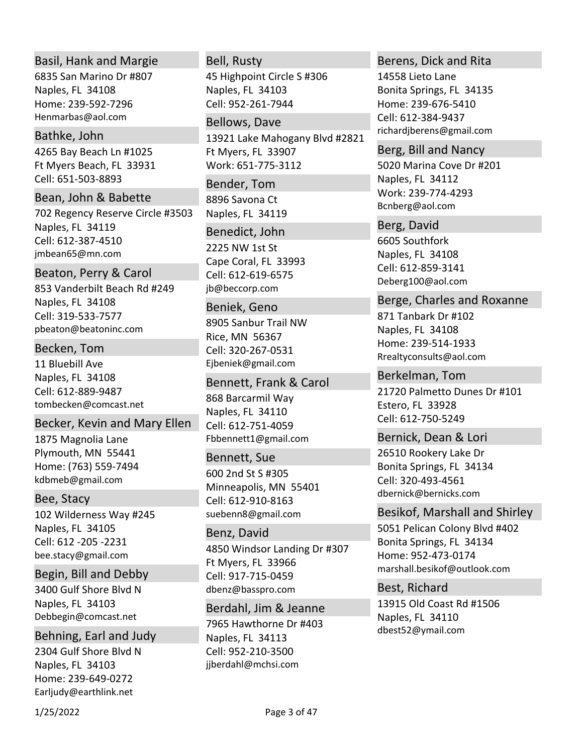# Basil, Hank and Margie

6835 San Marino Dr #807 Naples, FL 34108 Home: 239‐592‐7296 Henmarbas@aol.com

## Bathke, John

4265 Bay Beach Ln #1025 Ft Myers Beach, FL 33931 Cell: 651‐503‐8893

# Bean, John & Babette

702 Regency Reserve Circle #3503 Naples, FL 34119 jmbean65@mn.com Cell: 612‐387‐4510

# Beaton, Perry & Carol

853 Vanderbilt Beach Rd #249 Naples, FL 34108 pbeaton@beatoninc.com Cell: 319‐533‐7577

### Becken, Tom

11 Bluebill Ave Naples, FL 34108 tombecken@comcast.net Cell: 612‐889‐9487

# Becker, Kevin and Mary Ellen

1875 Magnolia Lane Plymouth, MN 55441 Home: (763) 559‐7494 kdbmeb@gmail.com

# Bee, Stacy

102 Wilderness Way #245 Naples, FL 34105 bee.stacy@gmail.com Cell: 612 ‐205 ‐2231

3400 Gulf Shore Blvd N Naples, FL 34103 Debbegin@comcast.net Begin, Bill and Debby

2304 Gulf Shore Blvd N Naples, FL 34103 Home: 239‐649‐0272 Earljudy@earthlink.net Behning, Earl and Judy

### Bell, Rusty

45 Highpoint Circle S #306 Naples, FL 34103 Cell: 952‐261‐7944

# Bellows, Dave

13921 Lake Mahogany Blvd #2821 Ft Myers, FL 33907 Work: 651‐775‐3112

8896 Savona Ct Naples, FL 34119 Bender, Tom

### Benedict, John

2225 NW 1st St Cape Coral, FL 33993 jb@beccorp.com Cell: 612‐619‐6575

### Beniek, Geno

8905 Sanbur Trail NW Rice, MN 56367 Ejbeniek@gmail.com Cell: 320‐267‐0531

### Bennett, Frank & Carol

868 Barcarmil Way Naples, FL 34110 Fbbennett1@gmail.com Cell: 612‐751‐4059

### Bennett, Sue

600 2nd St S #305 Minneapolis, MN 55401 suebenn8@gmail.com Cell: 612‐910‐8163

# Benz, David

4850 Windsor Landing Dr #307 Ft Myers, FL 33966 dbenz@basspro.com Cell: 917‐715‐0459

# Berdahl, Jim & Jeanne

7965 Hawthorne Dr #403 Naples, FL 34113 jjberdahl@mchsi.com Cell: 952‐210‐3500

### Berens, Dick and Rita

14558 Lieto Lane Bonita Springs, FL 34135 Home: 239‐676‐5410 richardjberens@gmail.com Cell: 612‐384‐9437

### Berg, Bill and Nancy

5020 Marina Cove Dr #201 Naples, FL 34112 Work: 239‐774‐4293 Bcnberg@aol.com

#### Berg, David

6605 Southfork Naples, FL 34108 Deberg100@aol.com Cell: 612‐859‐3141

# Berge, Charles and Roxanne

871 Tanbark Dr #102 Naples, FL 34108 Home: 239‐514‐1933 Rrealtyconsults@aol.com

# Berkelman, Tom

21720 Palmetto Dunes Dr #101 Estero, FL 33928 Cell: 612‐750‐5249

### Bernick, Dean & Lori

26510 Rookery Lake Dr Bonita Springs, FL 34134 dbernick@bernicks.com Cell: 320‐493‐4561

# Besikof, Marshall and Shirley

5051 Pelican Colony Blvd #402 Bonita Springs, FL 34134 Home: 952‐473‐0174 marshall.besikof@outlook.com

# Best, Richard

13915 Old Coast Rd #1506 Naples, FL 34110 dbest52@ymail.com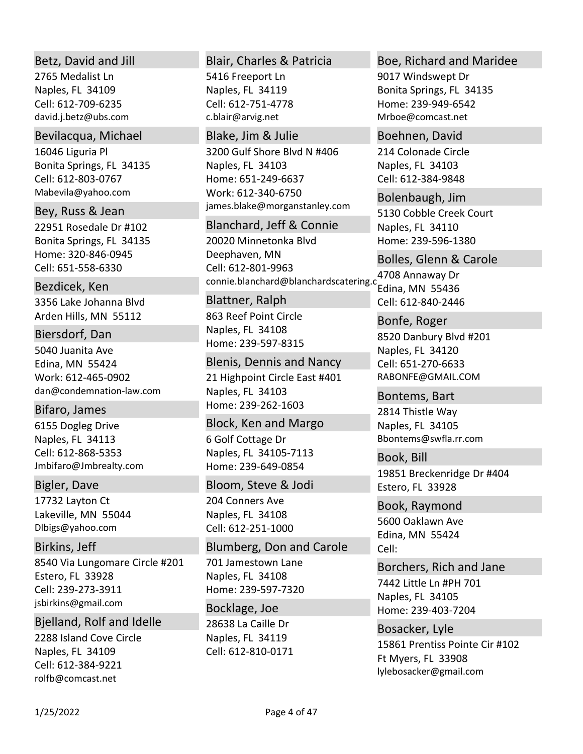## Betz, David and Jill

2765 Medalist Ln Naples, FL 34109 david.j.betz@ubs.com Cell: 612‐709‐6235

### Bevilacqua, Michael

16046 Liguria Pl Bonita Springs, FL 34135 Mabevila@yahoo.com Cell: 612‐803‐0767

22951 Rosedale Dr #102 Bonita Springs, FL 34135 Home: 320‐846‐0945 Bey, Russ & Jean Cell: 651‐558‐6330

# Bezdicek, Ken

3356 Lake Johanna Blvd Arden Hills, MN 55112

### Biersdorf, Dan

5040 Juanita Ave Edina, MN 55424 Work: 612‐465‐0902 dan@condemnation‐law.com

# Bifaro, James

6155 Dogleg Drive Naples, FL 34113 Jmbifaro@Jmbrealty.com Cell: 612‐868‐5353

### Bigler, Dave

17732 Layton Ct Lakeville, MN 55044 Dlbigs@yahoo.com

# Birkins, Jeff

8540 Via Lungomare Circle #201 Estero, FL 33928 jsbirkins@gmail.com Cell: 239‐273‐3911

# Bjelland, Rolf and Idelle

2288 Island Cove Circle Naples, FL 34109 rolfb@comcast.net Cell: 612‐384‐9221

## Blair, Charles & Patricia

5416 Freeport Ln Naples, FL 34119 c.blair@arvig.net Cell: 612‐751‐4778

### Blake, Jim & Julie

3200 Gulf Shore Blvd N #406 Naples, FL 34103 Work: 612‐340‐6750 Home: 651‐249‐6637 james.blake@morganstanley.com

### Blanchard, Jeff & Connie

20020 Minnetonka Blvd Deephaven, MN connie.blanchard@blanchardscatering.c Cell: 612‐801‐9963

863 Reef Point Circle Naples, FL 34108 Home: 239‐597‐8315 Blattner, Ralph

### Blenis, Dennis and Nancy

21 Highpoint Circle East #401 Naples, FL 34103 Home: 239‐262‐1603

6 Golf Cottage Dr Naples, FL 34105‐7113 Home: 239‐649‐0854 Block, Ken and Margo

### Bloom, Steve & Jodi

204 Conners Ave Naples, FL 34108 Cell: 612‐251‐1000

701 Jamestown Lane Naples, FL 34108 Home: 239‐597‐7320 Blumberg, Don and Carole

28638 La Caille Dr Naples, FL 34119 Bocklage, Joe Cell: 612‐810‐0171

### Boe, Richard and Maridee

9017 Windswept Dr Bonita Springs, FL 34135 Home: 239‐949‐6542 Mrboe@comcast.net

214 Colonade Circle Naples, FL 34103 Boehnen, David Cell: 612‐384‐9848

5130 Cobble Creek Court Naples, FL 34110 Home: 239‐596‐1380 Bolenbaugh, Jim

4708 Annaway Dr Edina, MN 55436 Bolles, Glenn & Carole Cell: 612‐840‐2446

8520 Danbury Blvd #201 Naples, FL 34120 RABONFE@GMAIL.COM Bonfe, Roger Cell: 651‐270‐6633

2814 Thistle Way Naples, FL 34105 Bbontems@swfla.rr.com Bontems, Bart

19851 Breckenridge Dr #404 Estero, FL 33928 Book, Bill

5600 Oaklawn Ave Edina, MN 55424 Book, Raymond Cell:

# Borchers, Rich and Jane

7442 Little Ln #PH 701 Naples, FL 34105 Home: 239‐403‐7204

15861 Prentiss Pointe Cir #102 Ft Myers, FL 33908 lylebosacker@gmail.com Bosacker, Lyle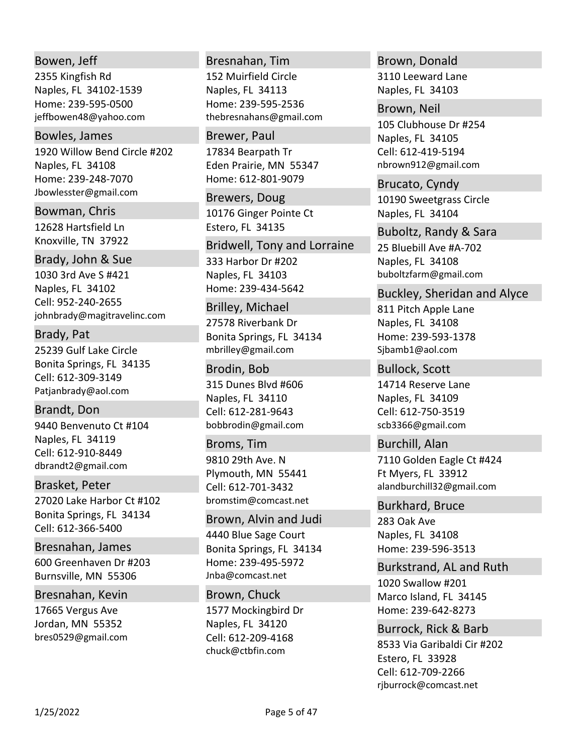# Bowen, Jeff

2355 Kingfish Rd Naples, FL 34102‐1539 Home: 239‐595‐0500 jeffbowen48@yahoo.com

# Bowles, James

1920 Willow Bend Circle #202 Naples, FL 34108 Home: 239‐248‐7070 Jbowlesster@gmail.com

12628 Hartsfield Ln Knoxville, TN 37922 Bowman, Chris

# Brady, John & Sue

1030 3rd Ave S #421 Naples, FL 34102 johnbrady@magitravelinc.com Cell: 952‐240‐2655

# Brady, Pat

25239 Gulf Lake Circle Bonita Springs, FL 34135 Patjanbrady@aol.com Cell: 612‐309‐3149

9440 Benvenuto Ct #104 Naples, FL 34119 dbrandt2@gmail.com Brandt, Don Cell: 612‐910‐8449

# Brasket, Peter

27020 Lake Harbor Ct #102 Bonita Springs, FL 34134 Cell: 612‐366‐5400

600 Greenhaven Dr #203 Burnsville, MN 55306 Bresnahan, James

# Bresnahan, Kevin

17665 Vergus Ave Jordan, MN 55352 bres0529@gmail.com

### Bresnahan, Tim

152 Muirfield Circle Naples, FL 34113 Home: 239‐595‐2536 thebresnahans@gmail.com

### Brewer, Paul

17834 Bearpath Tr Eden Prairie, MN 55347 Home: 612‐801‐9079

10176 Ginger Pointe Ct Estero, FL 34135 Brewers, Doug

### Bridwell, Tony and Lorraine

333 Harbor Dr #202 Naples, FL 34103 Home: 239‐434‐5642

### Brilley, Michael

27578 Riverbank Dr Bonita Springs, FL 34134 mbrilley@gmail.com

# Brodin, Bob

315 Dunes Blvd #606 Naples, FL 34110 bobbrodin@gmail.com Cell: 612‐281‐9643

# Broms, Tim

9810 29th Ave. N Plymouth, MN 55441 bromstim@comcast.net Cell: 612‐701‐3432

# Brown, Alvin and Judi

4440 Blue Sage Court Bonita Springs, FL 34134 Home: 239‐495‐5972 Jnba@comcast.net

# Brown, Chuck

1577 Mockingbird Dr Naples, FL 34120 chuck@ctbfin.com Cell: 612‐209‐4168

# Brown, Donald

3110 Leeward Lane Naples, FL 34103

## Brown, Neil

105 Clubhouse Dr #254 Naples, FL 34105 nbrown912@gmail.com Cell: 612‐419‐5194

10190 Sweetgrass Circle Naples, FL 34104 Brucato, Cyndy

25 Bluebill Ave #A‐702 Naples, FL 34108 buboltzfarm@gmail.com Buboltz, Randy & Sara

# Buckley, Sheridan and Alyce

811 Pitch Apple Lane Naples, FL 34108 Home: 239‐593‐1378 Sjbamb1@aol.com

### Bullock, Scott

14714 Reserve Lane Naples, FL 34109 scb3366@gmail.com Cell: 612‐750‐3519

# Burchill, Alan

7110 Golden Eagle Ct #424 Ft Myers, FL 33912 alandburchill32@gmail.com

# Burkhard, Bruce

283 Oak Ave Naples, FL 34108 Home: 239‐596‐3513

# Burkstrand, AL and Ruth

1020 Swallow #201 Marco Island, FL 34145 Home: 239‐642‐8273

# Burrock, Rick & Barb

8533 Via Garibaldi Cir #202 Estero, FL 33928 rjburrock@comcast.net Cell: 612‐709‐2266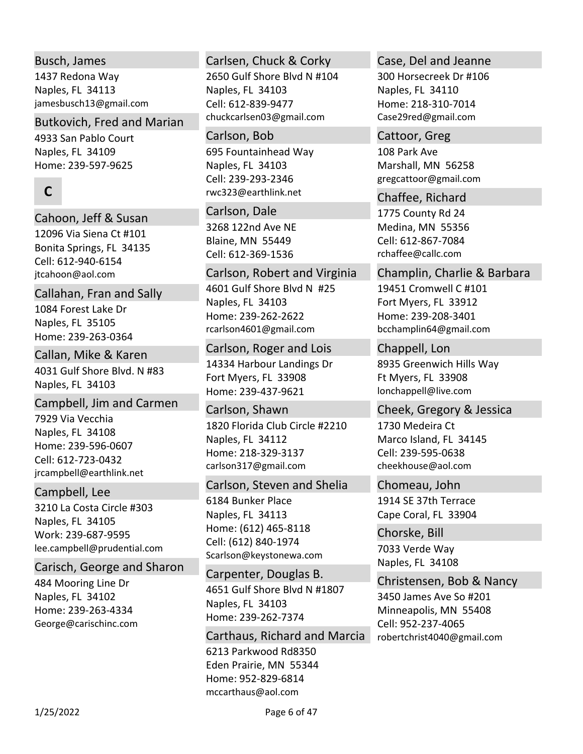# Busch, James

1437 Redona Way Naples, FL 34113 jamesbusch13@gmail.com

# Butkovich, Fred and Marian

4933 San Pablo Court Naples, FL 34109 Home: 239‐597‐9625

# **C**

# Cahoon, Jeff & Susan

12096 Via Siena Ct #101 Bonita Springs, FL 34135 jtcahoon@aol.com Cell: 612‐940‐6154

# Callahan, Fran and Sally

1084 Forest Lake Dr Naples, FL 35105 Home: 239‐263‐0364

# Callan, Mike & Karen

4031 Gulf Shore Blvd. N #83 Naples, FL 34103

# Campbell, Jim and Carmen

7929 Via Vecchia Naples, FL 34108 Home: 239‐596‐0607 jrcampbell@earthlink.net Cell: 612‐723‐0432

# Campbell, Lee

3210 La Costa Circle #303 Naples, FL 34105 Work: 239‐687‐9595 lee.campbell@prudential.com

# Carisch, George and Sharon

484 Mooring Line Dr Naples, FL 34102 Home: 239‐263‐4334 George@carischinc.com

# Carlsen, Chuck & Corky

2650 Gulf Shore Blvd N #104 Naples, FL 34103 chuckcarlsen03@gmail.com Cell: 612‐839‐9477

# Carlson, Bob

695 Fountainhead Way Naples, FL 34103 rwc323@earthlink.net Cell: 239‐293‐2346

# Carlson, Dale

3268 122nd Ave NE Blaine, MN 55449 Cell: 612‐369‐1536

# Carlson, Robert and Virginia

4601 Gulf Shore Blvd N #25 Naples, FL 34103 Home: 239‐262‐2622 rcarlson4601@gmail.com

# Carlson, Roger and Lois

14334 Harbour Landings Dr Fort Myers, FL 33908 Home: 239‐437‐9621

# Carlson, Shawn

1820 Florida Club Circle #2210 Naples, FL 34112 Home: 218‐329‐3137 carlson317@gmail.com

# Carlson, Steven and Shelia

6184 Bunker Place Naples, FL 34113 Home: (612) 465‐8118 Scarlson@keystonewa.com Cell: (612) 840‐1974

4651 Gulf Shore Blvd N #1807 Naples, FL 34103 Home: 239‐262‐7374 Carpenter, Douglas B.

6213 Parkwood Rd8350 Eden Prairie, MN 55344 Home: 952‐829‐6814 mccarthaus@aol.com Carthaus, Richard and Marcia

# Case, Del and Jeanne

300 Horsecreek Dr #106 Naples, FL 34110 Home: 218‐310‐7014 Case29red@gmail.com

### Cattoor, Greg

108 Park Ave Marshall, MN 56258 gregcattoor@gmail.com

1775 County Rd 24 Chaffee, Richard

Medina, MN 55356 rchaffee@callc.com Cell: 612‐867‐7084

# Champlin, Charlie & Barbara

19451 Cromwell C #101 Fort Myers, FL 33912 Home: 239‐208‐3401 bcchamplin64@gmail.com

8935 Greenwich Hills Way Ft Myers, FL 33908 lonchappell@live.com Chappell, Lon

# Cheek, Gregory & Jessica

1730 Medeira Ct Marco Island, FL 34145 cheekhouse@aol.com Cell: 239‐595‐0638

1914 SE 37th Terrace Cape Coral, FL 33904 Chomeau, John

7033 Verde Way Naples, FL 34108 Chorske, Bill

Christensen, Bob & Nancy

3450 James Ave So #201 Minneapolis, MN 55408 robertchrist4040@gmail.com Cell: 952‐237‐4065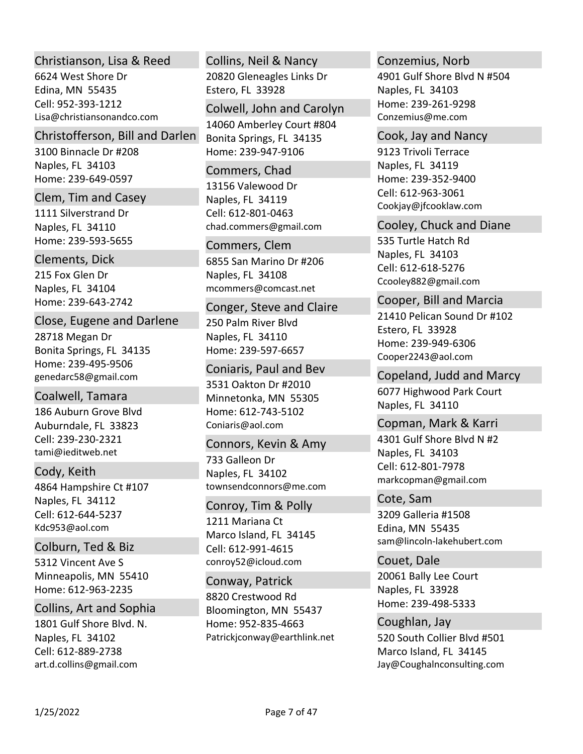# Christianson, Lisa & Reed

6624 West Shore Dr Edina, MN 55435 Lisa@christiansonandco.com Cell: 952‐393‐1212

### Christofferson, Bill and Darlen

3100 Binnacle Dr #208 Naples, FL 34103 Home: 239‐649‐0597

### Clem, Tim and Casey

1111 Silverstrand Dr Naples, FL 34110 Home: 239‐593‐5655

### Clements, Dick

215 Fox Glen Dr Naples, FL 34104 Home: 239‐643‐2742

# Close, Eugene and Darlene

28718 Megan Dr Bonita Springs, FL 34135 Home: 239‐495‐9506 genedarc58@gmail.com

186 Auburn Grove Blvd Auburndale, FL 33823 tami@ieditweb.net Coalwell, Tamara Cell: 239‐230‐2321

# 4864 Hampshire Ct #107 Naples, FL 34112 Cody, Keith Cell: 612‐644‐5237

Kdc953@aol.com

5312 Vincent Ave S Minneapolis, MN 55410 Home: 612‐963‐2235 Colburn, Ted & Biz

# Collins, Art and Sophia

1801 Gulf Shore Blvd. N. Naples, FL 34102 art.d.collins@gmail.com Cell: 612‐889‐2738

# 20820 Gleneagles Links Dr Estero, FL 33928 Collins, Neil & Nancy

# Colwell, John and Carolyn

14060 Amberley Court #804 Bonita Springs, FL 34135 Home: 239‐947‐9106

### Commers, Chad

13156 Valewood Dr Naples, FL 34119 chad.commers@gmail.com Cell: 612‐801‐0463

# Commers, Clem

6855 San Marino Dr #206 Naples, FL 34108 mcommers@comcast.net

### Conger, Steve and Claire

250 Palm River Blvd Naples, FL 34110 Home: 239‐597‐6657

### Coniaris, Paul and Bev

3531 Oakton Dr #2010 Minnetonka, MN 55305 Home: 612‐743‐5102 Coniaris@aol.com

# 733 Galleon Dr Naples, FL 34102 townsendconnors@me.com Connors, Kevin & Amy

# Conroy, Tim & Polly

1211 Mariana Ct Marco Island, FL 34145 conroy52@icloud.com Cell: 612‐991‐4615

# 8820 Crestwood Rd Bloomington, MN 55437 Home: 952‐835‐4663 Patrickjconway@earthlink.net Conway, Patrick

# Conzemius, Norb

4901 Gulf Shore Blvd N #504 Naples, FL 34103 Home: 239‐261‐9298 Conzemius@me.com

## Cook, Jay and Nancy

9123 Trivoli Terrace Naples, FL 34119 Home: 239‐352‐9400 Cookjay@jfcooklaw.com Cell: 612‐963‐3061

# Cooley, Chuck and Diane

535 Turtle Hatch Rd Naples, FL 34103 Ccooley882@gmail.com Cell: 612‐618‐5276

# Cooper, Bill and Marcia

21410 Pelican Sound Dr #102 Estero, FL 33928 Home: 239‐949‐6306 Cooper2243@aol.com

# 6077 Highwood Park Court Naples, FL 34110 Copeland, Judd and Marcy

4301 Gulf Shore Blvd N #2 Naples, FL 34103 markcopman@gmail.com Copman, Mark & Karri Cell: 612‐801‐7978

# Cote, Sam

3209 Galleria #1508 Edina, MN 55435 sam@lincoln‐lakehubert.com

# 20061 Bally Lee Court Naples, FL 33928 Home: 239‐498‐5333 Couet, Dale

520 South Collier Blvd #501 Marco Island, FL 34145 Jay@Coughalnconsulting.com Coughlan, Jay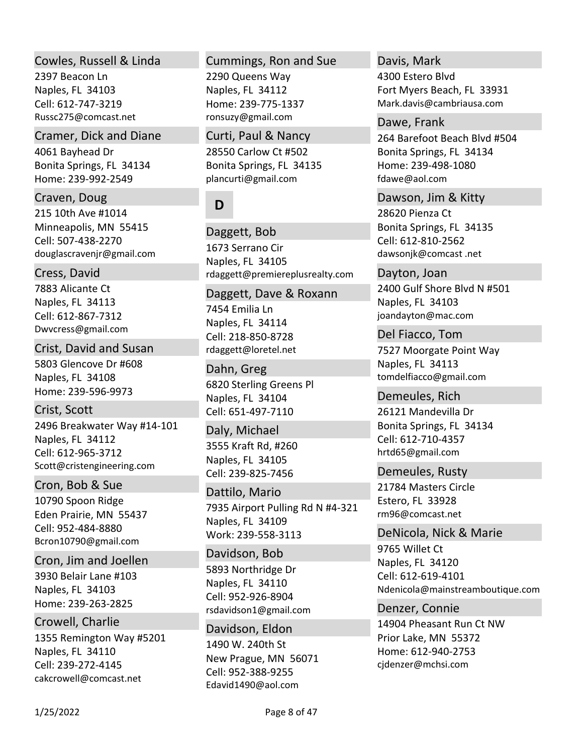### Cowles, Russell & Linda

2397 Beacon Ln Naples, FL 34103 Russc275@comcast.net Cell: 612‐747‐3219

# Cramer, Dick and Diane

4061 Bayhead Dr Bonita Springs, FL 34134 Home: 239‐992‐2549

# Craven, Doug

215 10th Ave #1014 Minneapolis, MN 55415 douglascravenjr@gmail.com Cell: 507‐438‐2270

# Cress, David

7883 Alicante Ct Naples, FL 34113 Dwvcress@gmail.com Cell: 612‐867‐7312

# 5803 Glencove Dr #608 Naples, FL 34108 Home: 239‐596‐9973 Crist, David and Susan

2496 Breakwater Way #14‐101 Naples, FL 34112 Scott@cristengineering.com Crist, Scott Cell: 612‐965‐3712

# Cron, Bob & Sue

10790 Spoon Ridge Eden Prairie, MN 55437 Bcron10790@gmail.com Cell: 952‐484‐8880

# Cron, Jim and Joellen

3930 Belair Lane #103 Naples, FL 34103 Home: 239‐263‐2825

# Crowell, Charlie

1355 Remington Way #5201 Naples, FL 34110 cakcrowell@comcast.net Cell: 239‐272‐4145

# Cummings, Ron and Sue

2290 Queens Way Naples, FL 34112 Home: 239‐775‐1337 ronsuzy@gmail.com

## Curti, Paul & Nancy

28550 Carlow Ct #502 Bonita Springs, FL 34135 plancurti@gmail.com

# **D**

1673 Serrano Cir Naples, FL 34105 rdaggett@premiereplusrealty.com Daggett, Bob

7454 Emilia Ln Naples, FL 34114 rdaggett@loretel.net Daggett, Dave & Roxann Cell: 218‐850‐8728

6820 Sterling Greens Pl Naples, FL 34104 Dahn, Greg Cell: 651‐497‐7110

3555 Kraft Rd, #260 Naples, FL 34105 Daly, Michael Cell: 239‐825‐7456

7935 Airport Pulling Rd N #4‐321 Naples, FL 34109 Work: 239‐558‐3113 Dattilo, Mario

5893 Northridge Dr Naples, FL 34110 rsdavidson1@gmail.com Davidson, Bob Cell: 952‐926‐8904

1490 W. 240th St New Prague, MN 56071 Edavid1490@aol.com Davidson, Eldon Cell: 952‐388‐9255

### Davis, Mark

4300 Estero Blvd Fort Myers Beach, FL 33931 Mark.davis@cambriausa.com

## Dawe, Frank

264 Barefoot Beach Blvd #504 Bonita Springs, FL 34134 Home: 239‐498‐1080 fdawe@aol.com

28620 Pienza Ct Bonita Springs, FL 34135 dawsonjk@comcast .net Dawson, Jim & Kitty Cell: 612‐810‐2562

2400 Gulf Shore Blvd N #501 Naples, FL 34103 joandayton@mac.com Dayton, Joan

7527 Moorgate Point Way Naples, FL 34113 tomdelfiacco@gmail.com Del Fiacco, Tom

26121 Mandevilla Dr Bonita Springs, FL 34134 hrtd65@gmail.com Demeules, Rich Cell: 612‐710‐4357

# Demeules, Rusty

21784 Masters Circle Estero, FL 33928 rm96@comcast.net

# DeNicola, Nick & Marie

9765 Willet Ct Naples, FL 34120 Ndenicola@mainstreamboutique.com Cell: 612‐619‐4101

# Denzer, Connie

14904 Pheasant Run Ct NW Prior Lake, MN 55372 Home: 612‐940‐2753 cjdenzer@mchsi.com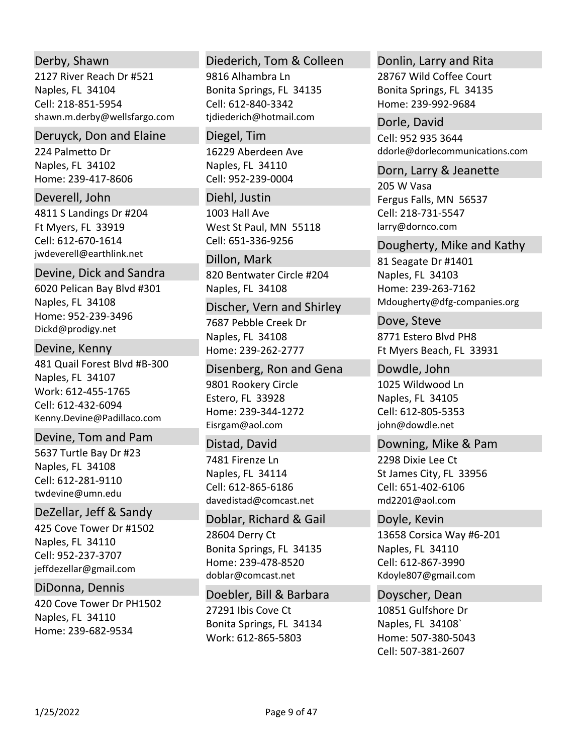# Derby, Shawn

2127 River Reach Dr #521 Naples, FL 34104 shawn.m.derby@wellsfargo.com Cell: 218‐851‐5954

# Deruyck, Don and Elaine

224 Palmetto Dr Naples, FL 34102 Home: 239‐417‐8606

4811 S Landings Dr #204 Ft Myers, FL 33919 jwdeverell@earthlink.net Deverell, John Cell: 612‐670‐1614

### Devine, Dick and Sandra

6020 Pelican Bay Blvd #301 Naples, FL 34108 Home: 952‐239‐3496 Dickd@prodigy.net

# Devine, Kenny

481 Quail Forest Blvd #B‐300 Naples, FL 34107 Work: 612‐455‐1765 Kenny.Devine@Padillaco.com Cell: 612‐432‐6094

# Devine, Tom and Pam

5637 Turtle Bay Dr #23 Naples, FL 34108 twdevine@umn.edu Cell: 612‐281‐9110

# DeZellar, Jeff & Sandy

425 Cove Tower Dr #1502 Naples, FL 34110 jeffdezellar@gmail.com Cell: 952‐237‐3707

420 Cove Tower Dr PH1502 Naples, FL 34110 Home: 239‐682‐9534 DiDonna, Dennis

# Diederich, Tom & Colleen

9816 Alhambra Ln Bonita Springs, FL 34135 tjdiederich@hotmail.com Cell: 612‐840‐3342

### Diegel, Tim

16229 Aberdeen Ave Naples, FL 34110 Cell: 952‐239‐0004

1003 Hall Ave West St Paul, MN 55118 Diehl, Justin Cell: 651‐336‐9256

820 Bentwater Circle #204 Naples, FL 34108 Dillon, Mark

# Discher, Vern and Shirley

7687 Pebble Creek Dr Naples, FL 34108 Home: 239‐262‐2777

# Disenberg, Ron and Gena

9801 Rookery Circle Estero, FL 33928 Home: 239‐344‐1272 Eisrgam@aol.com

# Distad, David

7481 Firenze Ln Naples, FL 34114 davedistad@comcast.net Cell: 612‐865‐6186

# Doblar, Richard & Gail

28604 Derry Ct Bonita Springs, FL 34135 Home: 239‐478‐8520 doblar@comcast.net

27291 Ibis Cove Ct Bonita Springs, FL 34134 Work: 612‐865‐5803 Doebler, Bill & Barbara

# Donlin, Larry and Rita

28767 Wild Coffee Court Bonita Springs, FL 34135 Home: 239‐992‐9684

ddorle@dorlecommunications.com Dorle, David Cell: 952 935 3644

### Dorn, Larry & Jeanette

205 W Vasa Fergus Falls, MN 56537 larry@dornco.com Cell: 218‐731‐5547

# Dougherty, Mike and Kathy

81 Seagate Dr #1401 Naples, FL 34103 Home: 239‐263‐7162 Mdougherty@dfg‐companies.org

8771 Estero Blvd PH8 Ft Myers Beach, FL 33931 Dove, Steve

1025 Wildwood Ln Dowdle, John

Naples, FL 34105 john@dowdle.net Cell: 612‐805‐5353

# 2298 Dixie Lee Ct St James City, FL 33956 md2201@aol.com Downing, Mike & Pam Cell: 651‐402‐6106

Doyle, Kevin

13658 Corsica Way #6‐201 Naples, FL 34110 Kdoyle807@gmail.com Cell: 612‐867‐3990

# 10851 Gulfshore Dr Doyscher, Dean

Naples, FL 34108` Home: 507‐380‐5043 Cell: 507‐381‐2607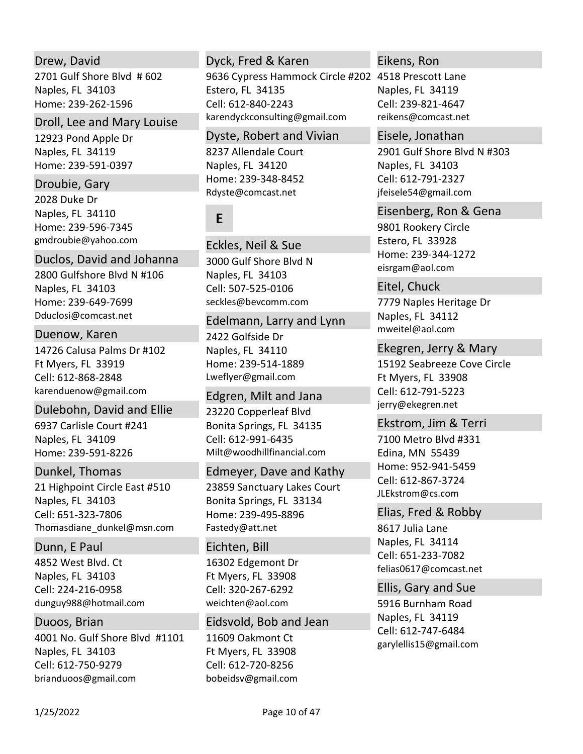# Drew, David

2701 Gulf Shore Blvd # 602 Naples, FL 34103 Home: 239‐262‐1596

# Droll, Lee and Mary Louise

12923 Pond Apple Dr Naples, FL 34119 Home: 239‐591‐0397

# Droubie, Gary

2028 Duke Dr Naples, FL 34110 Home: 239‐596‐7345 gmdroubie@yahoo.com

# Duclos, David and Johanna

2800 Gulfshore Blvd N #106 Naples, FL 34103 Home: 239‐649‐7699 Dduclosi@comcast.net

# Duenow, Karen

14726 Calusa Palms Dr #102 Ft Myers, FL 33919 karenduenow@gmail.com Cell: 612‐868‐2848

# Dulebohn, David and Ellie

6937 Carlisle Court #241 Naples, FL 34109 Home: 239‐591‐8226

# Dunkel, Thomas

21 Highpoint Circle East #510 Naples, FL 34103 Thomasdiane\_dunkel@msn.com Cell: 651‐323‐7806

# Dunn, E Paul

4852 West Blvd. Ct Naples, FL 34103 dunguy988@hotmail.com Cell: 224‐216‐0958

# Duoos, Brian

4001 No. Gulf Shore Blvd #1101 Naples, FL 34103 brianduoos@gmail.com Cell: 612‐750‐9279

# Dyck, Fred & Karen

9636 Cypress Hammock Circle #202 4518 Prescott Lane Estero, FL 34135 karendyckconsulting@gmail.com Cell: 612‐840‐2243

# Dyste, Robert and Vivian

8237 Allendale Court Naples, FL 34120 Home: 239‐348‐8452 Rdyste@comcast.net

# **E**

3000 Gulf Shore Blvd N Naples, FL 34103 seckles@bevcomm.com Eckles, Neil & Sue Cell: 507‐525‐0106

# Edelmann, Larry and Lynn

2422 Golfside Dr Naples, FL 34110 Home: 239‐514‐1889 Lweflyer@gmail.com

# 23220 Copperleaf Blvd Bonita Springs, FL 34135 Milt@woodhillfinancial.com Edgren, Milt and Jana Cell: 612‐991‐6435

# Edmeyer, Dave and Kathy

23859 Sanctuary Lakes Court Bonita Springs, FL 33134 Home: 239‐495‐8896 Fastedy@att.net

# Eichten, Bill

16302 Edgemont Dr Ft Myers, FL 33908 weichten@aol.com Cell: 320‐267‐6292

# Eidsvold, Bob and Jean

11609 Oakmont Ct Ft Myers, FL 33908 bobeidsv@gmail.com Cell: 612‐720‐8256

# Eikens, Ron

Naples, FL 34119 reikens@comcast.net Cell: 239‐821‐4647

# 2901 Gulf Shore Blvd N #303 Naples, FL 34103 jfeisele54@gmail.com Eisele, Jonathan Cell: 612‐791‐2327

# Eisenberg, Ron & Gena

9801 Rookery Circle Estero, FL 33928 Home: 239‐344‐1272 eisrgam@aol.com

7779 Naples Heritage Dr Naples, FL 34112 mweitel@aol.com Eitel, Chuck

# Ekegren, Jerry & Mary

15192 Seabreeze Cove Circle Ft Myers, FL 33908 jerry@ekegren.net Cell: 612‐791‐5223

# Ekstrom, Jim & Terri

7100 Metro Blvd #331 Edina, MN 55439 Home: 952‐941‐5459 JLEkstrom@cs.com Cell: 612‐867‐3724

# Elias, Fred & Robby

8617 Julia Lane Naples, FL 34114 felias0617@comcast.net Cell: 651‐233‐7082

# Ellis, Gary and Sue

5916 Burnham Road Naples, FL 34119 garylellis15@gmail.com Cell: 612‐747‐6484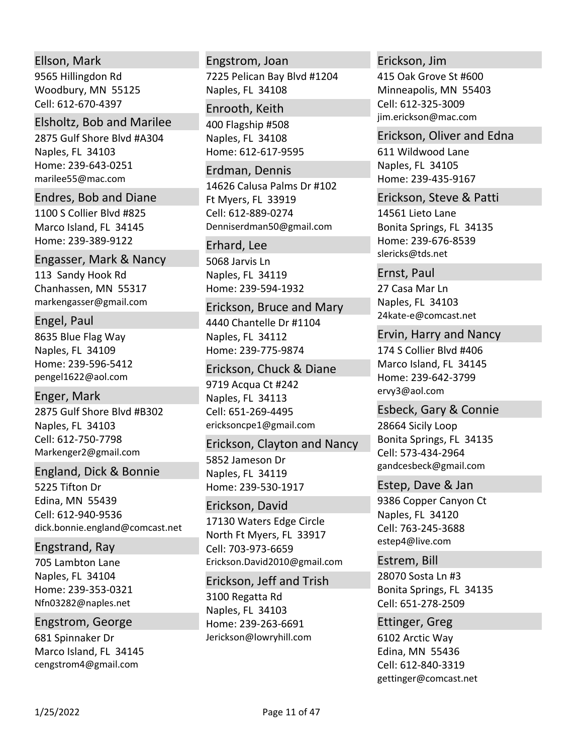### Ellson, Mark

9565 Hillingdon Rd Woodbury, MN 55125 Cell: 612‐670‐4397

#### Elsholtz, Bob and Marilee

2875 Gulf Shore Blvd #A304 Naples, FL 34103 Home: 239‐643‐0251 marilee55@mac.com

# Endres, Bob and Diane

1100 S Collier Blvd #825 Marco Island, FL 34145 Home: 239‐389‐9122

113 Sandy Hook Rd Chanhassen, MN 55317 markengasser@gmail.com Engasser, Mark & Nancy

### Engel, Paul

8635 Blue Flag Way Naples, FL 34109 Home: 239‐596‐5412 pengel1622@aol.com

2875 Gulf Shore Blvd #B302 Naples, FL 34103 Markenger2@gmail.com Enger, Mark Cell: 612‐750‐7798

# England, Dick & Bonnie

5225 Tifton Dr Edina, MN 55439 dick.bonnie.england@comcast.net Cell: 612‐940‐9536

### Engstrand, Ray

705 Lambton Lane Naples, FL 34104 Home: 239‐353‐0321 Nfn03282@naples.net

### Engstrom, George

681 Spinnaker Dr Marco Island, FL 34145 cengstrom4@gmail.com

# 7225 Pelican Bay Blvd #1204 Naples, FL 34108 Engstrom, Joan

400 Flagship #508 Naples, FL 34108 Home: 612‐617‐9595 Enrooth, Keith

#### Erdman, Dennis

14626 Calusa Palms Dr #102 Ft Myers, FL 33919 Denniserdman50@gmail.com Cell: 612‐889‐0274

### Erhard, Lee

5068 Jarvis Ln Naples, FL 34119 Home: 239‐594‐1932

### Erickson, Bruce and Mary

4440 Chantelle Dr #1104 Naples, FL 34112 Home: 239‐775‐9874

### Erickson, Chuck & Diane

9719 Acqua Ct #242 Naples, FL 34113 ericksoncpe1@gmail.com Cell: 651‐269‐4495

5852 Jameson Dr Naples, FL 34119 Home: 239‐530‐1917 Erickson, Clayton and Nancy

17130 Waters Edge Circle North Ft Myers, FL 33917 Erickson.David2010@gmail.com Erickson, David Cell: 703‐973‐6659

3100 Regatta Rd Naples, FL 34103 Home: 239‐263‐6691 Jerickson@lowryhill.com Erickson, Jeff and Trish

### Erickson, Jim

415 Oak Grove St #600 Minneapolis, MN 55403 jim.erickson@mac.com Cell: 612‐325‐3009

# Erickson, Oliver and Edna

611 Wildwood Lane Naples, FL 34105 Home: 239‐435‐9167

Erickson, Steve & Patti

14561 Lieto Lane Bonita Springs, FL 34135 Home: 239‐676‐8539 slericks@tds.net

### Ernst, Paul

27 Casa Mar Ln Naples, FL 34103 24kate‐e@comcast.net

### Ervin, Harry and Nancy

174 S Collier Blvd #406 Marco Island, FL 34145 Home: 239‐642‐3799 ervy3@aol.com

# 28664 Sicily Loop Bonita Springs, FL 34135 gandcesbeck@gmail.com Esbeck, Gary & Connie Cell: 573‐434‐2964

9386 Copper Canyon Ct Naples, FL 34120 estep4@live.com Estep, Dave & Jan Cell: 763‐245‐3688

28070 Sosta Ln #3 Bonita Springs, FL 34135 Estrem, Bill Cell: 651‐278‐2509

### 6102 Arctic Way Ettinger, Greg

Edina, MN 55436 gettinger@comcast.net Cell: 612‐840‐3319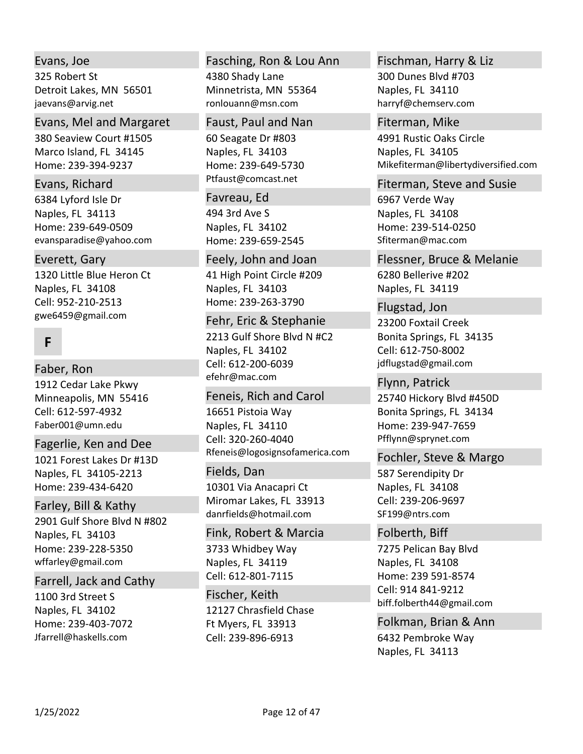# Evans, Joe

325 Robert St Detroit Lakes, MN 56501 jaevans@arvig.net

# Evans, Mel and Margaret

380 Seaview Court #1505 Marco Island, FL 34145 Home: 239‐394‐9237

### Evans, Richard

6384 Lyford Isle Dr Naples, FL 34113 Home: 239‐649‐0509 evansparadise@yahoo.com

# Everett, Gary

1320 Little Blue Heron Ct Naples, FL 34108 gwe6459@gmail.com Cell: 952‐210‐2513

# **F**

# Faber, Ron

1912 Cedar Lake Pkwy Minneapolis, MN 55416 Faber001@umn.edu Cell: 612‐597‐4932

# 1021 Forest Lakes Dr #13D Naples, FL 34105‐2213 Home: 239‐434‐6420 Fagerlie, Ken and Dee

2901 Gulf Shore Blvd N #802 Naples, FL 34103 Home: 239‐228‐5350 wffarley@gmail.com Farley, Bill & Kathy

# Farrell, Jack and Cathy

1100 3rd Street S Naples, FL 34102 Home: 239‐403‐7072 Jfarrell@haskells.com

# Fasching, Ron & Lou Ann

4380 Shady Lane Minnetrista, MN 55364 ronlouann@msn.com

### Faust, Paul and Nan

60 Seagate Dr #803 Naples, FL 34103 Home: 239‐649‐5730 Ptfaust@comcast.net

### 494 3rd Ave S Naples, FL 34102 Home: 239‐659‐2545 Favreau, Ed

41 High Point Circle #209 Naples, FL 34103 Home: 239‐263‐3790 Feely, John and Joan

# Fehr, Eric & Stephanie

2213 Gulf Shore Blvd N #C2 Naples, FL 34102 efehr@mac.com Cell: 612‐200‐6039

# 16651 Pistoia Way Naples, FL 34110 Feneis, Rich and Carol

Rfeneis@logosignsofamerica.com Cell: 320‐260‐4040

# Fields, Dan

10301 Via Anacapri Ct Miromar Lakes, FL 33913 danrfields@hotmail.com

# 3733 Whidbey Way Naples, FL 34119 Fink, Robert & Marcia

Cell: 612‐801‐7115

# 12127 Chrasfield Chase Ft Myers, FL 33913 Fischer, Keith Cell: 239‐896‐6913

# Fischman, Harry & Liz

300 Dunes Blvd #703 Naples, FL 34110 harryf@chemserv.com

# Fiterman, Mike

4991 Rustic Oaks Circle Naples, FL 34105 Mikefiterman@libertydiversified.com

# Fiterman, Steve and Susie

6967 Verde Way Naples, FL 34108 Home: 239‐514‐0250 Sfiterman@mac.com

6280 Bellerive #202 Naples, FL 34119 Flessner, Bruce & Melanie

23200 Foxtail Creek Bonita Springs, FL 34135 jdflugstad@gmail.com Flugstad, Jon Cell: 612‐750‐8002

# 25740 Hickory Blvd #450D Bonita Springs, FL 34134 Home: 239‐947‐7659 Pfflynn@sprynet.com Flynn, Patrick

# Fochler, Steve & Margo

587 Serendipity Dr Naples, FL 34108 SF199@ntrs.com Cell: 239‐206‐9697

# Folberth, Biff

7275 Pelican Bay Blvd Naples, FL 34108 Home: 239 591‐8574 biff.folberth44@gmail.com Cell: 914 841‐9212

6432 Pembroke Way Naples, FL 34113 Folkman, Brian & Ann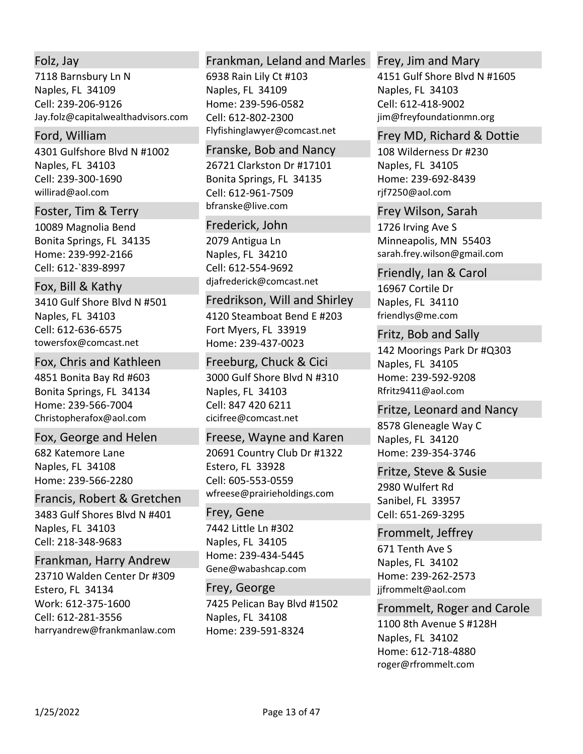# Folz, Jay

7118 Barnsbury Ln N Naples, FL 34109 Jay.folz@capitalwealthadvisors.com Cell: 239‐206‐9126

### Ford, William

4301 Gulfshore Blvd N #1002 Naples, FL 34103 willirad@aol.com Cell: 239‐300‐1690

#### Foster, Tim & Terry

10089 Magnolia Bend Bonita Springs, FL 34135 Home: 239‐992‐2166 Cell: 612‐`839‐8997

# Fox, Bill & Kathy

3410 Gulf Shore Blvd N #501 Naples, FL 34103 towersfox@comcast.net Cell: 612‐636‐6575

### Fox, Chris and Kathleen

4851 Bonita Bay Rd #603 Bonita Springs, FL 34134 Home: 239‐566‐7004 Christopherafox@aol.com

# Fox, George and Helen

682 Katemore Lane Naples, FL 34108 Home: 239‐566‐2280

### Francis, Robert & Gretchen

3483 Gulf Shores Blvd N #401 Naples, FL 34103 Cell: 218‐348‐9683

### Frankman, Harry Andrew

23710 Walden Center Dr #309 Estero, FL 34134 Work: 612‐375‐1600 harryandrew@frankmanlaw.com Cell: 612‐281‐3556

# Frankman, Leland and Marles

6938 Rain Lily Ct #103 Naples, FL 34109 Home: 239‐596‐0582 Flyfishinglawyer@comcast.net Cell: 612‐802‐2300

### 26721 Clarkston Dr #17101 Bonita Springs, FL 34135 bfranske@live.com Franske, Bob and Nancy Cell: 612‐961‐7509

#### Frederick, John

2079 Antigua Ln Naples, FL 34210 djafrederick@comcast.net Cell: 612‐554‐9692

### Fredrikson, Will and Shirley

4120 Steamboat Bend E #203 Fort Myers, FL 33919 Home: 239‐437‐0023

3000 Gulf Shore Blvd N #310 Naples, FL 34103 cicifree@comcast.net Freeburg, Chuck & Cici Cell: 847 420 6211

# Freese, Wayne and Karen

20691 Country Club Dr #1322 Estero, FL 33928 wfreese@prairieholdings.com Cell: 605‐553‐0559

# Frey, Gene

7442 Little Ln #302 Naples, FL 34105 Home: 239‐434‐5445 Gene@wabashcap.com

### Frey, George

7425 Pelican Bay Blvd #1502 Naples, FL 34108 Home: 239‐591‐8324

## Frey, Jim and Mary

4151 Gulf Shore Blvd N #1605 Naples, FL 34103 jim@freyfoundationmn.org Cell: 612‐418‐9002

### Frey MD, Richard & Dottie

108 Wilderness Dr #230 Naples, FL 34105 Home: 239‐692‐8439 rjf7250@aol.com

#### Frey Wilson, Sarah

1726 Irving Ave S Minneapolis, MN 55403 sarah.frey.wilson@gmail.com

# 16967 Cortile Dr Naples, FL 34110 friendlys@me.com Friendly, Ian & Carol

142 Moorings Park Dr #Q303 Naples, FL 34105 Home: 239‐592‐9208 Rfritz9411@aol.com Fritz, Bob and Sally

# Fritze, Leonard and Nancy

8578 Gleneagle Way C Naples, FL 34120 Home: 239‐354‐3746

# Fritze, Steve & Susie

2980 Wulfert Rd Sanibel, FL 33957 Cell: 651‐269‐3295

# Frommelt, Jeffrey

671 Tenth Ave S Naples, FL 34102 Home: 239‐262‐2573 jjfrommelt@aol.com

# Frommelt, Roger and Carole

1100 8th Avenue S #128H Naples, FL 34102 Home: 612‐718‐4880 roger@rfrommelt.com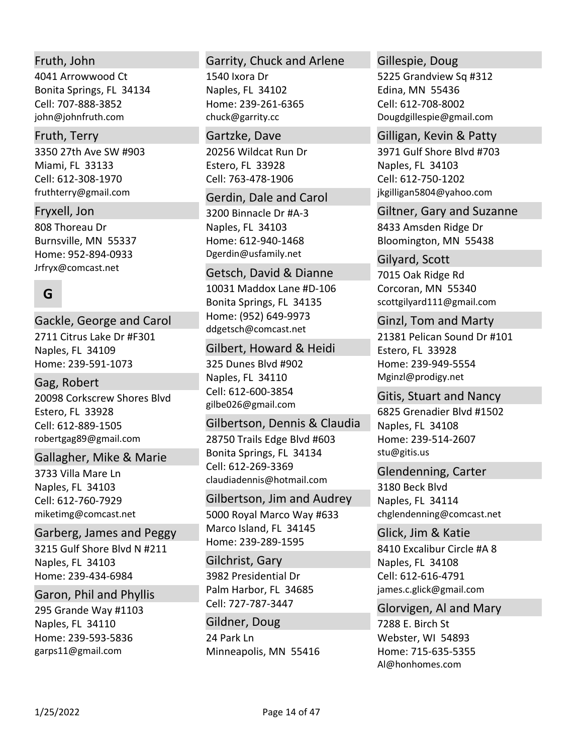# Fruth, John

4041 Arrowwood Ct Bonita Springs, FL 34134 john@johnfruth.com Cell: 707‐888‐3852

## Fruth, Terry

3350 27th Ave SW #903 Miami, FL 33133 fruthterry@gmail.com Cell: 612‐308‐1970

808 Thoreau Dr Burnsville, MN 55337 Home: 952‐894‐0933 Jrfryx@comcast.net Fryxell, Jon

# **G**

2711 Citrus Lake Dr #F301 Naples, FL 34109 Home: 239‐591‐1073 Gackle, George and Carol

20098 Corkscrew Shores Blvd Estero, FL 33928 robertgag89@gmail.com Gag, Robert Cell: 612‐889‐1505

### Gallagher, Mike & Marie

3733 Villa Mare Ln Naples, FL 34103 miketimg@comcast.net Cell: 612‐760‐7929

# Garberg, James and Peggy

3215 Gulf Shore Blvd N #211 Naples, FL 34103 Home: 239‐434‐6984

### Garon, Phil and Phyllis

295 Grande Way #1103 Naples, FL 34110 Home: 239‐593‐5836 garps11@gmail.com

# Garrity, Chuck and Arlene

1540 Ixora Dr Naples, FL 34102 Home: 239‐261‐6365 chuck@garrity.cc

#### Gartzke, Dave

20256 Wildcat Run Dr Estero, FL 33928 Cell: 763‐478‐1906

# 3200 Binnacle Dr #A‐3 Gerdin, Dale and Carol

Naples, FL 34103 Home: 612‐940‐1468 Dgerdin@usfamily.net

# Getsch, David & Dianne

10031 Maddox Lane #D‐106 Bonita Springs, FL 34135 Home: (952) 649‐9973 ddgetsch@comcast.net

### Gilbert, Howard & Heidi

325 Dunes Blvd #902 Naples, FL 34110 gilbe026@gmail.com Cell: 612‐600‐3854

## 28750 Trails Edge Blvd #603 Bonita Springs, FL 34134 claudiadennis@hotmail.com Gilbertson, Dennis & Claudia Cell: 612‐269‐3369

# Gilbertson, Jim and Audrey

5000 Royal Marco Way #633 Marco Island, FL 34145 Home: 239‐289‐1595

3982 Presidential Dr Palm Harbor, FL 34685 Gilchrist, Gary Cell: 727‐787‐3447

24 Park Ln Minneapolis, MN 55416 Gildner, Doug

## Gillespie, Doug

5225 Grandview Sq #312 Edina, MN 55436 Dougdgillespie@gmail.com Cell: 612‐708‐8002

## Gilligan, Kevin & Patty

3971 Gulf Shore Blvd #703 Naples, FL 34103 jkgilligan5804@yahoo.com Cell: 612‐750‐1202

8433 Amsden Ridge Dr Bloomington, MN 55438 Giltner, Gary and Suzanne

7015 Oak Ridge Rd Corcoran, MN 55340 scottgilyard111@gmail.com Gilyard, Scott

21381 Pelican Sound Dr #101 Estero, FL 33928 Home: 239‐949‐5554 Mginzl@prodigy.net Ginzl, Tom and Marty

6825 Grenadier Blvd #1502 Naples, FL 34108 Home: 239‐514‐2607 stu@gitis.us Gitis, Stuart and Nancy

# Glendenning, Carter

3180 Beck Blvd Naples, FL 34114 chglendenning@comcast.net

8410 Excalibur Circle #A 8 Naples, FL 34108 james.c.glick@gmail.com Glick, Jim & Katie Cell: 612‐616‐4791

# Glorvigen, Al and Mary

7288 E. Birch St Webster, WI 54893 Home: 715‐635‐5355 Al@honhomes.com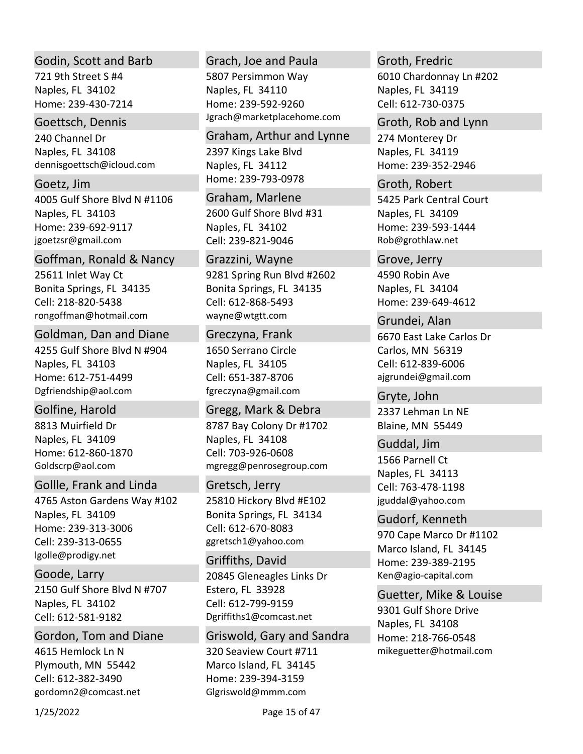### Godin, Scott and Barb

721 9th Street S #4 Naples, FL 34102 Home: 239‐430‐7214

### Goettsch, Dennis

240 Channel Dr Naples, FL 34108 dennisgoettsch@icloud.com

4005 Gulf Shore Blvd N #1106 Naples, FL 34103 Home: 239‐692‐9117 jgoetzsr@gmail.com Goetz, Jim

25611 Inlet Way Ct Bonita Springs, FL 34135 rongoffman@hotmail.com Goffman, Ronald & Nancy Cell: 218‐820‐5438

### Goldman, Dan and Diane

4255 Gulf Shore Blvd N #904 Naples, FL 34103 Home: 612‐751‐4499 Dgfriendship@aol.com

8813 Muirfield Dr Naples, FL 34109 Home: 612‐860‐1870 Goldscrp@aol.com Golfine, Harold

### Gollle, Frank and Linda

4765 Aston Gardens Way #102 Naples, FL 34109 Home: 239‐313‐3006 lgolle@prodigy.net Cell: 239‐313‐0655

2150 Gulf Shore Blvd N #707 Naples, FL 34102 Goode, Larry Cell: 612‐581‐9182

4615 Hemlock Ln N Plymouth, MN 55442 gordomn2@comcast.net Gordon, Tom and Diane Cell: 612‐382‐3490

### Grach, Joe and Paula

5807 Persimmon Way Naples, FL 34110 Home: 239‐592‐9260 Jgrach@marketplacehome.com

2397 Kings Lake Blvd Naples, FL 34112 Home: 239‐793‐0978 Graham, Arthur and Lynne

2600 Gulf Shore Blvd #31 Naples, FL 34102 Graham, Marlene Cell: 239‐821‐9046

9281 Spring Run Blvd #2602 Bonita Springs, FL 34135 wayne@wtgtt.com Grazzini, Wayne Cell: 612‐868‐5493

# Greczyna, Frank

1650 Serrano Circle Naples, FL 34105 fgreczyna@gmail.com Cell: 651‐387‐8706

8787 Bay Colony Dr #1702 Naples, FL 34108 mgregg@penrosegroup.com Gregg, Mark & Debra Cell: 703‐926‐0608

25810 Hickory Blvd #E102 Bonita Springs, FL 34134 ggretsch1@yahoo.com Gretsch, Jerry Cell: 612‐670‐8083

20845 Gleneagles Links Dr Estero, FL 33928 Dgriffiths1@comcast.net Griffiths, David Cell: 612‐799‐9159

320 Seaview Court #711 Marco Island, FL 34145 Home: 239‐394‐3159 Glgriswold@mmm.com Griswold, Gary and Sandra

# Groth, Fredric

6010 Chardonnay Ln #202 Naples, FL 34119 Cell: 612‐730‐0375

274 Monterey Dr Naples, FL 34119 Home: 239‐352‐2946 Groth, Rob and Lynn

5425 Park Central Court Naples, FL 34109 Home: 239‐593‐1444 Rob@grothlaw.net Groth, Robert

4590 Robin Ave Naples, FL 34104 Home: 239‐649‐4612 Grove, Jerry

6670 East Lake Carlos Dr Carlos, MN 56319 ajgrundei@gmail.com Grundei, Alan Cell: 612‐839‐6006

2337 Lehman Ln NE Blaine, MN 55449 Gryte, John

1566 Parnell Ct Naples, FL 34113 jguddal@yahoo.com Guddal, Jim Cell: 763‐478‐1198

970 Cape Marco Dr #1102 Marco Island, FL 34145 Home: 239‐389‐2195 Ken@agio‐capital.com Gudorf, Kenneth

9301 Gulf Shore Drive Naples, FL 34108 Home: 218‐766‐0548 mikeguetter@hotmail.com Guetter, Mike & Louise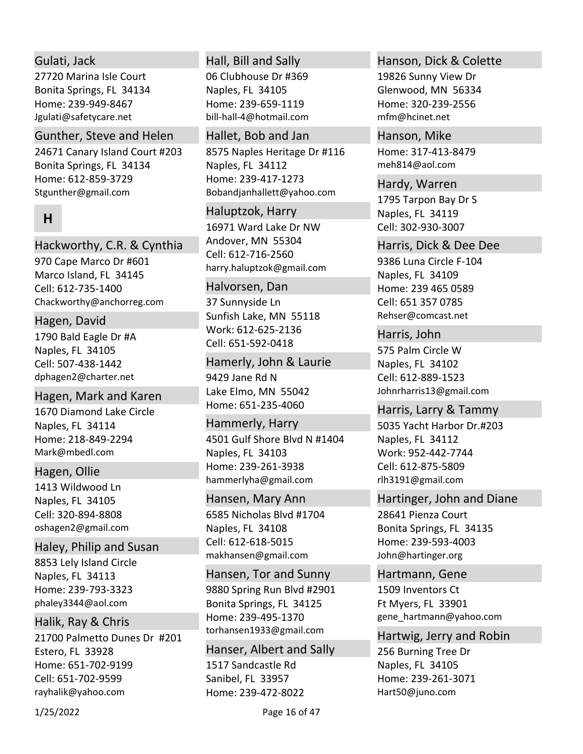# Gulati, Jack

27720 Marina Isle Court Bonita Springs, FL 34134 Home: 239‐949‐8467 Jgulati@safetycare.net

### Gunther, Steve and Helen

24671 Canary Island Court #203 Bonita Springs, FL 34134 Home: 612‐859‐3729 Stgunther@gmail.com

# **H**

# Hackworthy, C.R. & Cynthia

970 Cape Marco Dr #601 Marco Island, FL 34145 Chackworthy@anchorreg.com Cell: 612‐735‐1400

# Hagen, David

1790 Bald Eagle Dr #A Naples, FL 34105 dphagen2@charter.net Cell: 507‐438‐1442

# Hagen, Mark and Karen

1670 Diamond Lake Circle Naples, FL 34114 Home: 218‐849‐2294 Mark@mbedl.com

# Hagen, Ollie

1413 Wildwood Ln Naples, FL 34105 oshagen2@gmail.com Cell: 320‐894‐8808

### Haley, Philip and Susan

8853 Lely Island Circle Naples, FL 34113 Home: 239‐793‐3323 phaley3344@aol.com

# Halik, Ray & Chris

21700 Palmetto Dunes Dr #201 Estero, FL 33928 Home: 651‐702‐9199 rayhalik@yahoo.com Cell: 651‐702‐9599

# Hall, Bill and Sally

06 Clubhouse Dr #369 Naples, FL 34105 Home: 239‐659‐1119 bill‐hall‐4@hotmail.com

# Hallet, Bob and Jan

8575 Naples Heritage Dr #116 Naples, FL 34112 Home: 239‐417‐1273 Bobandjanhallett@yahoo.com

### Haluptzok, Harry

16971 Ward Lake Dr NW Andover, MN 55304 harry.haluptzok@gmail.com Cell: 612‐716‐2560

# Halvorsen, Dan

37 Sunnyside Ln Sunfish Lake, MN 55118 Work: 612‐625‐2136 Cell: 651‐592‐0418

# Hamerly, John & Laurie

9429 Jane Rd N Lake Elmo, MN 55042 Home: 651‐235‐4060

# 4501 Gulf Shore Blvd N #1404 Naples, FL 34103 Hammerly, Harry

Home: 239‐261‐3938 hammerlyha@gmail.com

# Hansen, Mary Ann

6585 Nicholas Blvd #1704 Naples, FL 34108 makhansen@gmail.com Cell: 612‐618‐5015

# Hansen, Tor and Sunny

9880 Spring Run Blvd #2901 Bonita Springs, FL 34125 Home: 239‐495‐1370 torhansen1933@gmail.com

# Hanser, Albert and Sally

1517 Sandcastle Rd Sanibel, FL 33957 Home: 239‐472‐8022

### Hanson, Dick & Colette

19826 Sunny View Dr Glenwood, MN 56334 Home: 320‐239‐2556 mfm@hcinet.net

Home: 317‐413‐8479 meh814@aol.com Hanson, Mike

### Hardy, Warren

1795 Tarpon Bay Dr S Naples, FL 34119 Cell: 302‐930‐3007

### Harris, Dick & Dee Dee

9386 Luna Circle F‐104 Naples, FL 34109 Home: 239 465 0589 Rehser@comcast.net Cell: 651 357 0785

### Harris, John

575 Palm Circle W Naples, FL 34102 Johnrharris13@gmail.com Cell: 612‐889‐1523

# Harris, Larry & Tammy

5035 Yacht Harbor Dr.#203 Naples, FL 34112 Work: 952‐442‐7744 rlh3191@gmail.com Cell: 612‐875‐5809

# Hartinger, John and Diane

28641 Pienza Court Bonita Springs, FL 34135 Home: 239‐593‐4003 John@hartinger.org

# Hartmann, Gene

1509 Inventors Ct Ft Myers, FL 33901 gene\_hartmann@yahoo.com

### Hartwig, Jerry and Robin

256 Burning Tree Dr Naples, FL 34105 Home: 239‐261‐3071 Hart50@juno.com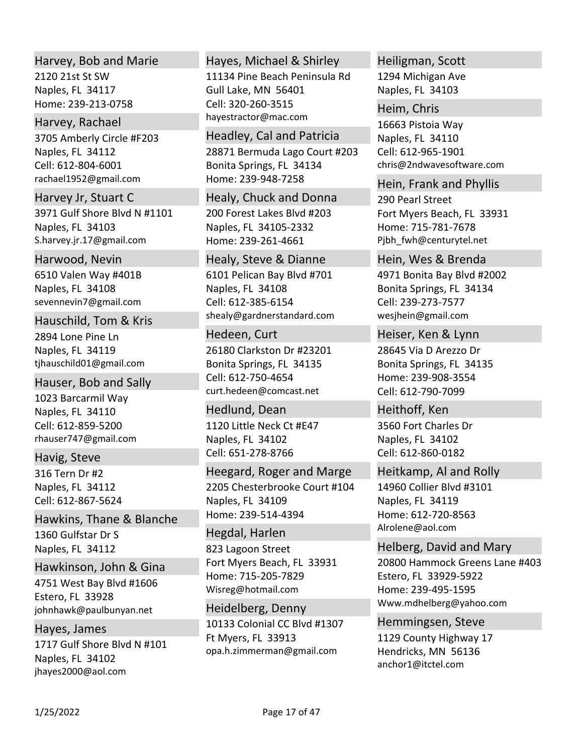### Harvey, Bob and Marie

2120 21st St SW Naples, FL 34117 Home: 239‐213‐0758

## Harvey, Rachael

3705 Amberly Circle #F203 Naples, FL 34112 rachael1952@gmail.com Cell: 612‐804‐6001

3971 Gulf Shore Blvd N #1101 Naples, FL 34103 Harvey Jr, Stuart C

S.harvey.jr.17@gmail.com 6510 Valen Way #401B Naples, FL 34108 Harwood, Nevin

sevennevin7@gmail.com

# Hauschild, Tom & Kris

2894 Lone Pine Ln Naples, FL 34119 tjhauschild01@gmail.com

## Hauser, Bob and Sally

1023 Barcarmil Way Naples, FL 34110 rhauser747@gmail.com Cell: 612‐859‐5200

Havig, Steve

316 Tern Dr #2 Naples, FL 34112 Cell: 612‐867‐5624

1360 Gulfstar Dr S Naples, FL 34112 Hawkins, Thane & Blanche

Hawkinson, John & Gina

4751 West Bay Blvd #1606 Estero, FL 33928 johnhawk@paulbunyan.net

1717 Gulf Shore Blvd N #101 Naples, FL 34102 jhayes2000@aol.com Hayes, James

# Hayes, Michael & Shirley

11134 Pine Beach Peninsula Rd Gull Lake, MN 56401 hayestractor@mac.com Cell: 320‐260‐3515

28871 Bermuda Lago Court #203 Bonita Springs, FL 34134 Home: 239‐948‐7258 Headley, Cal and Patricia

200 Forest Lakes Blvd #203 Naples, FL 34105‐2332 Home: 239‐261‐4661 Healy, Chuck and Donna

6101 Pelican Bay Blvd #701 Naples, FL 34108 shealy@gardnerstandard.com Healy, Steve & Dianne Cell: 612‐385‐6154

26180 Clarkston Dr #23201 Bonita Springs, FL 34135 curt.hedeen@comcast.net Hedeen, Curt Cell: 612‐750‐4654

1120 Little Neck Ct #E47 Naples, FL 34102 Hedlund, Dean Cell: 651‐278‐8766

2205 Chesterbrooke Court #104 Naples, FL 34109 Home: 239‐514‐4394 Heegard, Roger and Marge

823 Lagoon Street Fort Myers Beach, FL 33931 Home: 715‐205‐7829 Wisreg@hotmail.com Hegdal, Harlen

10133 Colonial CC Blvd #1307 Ft Myers, FL 33913 opa.h.zimmerman@gmail.com Heidelberg, Denny

# Heiligman, Scott

1294 Michigan Ave Naples, FL 34103

16663 Pistoia Way Naples, FL 34110 chris@2ndwavesoftware.com Heim, Chris Cell: 612‐965‐1901

Hein, Frank and Phyllis

290 Pearl Street Fort Myers Beach, FL 33931 Home: 715‐781‐7678 Pjbh\_fwh@centurytel.net

4971 Bonita Bay Blvd #2002 Bonita Springs, FL 34134 wesjhein@gmail.com Hein, Wes & Brenda Cell: 239‐273‐7577

28645 Via D Arezzo Dr Bonita Springs, FL 34135 Home: 239‐908‐3554 Heiser, Ken & Lynn Cell: 612‐790‐7099

3560 Fort Charles Dr Naples, FL 34102 Heithoff, Ken Cell: 612‐860‐0182

14960 Collier Blvd #3101 Heitkamp, Al and Rolly

Naples, FL 34119 Home: 612‐720‐8563 Alrolene@aol.com

20800 Hammock Greens Lane #403 Estero, FL 33929‐5922 Home: 239‐495‐1595 Www.mdhelberg@yahoo.com Helberg, David and Mary

1129 County Highway 17 Hendricks, MN 56136 anchor1@itctel.com Hemmingsen, Steve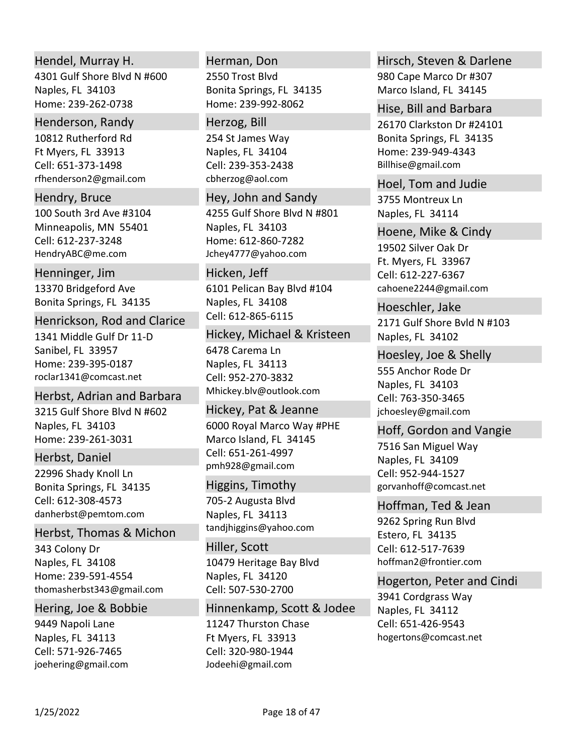## Hendel, Murray H.

4301 Gulf Shore Blvd N #600 Naples, FL 34103 Home: 239‐262‐0738

### Henderson, Randy

10812 Rutherford Rd Ft Myers, FL 33913 rfhenderson2@gmail.com Cell: 651‐373‐1498

### Hendry, Bruce

100 South 3rd Ave #3104 Minneapolis, MN 55401 HendryABC@me.com Cell: 612‐237‐3248

### Henninger, Jim

13370 Bridgeford Ave Bonita Springs, FL 34135

#### Henrickson, Rod and Clarice

1341 Middle Gulf Dr 11‐D Sanibel, FL 33957 Home: 239‐395‐0187 roclar1341@comcast.net

# Herbst, Adrian and Barbara

3215 Gulf Shore Blvd N #602 Naples, FL 34103 Home: 239‐261‐3031

### Herbst, Daniel

22996 Shady Knoll Ln Bonita Springs, FL 34135 danherbst@pemtom.com Cell: 612‐308‐4573

# Herbst, Thomas & Michon

343 Colony Dr Naples, FL 34108 Home: 239‐591‐4554 thomasherbst343@gmail.com

### Hering, Joe & Bobbie

9449 Napoli Lane Naples, FL 34113 joehering@gmail.com Cell: 571‐926‐7465

# Herman, Don

2550 Trost Blvd Bonita Springs, FL 34135 Home: 239‐992‐8062

#### Herzog, Bill

254 St James Way Naples, FL 34104 cbherzog@aol.com Cell: 239‐353‐2438

#### Hey, John and Sandy

4255 Gulf Shore Blvd N #801 Naples, FL 34103 Home: 612‐860‐7282 Jchey4777@yahoo.com

### Hicken, Jeff

6101 Pelican Bay Blvd #104 Naples, FL 34108 Cell: 612‐865‐6115

### Hickey, Michael & Kristeen

6478 Carema Ln Naples, FL 34113 Mhickey.blv@outlook.com Cell: 952‐270‐3832

# Hickey, Pat & Jeanne

6000 Royal Marco Way #PHE Marco Island, FL 34145 pmh928@gmail.com Cell: 651‐261‐4997

### Higgins, Timothy

705‐2 Augusta Blvd Naples, FL 34113 tandjhiggins@yahoo.com

10479 Heritage Bay Blvd Naples, FL 34120 Hiller, Scott Cell: 507‐530‐2700

11247 Thurston Chase Ft Myers, FL 33913 Jodeehi@gmail.com Hinnenkamp, Scott & Jodee Cell: 320‐980‐1944

# 980 Cape Marco Dr #307 Marco Island, FL 34145 Hirsch, Steven & Darlene

26170 Clarkston Dr #24101 Bonita Springs, FL 34135 Home: 239‐949‐4343 Billhise@gmail.com Hise, Bill and Barbara

## 3755 Montreux Ln Naples, FL 34114 Hoel, Tom and Judie

19502 Silver Oak Dr Ft. Myers, FL 33967 cahoene2244@gmail.com Hoene, Mike & Cindy Cell: 612‐227‐6367

2171 Gulf Shore Bvld N #103 Naples, FL 34102 Hoeschler, Jake

### Hoesley, Joe & Shelly

555 Anchor Rode Dr Naples, FL 34103 jchoesley@gmail.com Cell: 763‐350‐3465

### Hoff, Gordon and Vangie

7516 San Miguel Way Naples, FL 34109 gorvanhoff@comcast.net Cell: 952‐944‐1527

#### Hoffman, Ted & Jean

9262 Spring Run Blvd Estero, FL 34135 hoffman2@frontier.com Cell: 612‐517‐7639

### Hogerton, Peter and Cindi

3941 Cordgrass Way Naples, FL 34112 hogertons@comcast.net Cell: 651‐426‐9543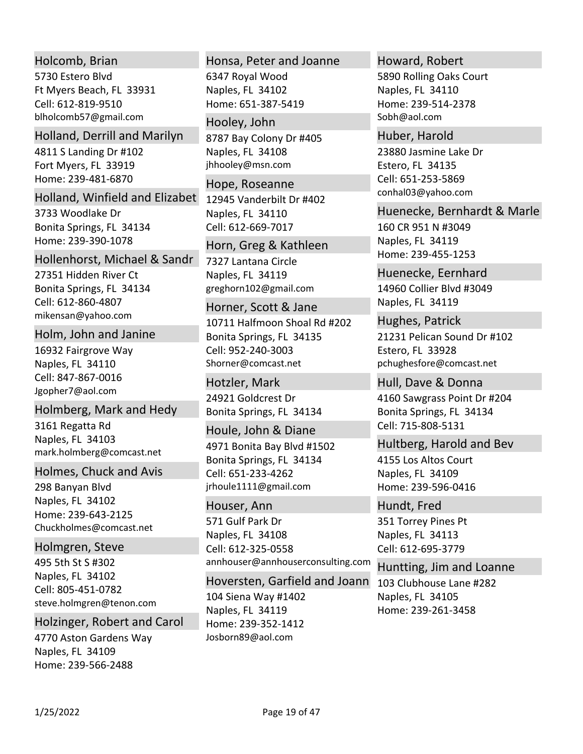# Holcomb, Brian

5730 Estero Blvd Ft Myers Beach, FL 33931 blholcomb57@gmail.com Cell: 612‐819‐9510

## Holland, Derrill and Marilyn

4811 S Landing Dr #102 Fort Myers, FL 33919 Home: 239‐481‐6870

# Holland, Winfield and Elizabet

3733 Woodlake Dr Bonita Springs, FL 34134 Home: 239‐390‐1078

# 27351 Hidden River Ct Bonita Springs, FL 34134 mikensan@yahoo.com Hollenhorst, Michael & Sandr Cell: 612‐860‐4807

# Holm, John and Janine

16932 Fairgrove Way Naples, FL 34110 Jgopher7@aol.com Cell: 847‐867‐0016

# Holmberg, Mark and Hedy

3161 Regatta Rd Naples, FL 34103 mark.holmberg@comcast.net

### Holmes, Chuck and Avis

298 Banyan Blvd Naples, FL 34102 Home: 239‐643‐2125 Chuckholmes@comcast.net

### Holmgren, Steve

495 5th St S #302 Naples, FL 34102 steve.holmgren@tenon.com Cell: 805‐451‐0782

# Holzinger, Robert and Carol

4770 Aston Gardens Way Naples, FL 34109 Home: 239‐566‐2488

### Honsa, Peter and Joanne

6347 Royal Wood Naples, FL 34102 Home: 651‐387‐5419

# 8787 Bay Colony Dr #405 Hooley, John

Naples, FL 34108 jhhooley@msn.com

# 12945 Vanderbilt Dr #402 Naples, FL 34110 Hope, Roseanne Cell: 612‐669‐7017

# Horn, Greg & Kathleen

7327 Lantana Circle Naples, FL 34119 greghorn102@gmail.com

### Horner, Scott & Jane

10711 Halfmoon Shoal Rd #202 Bonita Springs, FL 34135 Shorner@comcast.net Cell: 952‐240‐3003

24921 Goldcrest Dr Bonita Springs, FL 34134 Hotzler, Mark

# 4971 Bonita Bay Blvd #1502 Bonita Springs, FL 34134 jrhoule1111@gmail.com Houle, John & Diane Cell: 651‐233‐4262

### Houser, Ann

571 Gulf Park Dr Naples, FL 34108 annhouser@annhouserconsulting.com Cell: 612‐325‐0558

104 Siena Way #1402 Naples, FL 34119 Home: 239‐352‐1412 Josborn89@aol.com Hoversten, Garfield and Joann

# Howard, Robert

5890 Rolling Oaks Court Naples, FL 34110 Home: 239‐514‐2378 Sobh@aol.com

# 23880 Jasmine Lake Dr Estero, FL 34135 conhal03@yahoo.com Huber, Harold Cell: 651‐253‐5869

160 CR 951 N #3049 Naples, FL 34119 Home: 239‐455‐1253 Huenecke, Bernhardt & Marle

14960 Collier Blvd #3049 Naples, FL 34119 Huenecke, Eernhard

21231 Pelican Sound Dr #102 Estero, FL 33928 pchughesfore@comcast.net Hughes, Patrick

4160 Sawgrass Point Dr #204 Bonita Springs, FL 34134 Hull, Dave & Donna Cell: 715‐808‐5131

4155 Los Altos Court Naples, FL 34109 Home: 239‐596‐0416 Hultberg, Harold and Bev

351 Torrey Pines Pt Naples, FL 34113 Hundt, Fred Cell: 612‐695‐3779

# Huntting, Jim and Loanne

103 Clubhouse Lane #282 Naples, FL 34105 Home: 239‐261‐3458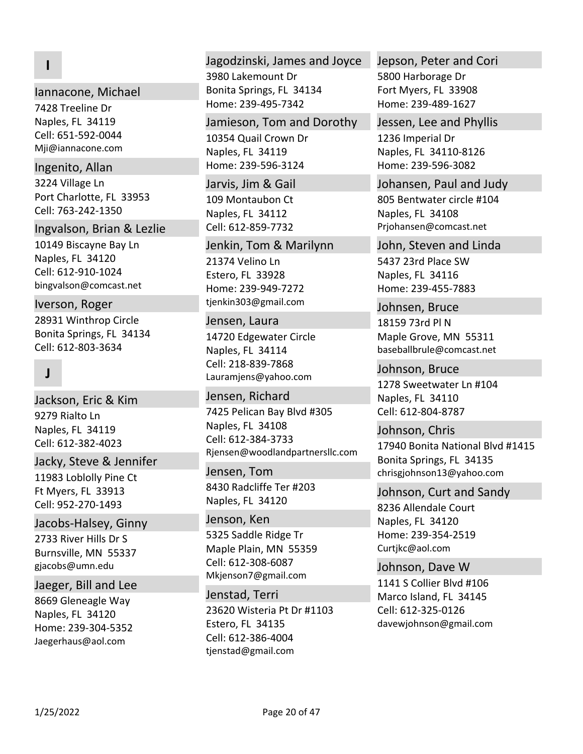# **I**

### Iannacone, Michael

7428 Treeline Dr Naples, FL 34119 Mji@iannacone.com Cell: 651‐592‐0044

#### Ingenito, Allan

3224 Village Ln Port Charlotte, FL 33953 Cell: 763‐242‐1350

#### Ingvalson, Brian & Lezlie

10149 Biscayne Bay Ln Naples, FL 34120 bingvalson@comcast.net Cell: 612‐910‐1024

# Iverson, Roger

28931 Winthrop Circle Bonita Springs, FL 34134 Cell: 612‐803‐3634

# **J**

9279 Rialto Ln Naples, FL 34119 Jackson, Eric & Kim Cell: 612‐382‐4023

#### Jacky, Steve & Jennifer

11983 Loblolly Pine Ct Ft Myers, FL 33913 Cell: 952‐270‐1493

### Jacobs‐Halsey, Ginny

2733 River Hills Dr S Burnsville, MN 55337 gjacobs@umn.edu

#### Jaeger, Bill and Lee

8669 Gleneagle Way Naples, FL 34120 Home: 239‐304‐5352 Jaegerhaus@aol.com

#### Jagodzinski, James and Joyce

3980 Lakemount Dr Bonita Springs, FL 34134 Home: 239‐495‐7342

#### Jamieson, Tom and Dorothy

10354 Quail Crown Dr Naples, FL 34119 Home: 239‐596‐3124

# Jarvis, Jim & Gail

109 Montaubon Ct Naples, FL 34112 Cell: 612‐859‐7732

### Jenkin, Tom & Marilynn

21374 Velino Ln Estero, FL 33928 Home: 239‐949‐7272 tjenkin303@gmail.com

#### Jensen, Laura

14720 Edgewater Circle Naples, FL 34114 Lauramjens@yahoo.com Cell: 218‐839‐7868

## 7425 Pelican Bay Blvd #305 Naples, FL 34108 Jensen, Richard Cell: 612‐384‐3733

Rjensen@woodlandpartnersllc.com Jensen, Tom

# 8430 Radcliffe Ter #203 Naples, FL 34120

5325 Saddle Ridge Tr Maple Plain, MN 55359 Mkjenson7@gmail.com Jenson, Ken Cell: 612‐308‐6087

#### Jenstad, Terri

23620 Wisteria Pt Dr #1103 Estero, FL 34135 tjenstad@gmail.com Cell: 612‐386‐4004

# 5800 Harborage Dr Fort Myers, FL 33908 Home: 239‐489‐1627 Jepson, Peter and Cori

### Jessen, Lee and Phyllis

1236 Imperial Dr Naples, FL 34110‐8126 Home: 239‐596‐3082

#### Johansen, Paul and Judy

805 Bentwater circle #104 Naples, FL 34108 Prjohansen@comcast.net

#### John, Steven and Linda

5437 23rd Place SW Naples, FL 34116 Home: 239‐455‐7883

#### Johnsen, Bruce

18159 73rd Pl N Maple Grove, MN 55311 baseballbrule@comcast.net

#### Johnson, Bruce

1278 Sweetwater Ln #104 Naples, FL 34110 Cell: 612‐804‐8787

## 17940 Bonita National Blvd #1415 Bonita Springs, FL 34135 chrisgjohnson13@yahoo.com Johnson, Chris

# Johnson, Curt and Sandy

8236 Allendale Court Naples, FL 34120 Home: 239‐354‐2519 Curtjkc@aol.com

# Johnson, Dave W

1141 S Collier Blvd #106 Marco Island, FL 34145 davewjohnson@gmail.com Cell: 612‐325‐0126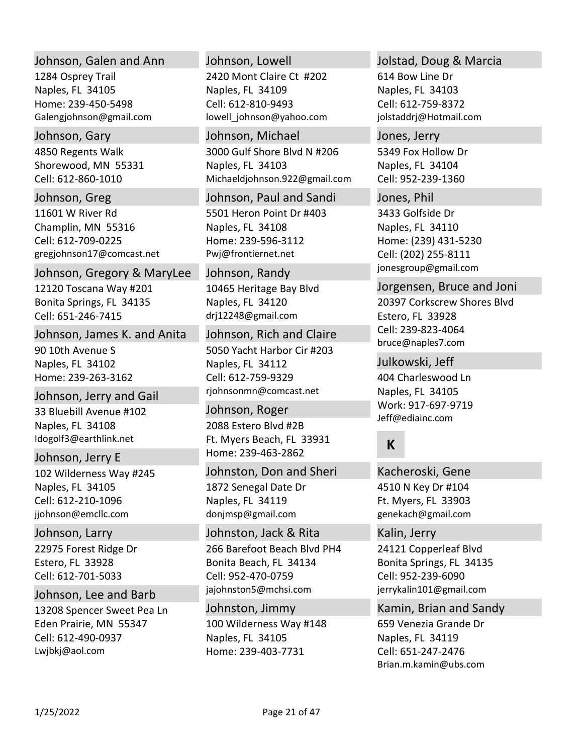### Johnson, Galen and Ann

1284 Osprey Trail Naples, FL 34105 Home: 239‐450‐5498 Galengjohnson@gmail.com

### Johnson, Gary

4850 Regents Walk Shorewood, MN 55331 Cell: 612‐860‐1010

# Johnson, Greg

11601 W River Rd Champlin, MN 55316 gregjohnson17@comcast.net Cell: 612‐709‐0225

### Johnson, Gregory & MaryLee

12120 Toscana Way #201 Bonita Springs, FL 34135 Cell: 651‐246‐7415

### Johnson, James K. and Anita

90 10th Avenue S Naples, FL 34102 Home: 239‐263‐3162

# Johnson, Jerry and Gail

33 Bluebill Avenue #102 Naples, FL 34108 Idogolf3@earthlink.net

# Johnson, Jerry E

102 Wilderness Way #245 Naples, FL 34105 jjohnson@emcllc.com Cell: 612‐210‐1096

# Johnson, Larry

22975 Forest Ridge Dr Estero, FL 33928 Cell: 612‐701‐5033

# Johnson, Lee and Barb

13208 Spencer Sweet Pea Ln Eden Prairie, MN 55347 Lwjbkj@aol.com Cell: 612‐490‐0937

### Johnson, Lowell

2420 Mont Claire Ct #202 Naples, FL 34109 lowell\_johnson@yahoo.com Cell: 612‐810‐9493

3000 Gulf Shore Blvd N #206 Naples, FL 34103 Michaeldjohnson.922@gmail.com Johnson, Michael

5501 Heron Point Dr #403 Naples, FL 34108 Home: 239‐596‐3112 Pwj@frontiernet.net Johnson, Paul and Sandi

# Johnson, Randy

10465 Heritage Bay Blvd Naples, FL 34120 drj12248@gmail.com

# 5050 Yacht Harbor Cir #203 Naples, FL 34112 rjohnsonmn@comcast.net Johnson, Rich and Claire Cell: 612‐759‐9329

2088 Estero Blvd #2B Ft. Myers Beach, FL 33931 Home: 239‐463‐2862 Johnson, Roger

# Johnston, Don and Sheri

1872 Senegal Date Dr Naples, FL 34119 donjmsp@gmail.com

# 266 Barefoot Beach Blvd PH4 Bonita Beach, FL 34134 jajohnston5@mchsi.com Johnston, Jack & Rita Cell: 952‐470‐0759

100 Wilderness Way #148 Naples, FL 34105 Home: 239‐403‐7731 Johnston, Jimmy

## Jolstad, Doug & Marcia

614 Bow Line Dr Naples, FL 34103 jolstaddrj@Hotmail.com Cell: 612‐759‐8372

5349 Fox Hollow Dr Naples, FL 34104 Jones, Jerry Cell: 952‐239‐1360

3433 Golfside Dr Naples, FL 34110 Home: (239) 431‐5230 jonesgroup@gmail.com Jones, Phil Cell: (202) 255‐8111

# Jorgensen, Bruce and Joni

20397 Corkscrew Shores Blvd Estero, FL 33928 bruce@naples7.com Cell: 239‐823‐4064

Julkowski, Jeff

404 Charleswood Ln Naples, FL 34105 Work: 917‐697‐9719 Jeff@ediainc.com

# **K**

4510 N Key Dr #104 Ft. Myers, FL 33903 genekach@gmail.com Kacheroski, Gene

# Kalin, Jerry

24121 Copperleaf Blvd Bonita Springs, FL 34135 jerrykalin101@gmail.com Cell: 952‐239‐6090

Kamin, Brian and Sandy

659 Venezia Grande Dr Naples, FL 34119 Brian.m.kamin@ubs.com Cell: 651‐247‐2476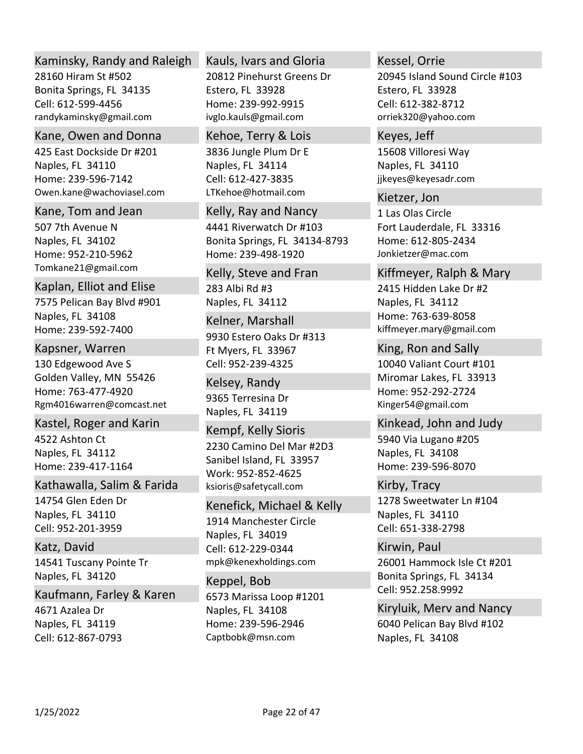# Kaminsky, Randy and Raleigh

28160 Hiram St #502 Bonita Springs, FL 34135 randykaminsky@gmail.com Cell: 612‐599‐4456

## Kane, Owen and Donna

425 East Dockside Dr #201 Naples, FL 34110 Home: 239‐596‐7142 Owen.kane@wachoviasel.com

### Kane, Tom and Jean

507 7th Avenue N Naples, FL 34102 Home: 952‐210‐5962 Tomkane21@gmail.com

# Kaplan, Elliot and Elise

7575 Pelican Bay Blvd #901 Naples, FL 34108 Home: 239‐592‐7400

# Kapsner, Warren

130 Edgewood Ave S Golden Valley, MN 55426 Home: 763‐477‐4920 Rgm4016warren@comcast.net

# Kastel, Roger and Karin

4522 Ashton Ct Naples, FL 34112 Home: 239‐417‐1164

# Kathawalla, Salim & Farida

14754 Glen Eden Dr Naples, FL 34110 Cell: 952‐201‐3959

# Katz, David

14541 Tuscany Pointe Tr Naples, FL 34120

# Kaufmann, Farley & Karen

4671 Azalea Dr Naples, FL 34119 Cell: 612‐867‐0793

# Kauls, Ivars and Gloria

20812 Pinehurst Greens Dr Estero, FL 33928 Home: 239‐992‐9915 ivglo.kauls@gmail.com

# 3836 Jungle Plum Dr E Kehoe, Terry & Lois

Naples, FL 34114 LTKehoe@hotmail.com Cell: 612‐427‐3835

# 4441 Riverwatch Dr #103 Bonita Springs, FL 34134‐8793 Home: 239‐498‐1920 Kelly, Ray and Nancy

# 283 Albi Rd #3 Naples, FL 34112 Kelly, Steve and Fran

# 9930 Estero Oaks Dr #313 Ft Myers, FL 33967 Kelner, Marshall Cell: 952‐239‐4325

# 9365 Terresina Dr Naples, FL 34119 Kelsey, Randy

# 2230 Camino Del Mar #2D3 Sanibel Island, FL 33957 Work: 952‐852‐4625 ksioris@safetycall.com Kempf, Kelly Sioris

# Kenefick, Michael & Kelly

1914 Manchester Circle Naples, FL 34019 mpk@kenexholdings.com Cell: 612‐229‐0344

# Keppel, Bob

6573 Marissa Loop #1201 Naples, FL 34108 Home: 239‐596‐2946 Captbobk@msn.com

# Kessel, Orrie

20945 Island Sound Circle #103 Estero, FL 33928 orriek320@yahoo.com Cell: 612‐382‐8712

# 15608 Villoresi Way Naples, FL 34110 jjkeyes@keyesadr.com Keyes, Jeff

# Kietzer, Jon

1 Las Olas Circle Fort Lauderdale, FL 33316 Home: 612‐805‐2434 Jonkietzer@mac.com

# Kiffmeyer, Ralph & Mary

2415 Hidden Lake Dr #2 Naples, FL 34112 Home: 763‐639‐8058 kiffmeyer.mary@gmail.com

# 10040 Valiant Court #101 Miromar Lakes, FL 33913 Home: 952‐292‐2724 Kinger54@gmail.com King, Ron and Sally

# 5940 Via Lugano #205 Naples, FL 34108 Home: 239‐596‐8070 Kinkead, John and Judy

1278 Sweetwater Ln #104 Naples, FL 34110 Kirby, Tracy Cell: 651‐338‐2798

# 26001 Hammock Isle Ct #201 Bonita Springs, FL 34134 Kirwin, Paul Cell: 952.258.9992

6040 Pelican Bay Blvd #102 Naples, FL 34108 Kiryluik, Merv and Nancy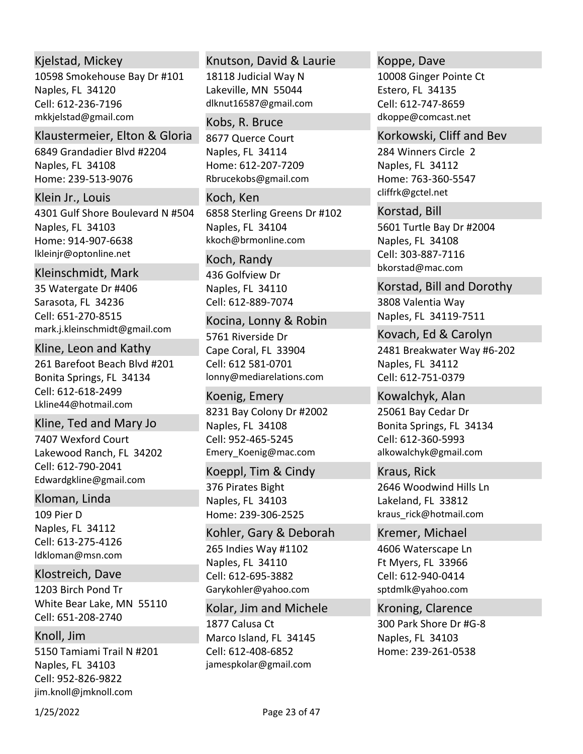# Kjelstad, Mickey

10598 Smokehouse Bay Dr #101 Naples, FL 34120 mkkjelstad@gmail.com Cell: 612‐236‐7196

# Klaustermeier, Elton & Gloria

6849 Grandadier Blvd #2204 Naples, FL 34108 Home: 239‐513‐9076

4301 Gulf Shore Boulevard N #504 Naples, FL 34103 Home: 914‐907‐6638 lkleinjr@optonline.net Klein Jr., Louis

# Kleinschmidt, Mark

35 Watergate Dr #406 Sarasota, FL 34236 mark.j.kleinschmidt@gmail.com Cell: 651‐270‐8515

261 Barefoot Beach Blvd #201 Bonita Springs, FL 34134 Lkline44@hotmail.com Kline, Leon and Kathy Cell: 612‐618‐2499

### Kline, Ted and Mary Jo

7407 Wexford Court Lakewood Ranch, FL 34202 Edwardgkline@gmail.com Cell: 612‐790‐2041

### Kloman, Linda

109 Pier D Naples, FL 34112 ldkloman@msn.com Cell: 613‐275‐4126

Klostreich, Dave

1203 Birch Pond Tr White Bear Lake, MN 55110 Cell: 651‐208‐2740

# Knoll, Jim

5150 Tamiami Trail N #201 Naples, FL 34103 jim.knoll@jmknoll.com Cell: 952‐826‐9822

# Knutson, David & Laurie

18118 Judicial Way N Lakeville, MN 55044 dlknut16587@gmail.com

## Kobs, R. Bruce

8677 Querce Court Naples, FL 34114 Home: 612‐207‐7209 Rbrucekobs@gmail.com

6858 Sterling Greens Dr #102 Naples, FL 34104 kkoch@brmonline.com Koch, Ken

# Koch, Randy

436 Golfview Dr Naples, FL 34110 Cell: 612‐889‐7074

# Kocina, Lonny & Robin

5761 Riverside Dr Cape Coral, FL 33904 lonny@mediarelations.com Cell: 612 581‐0701

8231 Bay Colony Dr #2002 Naples, FL 34108 Emery\_Koenig@mac.com Koenig, Emery Cell: 952‐465‐5245

# Koeppl, Tim & Cindy

376 Pirates Bight Naples, FL 34103 Home: 239‐306‐2525

265 Indies Way #1102 Naples, FL 34110 Garykohler@yahoo.com Kohler, Gary & Deborah Cell: 612‐695‐3882

Kolar, Jim and Michele

1877 Calusa Ct Marco Island, FL 34145 jamespkolar@gmail.com Cell: 612‐408‐6852

### Koppe, Dave

10008 Ginger Pointe Ct Estero, FL 34135 dkoppe@comcast.net Cell: 612‐747‐8659

### Korkowski, Cliff and Bev

284 Winners Circle 2 Naples, FL 34112 Home: 763‐360‐5547 cliffrk@gctel.net

### Korstad, Bill

5601 Turtle Bay Dr #2004 Naples, FL 34108 bkorstad@mac.com Cell: 303‐887‐7116

Korstad, Bill and Dorothy

3808 Valentia Way Naples, FL 34119‐7511

2481 Breakwater Way #6‐202 Naples, FL 34112 Kovach, Ed & Carolyn Cell: 612‐751‐0379

25061 Bay Cedar Dr Bonita Springs, FL 34134 alkowalchyk@gmail.com Kowalchyk, Alan Cell: 612‐360‐5993

# 2646 Woodwind Hills Ln Lakeland, FL 33812 Kraus, Rick

kraus\_rick@hotmail.com

# 4606 Waterscape Ln Ft Myers, FL 33966 sptdmlk@yahoo.com Kremer, Michael Cell: 612‐940‐0414

300 Park Shore Dr #G‐8 Naples, FL 34103 Home: 239‐261‐0538 Kroning, Clarence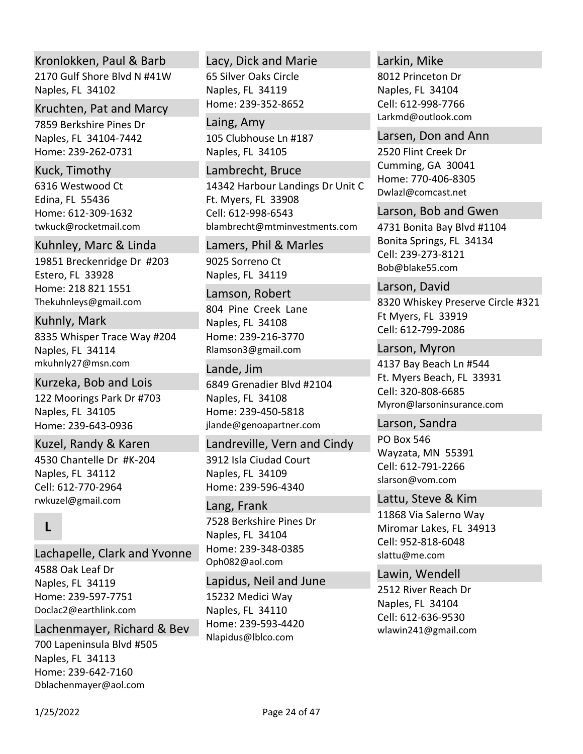# Kronlokken, Paul & Barb

2170 Gulf Shore Blvd N #41W Naples, FL 34102

### Kruchten, Pat and Marcy

7859 Berkshire Pines Dr Naples, FL 34104‐7442 Home: 239‐262‐0731

## Kuck, Timothy

6316 Westwood Ct Edina, FL 55436 Home: 612‐309‐1632 twkuck@rocketmail.com

### Kuhnley, Marc & Linda

19851 Breckenridge Dr #203 Estero, FL 33928 Home: 218 821 1551 Thekuhnleys@gmail.com

# Kuhnly, Mark

8335 Whisper Trace Way #204 Naples, FL 34114 mkuhnly27@msn.com

### Kurzeka, Bob and Lois

122 Moorings Park Dr #703 Naples, FL 34105 Home: 239‐643‐0936

4530 Chantelle Dr #K‐204 Naples, FL 34112 rwkuzel@gmail.com Kuzel, Randy & Karen Cell: 612‐770‐2964

# **L**

Lachapelle, Clark and Yvonne

4588 Oak Leaf Dr Naples, FL 34119 Home: 239‐597‐7751 Doclac2@earthlink.com

# Lachenmayer, Richard & Bev

700 Lapeninsula Blvd #505 Naples, FL 34113 Home: 239‐642‐7160 Dblachenmayer@aol.com

# 65 Silver Oaks Circle Naples, FL 34119 Lacy, Dick and Marie

Home: 239‐352‐8652 105 Clubhouse Ln #187 Naples, FL 34105 Laing, Amy

### Lambrecht, Bruce

14342 Harbour Landings Dr Unit C Ft. Myers, FL 33908 blambrecht@mtminvestments.com Cell: 612‐998‐6543

9025 Sorreno Ct Naples, FL 34119 Lamers, Phil & Marles

# 804 Pine Creek Lane Naples, FL 34108 Home: 239‐216‐3770 Rlamson3@gmail.com Lamson, Robert

### Lande, Jim

6849 Grenadier Blvd #2104 Naples, FL 34108 Home: 239‐450‐5818 jlande@genoapartner.com

# 3912 Isla Ciudad Court Naples, FL 34109 Home: 239‐596‐4340 Landreville, Vern and Cindy

7528 Berkshire Pines Dr Naples, FL 34104 Home: 239‐348‐0385 Oph082@aol.com Lang, Frank

15232 Medici Way Naples, FL 34110 Home: 239‐593‐4420 Nlapidus@lblco.com Lapidus, Neil and June

### Larkin, Mike

8012 Princeton Dr Naples, FL 34104 Larkmd@outlook.com Cell: 612‐998‐7766

2520 Flint Creek Dr Cumming, GA 30041 Home: 770‐406‐8305 Dwlazl@comcast.net Larsen, Don and Ann

### Larson, Bob and Gwen

4731 Bonita Bay Blvd #1104 Bonita Springs, FL 34134 Bob@blake55.com Cell: 239‐273‐8121

8320 Whiskey Preserve Circle #321 Ft Myers, FL 33919 Larson, David Cell: 612‐799‐2086

4137 Bay Beach Ln #544 Ft. Myers Beach, FL 33931 Myron@larsoninsurance.com Larson, Myron Cell: 320‐808‐6685

PO Box 546 Wayzata, MN 55391 slarson@vom.com Larson, Sandra Cell: 612‐791‐2266

### Lattu, Steve & Kim

11868 Via Salerno Way Miromar Lakes, FL 34913 slattu@me.com Cell: 952‐818‐6048

# Lawin, Wendell

2512 River Reach Dr Naples, FL 34104 wlawin241@gmail.com Cell: 612‐636‐9530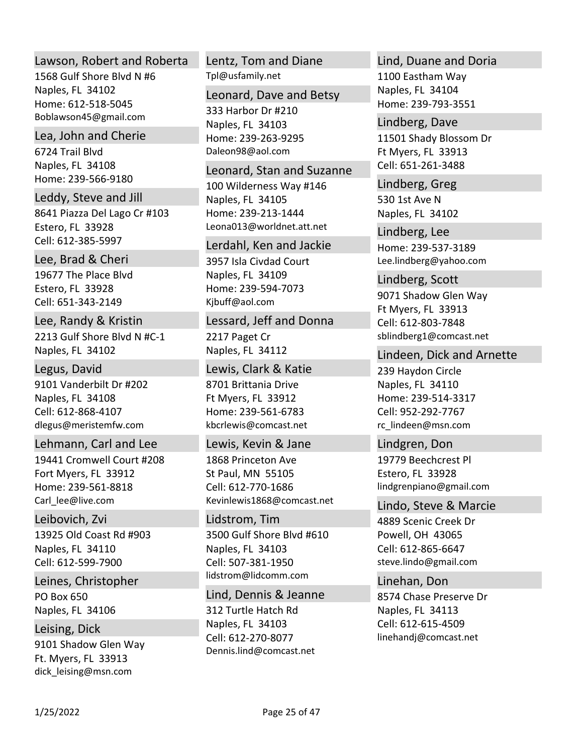### Lawson, Robert and Roberta

1568 Gulf Shore Blvd N #6 Naples, FL 34102 Home: 612‐518‐5045 Boblawson45@gmail.com

# Lea, John and Cherie

6724 Trail Blvd Naples, FL 34108 Home: 239‐566‐9180

8641 Piazza Del Lago Cr #103 Estero, FL 33928 Leddy, Steve and Jill Cell: 612‐385‐5997

# Lee, Brad & Cheri

19677 The Place Blvd Estero, FL 33928 Cell: 651‐343‐2149

# 2213 Gulf Shore Blvd N #C‐1 Lee, Randy & Kristin

Naples, FL 34102

# Legus, David

9101 Vanderbilt Dr #202 Naples, FL 34108 dlegus@meristemfw.com Cell: 612‐868‐4107

# Lehmann, Carl and Lee

19441 Cromwell Court #208 Fort Myers, FL 33912 Home: 239‐561‐8818 Carl lee@live.com

# Leibovich, Zvi

13925 Old Coast Rd #903 Naples, FL 34110 Cell: 612‐599‐7900

PO Box 650 Naples, FL 34106 Leines, Christopher

# Leising, Dick

9101 Shadow Glen Way Ft. Myers, FL 33913 dick\_leising@msn.com

### Tpl@usfamily.net Lentz, Tom and Diane

# Leonard, Dave and Betsy

333 Harbor Dr #210 Naples, FL 34103 Home: 239‐263‐9295 Daleon98@aol.com

# Leonard, Stan and Suzanne

100 Wilderness Way #146 Naples, FL 34105 Home: 239‐213‐1444 Leona013@worldnet.att.net

# Lerdahl, Ken and Jackie

3957 Isla Civdad Court Naples, FL 34109 Home: 239‐594‐7073 Kjbuff@aol.com

# Lessard, Jeff and Donna

2217 Paget Cr Naples, FL 34112

# Lewis, Clark & Katie

8701 Brittania Drive Ft Myers, FL 33912 Home: 239‐561‐6783 kbcrlewis@comcast.net

# 1868 Princeton Ave St Paul, MN 55105 Kevinlewis1868@comcast.net Lewis, Kevin & Jane Cell: 612‐770‐1686

3500 Gulf Shore Blvd #610 Naples, FL 34103 lidstrom@lidcomm.com Lidstrom, Tim Cell: 507‐381‐1950

# Lind, Dennis & Jeanne

312 Turtle Hatch Rd Naples, FL 34103 Dennis.lind@comcast.net Cell: 612‐270‐8077

# Lind, Duane and Doria

1100 Eastham Way Naples, FL 34104 Home: 239‐793‐3551

# 11501 Shady Blossom Dr Ft Myers, FL 33913 Lindberg, Dave Cell: 651‐261‐3488

530 1st Ave N Naples, FL 34102 Lindberg, Greg

Home: 239‐537‐3189 Lee.lindberg@yahoo.com Lindberg, Lee

# 9071 Shadow Glen Way Ft Myers, FL 33913 sblindberg1@comcast.net Lindberg, Scott Cell: 612‐803‐7848

# Lindeen, Dick and Arnette

239 Haydon Circle Naples, FL 34110 Home: 239‐514‐3317 rc\_lindeen@msn.com Cell: 952‐292‐7767

# 19779 Beechcrest Pl Estero, FL 33928 lindgrenpiano@gmail.com Lindgren, Don

### 4889 Scenic Creek Dr Lindo, Steve & Marcie

Powell, OH 43065 steve.lindo@gmail.com Cell: 612‐865‐6647

# 8574 Chase Preserve Dr Naples, FL 34113 linehandj@comcast.net Linehan, Don Cell: 612‐615‐4509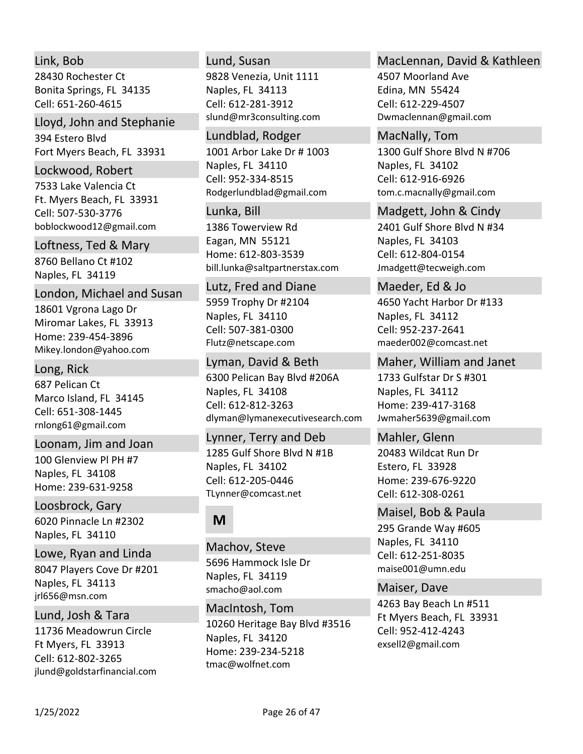# Link, Bob

28430 Rochester Ct Bonita Springs, FL 34135 Cell: 651‐260‐4615

Lloyd, John and Stephanie

394 Estero Blvd Fort Myers Beach, FL 33931

#### Lockwood, Robert

7533 Lake Valencia Ct Ft. Myers Beach, FL 33931 boblockwood12@gmail.com Cell: 507‐530‐3776

Loftness, Ted & Mary

8760 Bellano Ct #102 Naples, FL 34119

London, Michael and Susan

18601 Vgrona Lago Dr Miromar Lakes, FL 33913 Home: 239‐454‐3896 Mikey.london@yahoo.com

Long, Rick

687 Pelican Ct Marco Island, FL 34145 rnlong61@gmail.com Cell: 651‐308‐1445

100 Glenview Pl PH #7 Naples, FL 34108 Home: 239‐631‐9258 Loonam, Jim and Joan

6020 Pinnacle Ln #2302 Naples, FL 34110 Loosbrock, Gary

Lowe, Ryan and Linda

8047 Players Cove Dr #201 Naples, FL 34113 jrl656@msn.com

11736 Meadowrun Circle Lund, Josh & Tara

Ft Myers, FL 33913 jlund@goldstarfinancial.com Cell: 612‐802‐3265

### Lund, Susan

9828 Venezia, Unit 1111 Naples, FL 34113 slund@mr3consulting.com Cell: 612‐281‐3912

1001 Arbor Lake Dr # 1003 Naples, FL 34110 Rodgerlundblad@gmail.com Lundblad, Rodger Cell: 952‐334‐8515

### Lunka, Bill

1386 Towerview Rd Eagan, MN 55121 Home: 612‐803‐3539 bill.lunka@saltpartnerstax.com

5959 Trophy Dr #2104 Naples, FL 34110 Flutz@netscape.com Lutz, Fred and Diane Cell: 507‐381‐0300

6300 Pelican Bay Blvd #206A Naples, FL 34108 dlyman@lymanexecutivesearch.com Lyman, David & Beth Cell: 612‐812‐3263

# Lynner, Terry and Deb

1285 Gulf Shore Blvd N #1B Naples, FL 34102 TLynner@comcast.net Cell: 612‐205‐0446

# **M**

5696 Hammock Isle Dr Naples, FL 34119 smacho@aol.com Machov, Steve

10260 Heritage Bay Blvd #3516 Naples, FL 34120 Home: 239‐234‐5218 tmac@wolfnet.com MacIntosh, Tom

# MacLennan, David & Kathleen

4507 Moorland Ave Edina, MN 55424 Dwmaclennan@gmail.com Cell: 612‐229‐4507

1300 Gulf Shore Blvd N #706 Naples, FL 34102 tom.c.macnally@gmail.com MacNally, Tom Cell: 612‐916‐6926

Madgett, John & Cindy

2401 Gulf Shore Blvd N #34 Naples, FL 34103 Jmadgett@tecweigh.com Cell: 612‐804‐0154

4650 Yacht Harbor Dr #133 Naples, FL 34112 maeder002@comcast.net Maeder, Ed & Jo Cell: 952‐237‐2641

1733 Gulfstar Dr S #301 Maher, William and Janet

Naples, FL 34112 Home: 239‐417‐3168 Jwmaher5639@gmail.com

# Mahler, Glenn

20483 Wildcat Run Dr Estero, FL 33928 Home: 239‐676‐9220 Cell: 612‐308‐0261

# Maisel, Bob & Paula

295 Grande Way #605 Naples, FL 34110 maise001@umn.edu Cell: 612‐251‐8035

Maiser, Dave

4263 Bay Beach Ln #511 Ft Myers Beach, FL 33931 exsell2@gmail.com Cell: 952‐412‐4243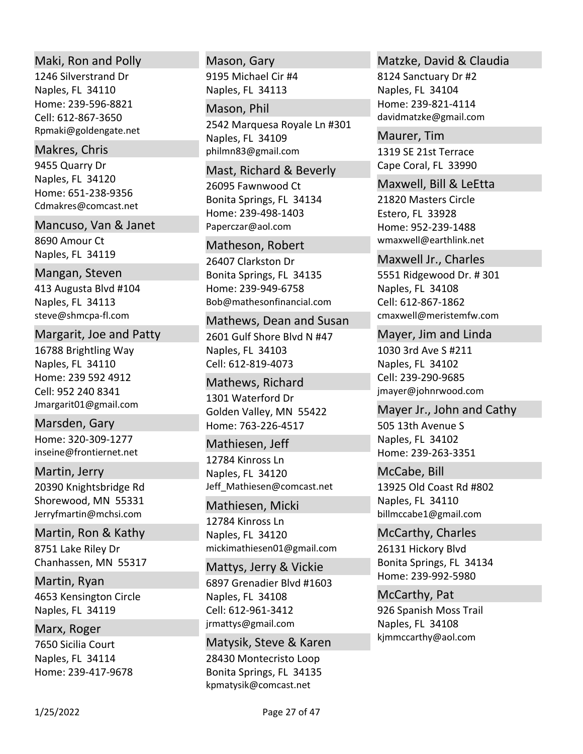### Maki, Ron and Polly

1246 Silverstrand Dr Naples, FL 34110 Home: 239‐596‐8821 Rpmaki@goldengate.net Cell: 612‐867‐3650

### Makres, Chris

9455 Quarry Dr Naples, FL 34120 Home: 651‐238‐9356 Cdmakres@comcast.net

### Mancuso, Van & Janet

8690 Amour Ct Naples, FL 34119

# Mangan, Steven

413 Augusta Blvd #104 Naples, FL 34113 steve@shmcpa‐fl.com

### Margarit, Joe and Patty

16788 Brightling Way Naples, FL 34110 Home: 239 592 4912 Jmargarit01@gmail.com Cell: 952 240 8341

Home: 320‐309‐1277 inseine@frontiernet.net Marsden, Gary

# Martin, Jerry

20390 Knightsbridge Rd Shorewood, MN 55331 Jerryfmartin@mchsi.com

# Martin, Ron & Kathy

8751 Lake Riley Dr Chanhassen, MN 55317

4653 Kensington Circle Naples, FL 34119 Martin, Ryan

# Marx, Roger

7650 Sicilia Court Naples, FL 34114 Home: 239‐417‐9678

# 9195 Michael Cir #4 Mason, Gary

Naples, FL 34113

## Mason, Phil

2542 Marquesa Royale Ln #301 Naples, FL 34109 philmn83@gmail.com

### Mast, Richard & Beverly

26095 Fawnwood Ct Bonita Springs, FL 34134 Home: 239‐498‐1403 Paperczar@aol.com

# Matheson, Robert

26407 Clarkston Dr Bonita Springs, FL 34135 Home: 239‐949‐6758 Bob@mathesonfinancial.com

# Mathews, Dean and Susan

2601 Gulf Shore Blvd N #47 Naples, FL 34103 Cell: 612‐819‐4073

# 1301 Waterford Dr Golden Valley, MN 55422 Home: 763‐226‐4517 Mathews, Richard

12784 Kinross Ln Naples, FL 34120 Jeff\_Mathiesen@comcast.net Mathiesen, Jeff

# Mathiesen, Micki

12784 Kinross Ln Naples, FL 34120 mickimathiesen01@gmail.com

# 6897 Grenadier Blvd #1603 Naples, FL 34108 jrmattys@gmail.com Mattys, Jerry & Vickie Cell: 612‐961‐3412

# 28430 Montecristo Loop Bonita Springs, FL 34135 kpmatysik@comcast.net Matysik, Steve & Karen

# Matzke, David & Claudia

8124 Sanctuary Dr #2 Naples, FL 34104 Home: 239‐821‐4114 davidmatzke@gmail.com

1319 SE 21st Terrace Cape Coral, FL 33990 Maurer, Tim

# Maxwell, Bill & LeEtta

21820 Masters Circle Estero, FL 33928 Home: 952‐239‐1488 wmaxwell@earthlink.net

# Maxwell Jr., Charles

5551 Ridgewood Dr. # 301 Naples, FL 34108 cmaxwell@meristemfw.com Cell: 612‐867‐1862

# Mayer, Jim and Linda

1030 3rd Ave S #211 Naples, FL 34102 jmayer@johnrwood.com Cell: 239‐290‐9685

# Mayer Jr., John and Cathy

505 13th Avenue S Naples, FL 34102 Home: 239‐263‐3351

# 13925 Old Coast Rd #802 Naples, FL 34110 billmccabe1@gmail.com McCabe, Bill

# 26131 Hickory Blvd Bonita Springs, FL 34134 Home: 239‐992‐5980 McCarthy, Charles

926 Spanish Moss Trail Naples, FL 34108 kjmmccarthy@aol.com McCarthy, Pat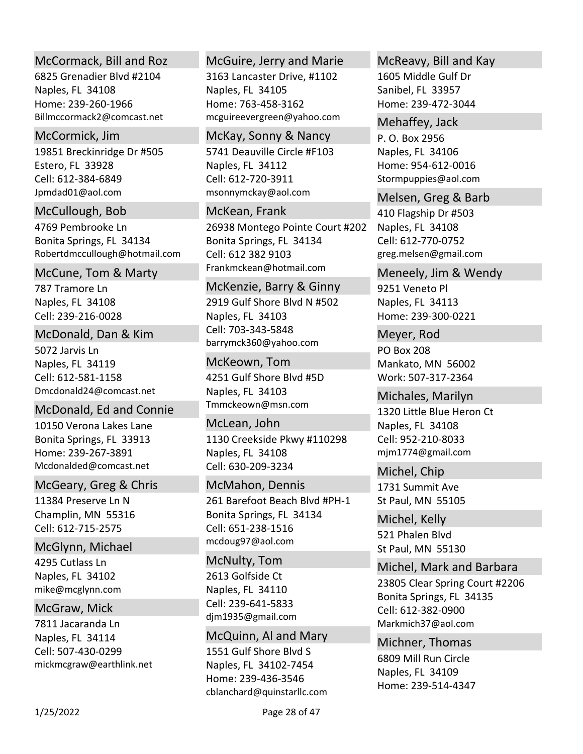# McCormack, Bill and Roz

6825 Grenadier Blvd #2104 Naples, FL 34108 Home: 239‐260‐1966 Billmccormack2@comcast.net

# McCormick, Jim

19851 Breckinridge Dr #505 Estero, FL 33928 Jpmdad01@aol.com Cell: 612‐384‐6849

# McCullough, Bob

4769 Pembrooke Ln Bonita Springs, FL 34134 Robertdmccullough@hotmail.com

# McCune, Tom & Marty

787 Tramore Ln Naples, FL 34108 Cell: 239‐216‐0028

# McDonald, Dan & Kim

5072 Jarvis Ln Naples, FL 34119 Dmcdonald24@comcast.net Cell: 612‐581‐1158

# McDonald, Ed and Connie

10150 Verona Lakes Lane Bonita Springs, FL 33913 Home: 239‐267‐3891 Mcdonalded@comcast.net

# McGeary, Greg & Chris

11384 Preserve Ln N Champlin, MN 55316 Cell: 612‐715‐2575

# McGlynn, Michael

4295 Cutlass Ln Naples, FL 34102 mike@mcglynn.com

# McGraw, Mick

7811 Jacaranda Ln Naples, FL 34114 mickmcgraw@earthlink.net Cell: 507‐430‐0299

# McGuire, Jerry and Marie

3163 Lancaster Drive, #1102 Naples, FL 34105 Home: 763‐458‐3162 mcguireevergreen@yahoo.com

# McKay, Sonny & Nancy

5741 Deauville Circle #F103 Naples, FL 34112 msonnymckay@aol.com Cell: 612‐720‐3911

# McKean, Frank

26938 Montego Pointe Court #202 Bonita Springs, FL 34134 Frankmckean@hotmail.com Cell: 612 382 9103

# McKenzie, Barry & Ginny

2919 Gulf Shore Blvd N #502 Naples, FL 34103 barrymck360@yahoo.com Cell: 703‐343‐5848

### 4251 Gulf Shore Blvd #5D Naples, FL 34103 Tmmckeown@msn.com McKeown, Tom

1130 Creekside Pkwy #110298 Naples, FL 34108 McLean, John Cell: 630‐209‐3234

# McMahon, Dennis

261 Barefoot Beach Blvd #PH‐1 Bonita Springs, FL 34134 mcdoug97@aol.com Cell: 651‐238‐1516

# 2613 Golfside Ct Naples, FL 34110 djm1935@gmail.com McNulty, Tom Cell: 239‐641‐5833

1551 Gulf Shore Blvd S Naples, FL 34102‐7454 Home: 239‐436‐3546 cblanchard@quinstarllc.com McQuinn, Al and Mary

# McReavy, Bill and Kay

1605 Middle Gulf Dr Sanibel, FL 33957 Home: 239‐472‐3044

# Mehaffey, Jack

P. O. Box 2956 Naples, FL 34106 Home: 954‐612‐0016 Stormpuppies@aol.com

# Melsen, Greg & Barb

410 Flagship Dr #503 Naples, FL 34108 greg.melsen@gmail.com Cell: 612‐770‐0752

# Meneely, Jim & Wendy

9251 Veneto Pl Naples, FL 34113 Home: 239‐300‐0221

PO Box 208 Mankato, MN 56002 Work: 507‐317‐2364 Meyer, Rod

1320 Little Blue Heron Ct Naples, FL 34108 mjm1774@gmail.com Michales, Marilyn Cell: 952‐210‐8033

# 1731 Summit Ave St Paul, MN 55105 Michel, Chip

521 Phalen Blvd St Paul, MN 55130 Michel, Kelly

# Michel, Mark and Barbara

23805 Clear Spring Court #2206 Bonita Springs, FL 34135 Markmich37@aol.com Cell: 612‐382‐0900

# 6809 Mill Run Circle Naples, FL 34109 Home: 239‐514‐4347 Michner, Thomas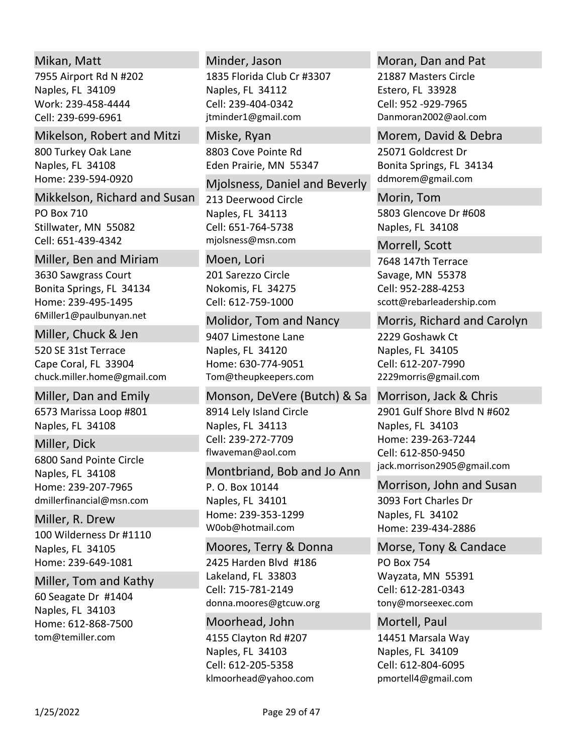# Mikan, Matt

7955 Airport Rd N #202 Naples, FL 34109 Work: 239‐458‐4444 Cell: 239‐699‐6961

### Mikelson, Robert and Mitzi

800 Turkey Oak Lane Naples, FL 34108 Home: 239‐594‐0920

Mikkelson, Richard and Susan

PO Box 710 Stillwater, MN 55082 Cell: 651‐439‐4342

### Miller, Ben and Miriam

3630 Sawgrass Court Bonita Springs, FL 34134 Home: 239‐495‐1495 6Miller1@paulbunyan.net

520 SE 31st Terrace Cape Coral, FL 33904 chuck.miller.home@gmail.com Miller, Chuck & Jen

6573 Marissa Loop #801 Naples, FL 34108 Miller, Dan and Emily

6800 Sand Pointe Circle Naples, FL 34108 Home: 239‐207‐7965 dmillerfinancial@msn.com Miller, Dick

100 Wilderness Dr #1110 Naples, FL 34105 Home: 239‐649‐1081 Miller, R. Drew

# Miller, Tom and Kathy

60 Seagate Dr #1404 Naples, FL 34103 Home: 612‐868‐7500 tom@temiller.com

### Minder, Jason

1835 Florida Club Cr #3307 Naples, FL 34112 jtminder1@gmail.com Cell: 239‐404‐0342

8803 Cove Pointe Rd Eden Prairie, MN 55347 Miske, Ryan

213 Deerwood Circle Naples, FL 34113 mjolsness@msn.com Mjolsness, Daniel and Beverly Cell: 651‐764‐5738

### Moen, Lori

201 Sarezzo Circle Nokomis, FL 34275 Cell: 612‐759‐1000

### Molidor, Tom and Nancy

9407 Limestone Lane Naples, FL 34120 Home: 630‐774‐9051 Tom@theupkeepers.com

8914 Lely Island Circle Naples, FL 34113 flwaveman@aol.com Monson, DeVere (Butch) & Sa Cell: 239‐272‐7709

### Montbriand, Bob and Jo Ann

P. O. Box 10144 Naples, FL 34101 Home: 239‐353‐1299 W0ob@hotmail.com

2425 Harden Blvd #186 Moores, Terry & Donna

Lakeland, FL 33803 donna.moores@gtcuw.org Cell: 715‐781‐2149

4155 Clayton Rd #207 Naples, FL 34103 klmoorhead@yahoo.com Moorhead, John Cell: 612‐205‐5358

### Moran, Dan and Pat

21887 Masters Circle Estero, FL 33928 Danmoran2002@aol.com Cell: 952 ‐929‐7965

### Morem, David & Debra

25071 Goldcrest Dr Bonita Springs, FL 34134 ddmorem@gmail.com

5803 Glencove Dr #608 Naples, FL 34108 Morin, Tom

# Morrell, Scott

7648 147th Terrace Savage, MN 55378 scott@rebarleadership.com Cell: 952‐288‐4253

# Morris, Richard and Carolyn

2229 Goshawk Ct Naples, FL 34105 2229morris@gmail.com Cell: 612‐207‐7990

2901 Gulf Shore Blvd N #602 Naples, FL 34103 Home: 239‐263‐7244 jack.morrison2905@gmail.com Morrison, Jack & Chris Cell: 612‐850‐9450

# Morrison, John and Susan

3093 Fort Charles Dr Naples, FL 34102 Home: 239‐434‐2886

# PO Box 754 Wayzata, MN 55391 Morse, Tony & Candace

tony@morseexec.com Cell: 612‐281‐0343

# Mortell, Paul

14451 Marsala Way Naples, FL 34109 pmortell4@gmail.com Cell: 612‐804‐6095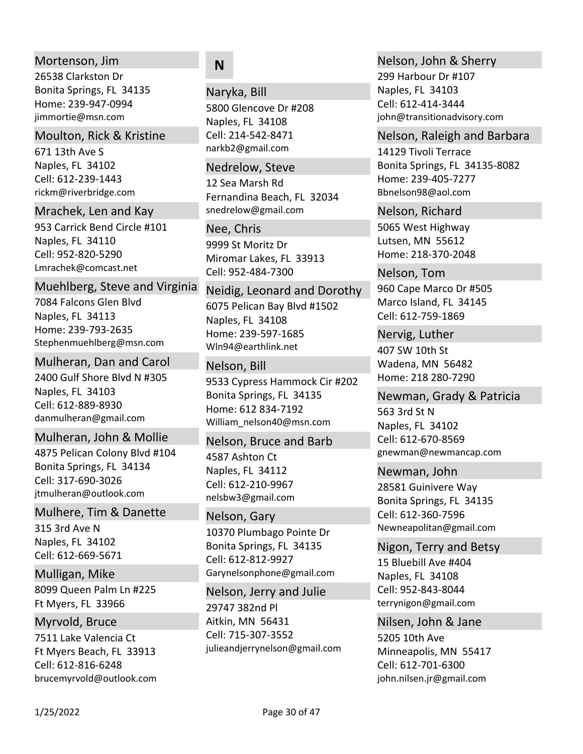# Mortenson, Jim

26538 Clarkston Dr Bonita Springs, FL 34135 Home: 239‐947‐0994 jimmortie@msn.com

### Moulton, Rick & Kristine

671 13th Ave S Naples, FL 34102 rickm@riverbridge.com Cell: 612‐239‐1443

### Mrachek, Len and Kay

953 Carrick Bend Circle #101 Naples, FL 34110 Lmrachek@comcast.net Cell: 952‐820‐5290

### Muehlberg, Steve and Virginia

7084 Falcons Glen Blvd Naples, FL 34113 Home: 239‐793‐2635 Stephenmuehlberg@msn.com

### Mulheran, Dan and Carol

2400 Gulf Shore Blvd N #305 Naples, FL 34103 danmulheran@gmail.com Cell: 612‐889‐8930

# Mulheran, John & Mollie

4875 Pelican Colony Blvd #104 Bonita Springs, FL 34134 jtmulheran@outlook.com Cell: 317‐690‐3026

### Mulhere, Tim & Danette

315 3rd Ave N Naples, FL 34102 Cell: 612‐669‐5671

8099 Queen Palm Ln #225 Ft Myers, FL 33966 Mulligan, Mike

# Myrvold, Bruce

7511 Lake Valencia Ct Ft Myers Beach, FL 33913 brucemyrvold@outlook.com Cell: 612‐816‐6248

# **N**

Naryka, Bill

5800 Glencove Dr #208 Naples, FL 34108 narkb2@gmail.com Cell: 214‐542‐8471

### Nedrelow, Steve

12 Sea Marsh Rd Fernandina Beach, FL 32034 snedrelow@gmail.com

9999 St Moritz Dr Miromar Lakes, FL 33913 Nee, Chris Cell: 952‐484‐7300

6075 Pelican Bay Blvd #1502 Naples, FL 34108 Home: 239‐597‐1685 Wln94@earthlink.net Neidig, Leonard and Dorothy

# Nelson, Bill

9533 Cypress Hammock Cir #202 Bonita Springs, FL 34135 Home: 612 834‐7192 William\_nelson40@msn.com

# Nelson, Bruce and Barb

4587 Ashton Ct Naples, FL 34112 nelsbw3@gmail.com Cell: 612‐210‐9967

# Nelson, Gary

10370 Plumbago Pointe Dr Bonita Springs, FL 34135 Garynelsonphone@gmail.com Cell: 612‐812‐9927

#### Nelson, Jerry and Julie

29747 382nd Pl Aitkin, MN 56431 julieandjerrynelson@gmail.com Cell: 715‐307‐3552

# Nelson, John & Sherry

299 Harbour Dr #107 Naples, FL 34103 john@transitionadvisory.com Cell: 612‐414‐3444

### Nelson, Raleigh and Barbara

14129 Tivoli Terrace Bonita Springs, FL 34135‐8082 Home: 239‐405‐7277 Bbnelson98@aol.com

# Nelson, Richard

5065 West Highway Lutsen, MN 55612 Home: 218‐370‐2048

960 Cape Marco Dr #505 Marco Island, FL 34145 Nelson, Tom Cell: 612‐759‐1869

407 SW 10th St Wadena, MN 56482 Home: 218 280‐7290 Nervig, Luther

563 3rd St N Naples, FL 34102 gnewman@newmancap.com Newman, Grady & Patricia Cell: 612‐670‐8569

# 28581 Guinivere Way Newman, John

Bonita Springs, FL 34135 Newneapolitan@gmail.com Cell: 612‐360‐7596

# Nigon, Terry and Betsy

15 Bluebill Ave #404 Naples, FL 34108 terrynigon@gmail.com Cell: 952‐843‐8044

# Nilsen, John & Jane

5205 10th Ave Minneapolis, MN 55417 john.nilsen.jr@gmail.com Cell: 612‐701‐6300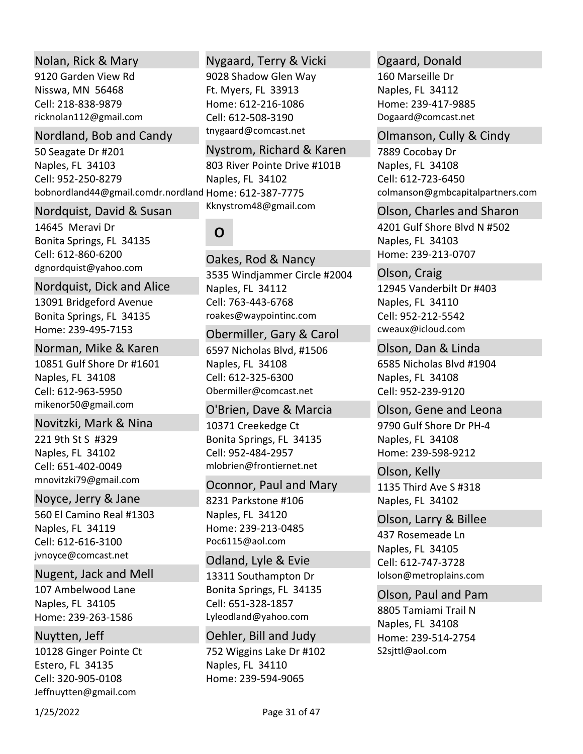## Nolan, Rick & Mary

9120 Garden View Rd Nisswa, MN 56468 ricknolan112@gmail.com Cell: 218‐838‐9879

## Nordland, Bob and Candy

50 Seagate Dr #201 Naples, FL 34103 bobnordland44@gmail.comdr.nordland Home: 612‐387‐7775 Cell: 952‐250‐8279 Naples, FL 34102

### Nordquist, David & Susan

14645 Meravi Dr Bonita Springs, FL 34135 dgnordquist@yahoo.com Cell: 612‐860‐6200

# Nordquist, Dick and Alice

13091 Bridgeford Avenue Bonita Springs, FL 34135 Home: 239‐495‐7153

### Norman, Mike & Karen

10851 Gulf Shore Dr #1601 Naples, FL 34108 mikenor50@gmail.com Cell: 612‐963‐5950

### Novitzki, Mark & Nina

221 9th St S #329 Naples, FL 34102 mnovitzki79@gmail.com Cell: 651‐402‐0049

### Noyce, Jerry & Jane

560 El Camino Real #1303 Naples, FL 34119 jvnoyce@comcast.net Cell: 612‐616‐3100

### Nugent, Jack and Mell

107 Ambelwood Lane Naples, FL 34105 Home: 239‐263‐1586

### Nuytten, Jeff

10128 Ginger Pointe Ct Estero, FL 34135 Jeffnuytten@gmail.com Cell: 320‐905‐0108

# Nygaard, Terry & Vicki

9028 Shadow Glen Way Ft. Myers, FL 33913 Home: 612‐216‐1086 tnygaard@comcast.net Cell: 612‐508‐3190

# 803 River Pointe Drive #101B Nystrom, Richard & Karen

Kknystrom48@gmail.com

# **O**

3535 Windjammer Circle #2004 Naples, FL 34112 roakes@waypointinc.com Oakes, Rod & Nancy Cell: 763‐443‐6768

### Obermiller, Gary & Carol

6597 Nicholas Blvd, #1506 Naples, FL 34108 Obermiller@comcast.net Cell: 612‐325‐6300

# O'Brien, Dave & Marcia

10371 Creekedge Ct Bonita Springs, FL 34135 mlobrien@frontiernet.net Cell: 952‐484‐2957

# Oconnor, Paul and Mary

8231 Parkstone #106 Naples, FL 34120 Home: 239‐213‐0485 Poc6115@aol.com

13311 Southampton Dr Bonita Springs, FL 34135 Lyleodland@yahoo.com Odland, Lyle & Evie Cell: 651‐328‐1857

752 Wiggins Lake Dr #102 Naples, FL 34110 Home: 239‐594‐9065 Oehler, Bill and Judy

# Ogaard, Donald

160 Marseille Dr Naples, FL 34112 Home: 239‐417‐9885 Dogaard@comcast.net

### Olmanson, Cully & Cindy

7889 Cocobay Dr Naples, FL 34108 colmanson@gmbcapitalpartners.com Cell: 612‐723‐6450

4201 Gulf Shore Blvd N #502 Naples, FL 34103 Home: 239‐213‐0707 Olson, Charles and Sharon

12945 Vanderbilt Dr #403 Naples, FL 34110 cweaux@icloud.com Olson, Craig Cell: 952‐212‐5542

6585 Nicholas Blvd #1904 Naples, FL 34108 Olson, Dan & Linda Cell: 952‐239‐9120

# 9790 Gulf Shore Dr PH‐4 Olson, Gene and Leona

Naples, FL 34108 Home: 239‐598‐9212

1135 Third Ave S #318 Naples, FL 34102 Olson, Kelly

### Olson, Larry & Billee

437 Rosemeade Ln Naples, FL 34105 lolson@metroplains.com Cell: 612‐747‐3728

8805 Tamiami Trail N Naples, FL 34108 Home: 239‐514‐2754 S2sjttl@aol.com Olson, Paul and Pam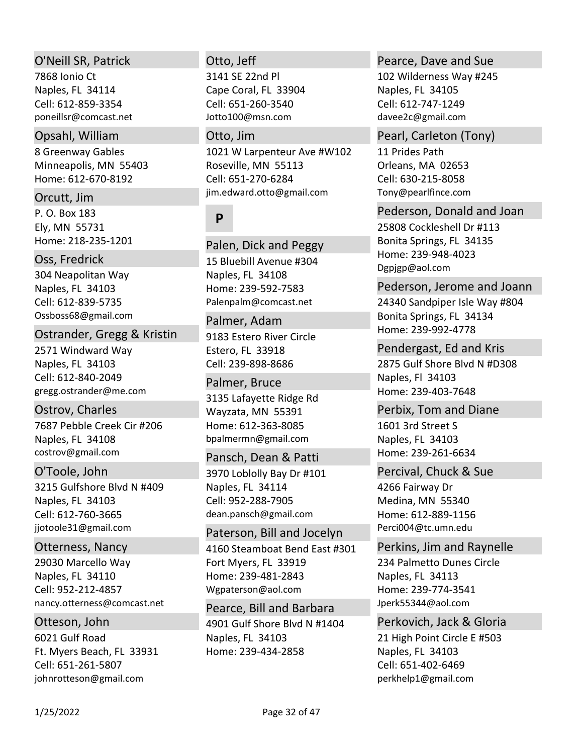### O'Neill SR, Patrick

7868 Ionio Ct Naples, FL 34114 poneillsr@comcast.net Cell: 612‐859‐3354

### Opsahl, William

8 Greenway Gables Minneapolis, MN 55403 Home: 612‐670‐8192

### Orcutt, Jim

P. O. Box 183 Ely, MN 55731 Home: 218‐235‐1201

# Oss, Fredrick

304 Neapolitan Way Naples, FL 34103 Ossboss68@gmail.com Cell: 612‐839‐5735

### Ostrander, Gregg & Kristin

2571 Windward Way Naples, FL 34103 gregg.ostrander@me.com Cell: 612‐840‐2049

7687 Pebble Creek Cir #206 Naples, FL 34108 costrov@gmail.com Ostrov, Charles

# 3215 Gulfshore Blvd N #409 Naples, FL 34103 jjotoole31@gmail.com O'Toole, John Cell: 612‐760‐3665

29030 Marcello Way Naples, FL 34110 nancy.otterness@comcast.net Otterness, Nancy Cell: 952‐212‐4857

6021 Gulf Road Ft. Myers Beach, FL 33931 johnrotteson@gmail.com Otteson, John Cell: 651‐261‐5807

### Otto, Jeff

3141 SE 22nd Pl Cape Coral, FL 33904 Jotto100@msn.com Cell: 651‐260‐3540

## Otto, Jim

1021 W Larpenteur Ave #W102 Roseville, MN 55113 jim.edward.otto@gmail.com Cell: 651‐270‐6284

# **P**

15 Bluebill Avenue #304 Naples, FL 34108 Home: 239‐592‐7583 Palenpalm@comcast.net Palen, Dick and Peggy

# Palmer, Adam

9183 Estero River Circle Estero, FL 33918 Cell: 239‐898‐8686

3135 Lafayette Ridge Rd Wayzata, MN 55391 Home: 612‐363‐8085 bpalmermn@gmail.com Palmer, Bruce

3970 Loblolly Bay Dr #101 Naples, FL 34114 dean.pansch@gmail.com Pansch, Dean & Patti Cell: 952‐288‐7905

4160 Steamboat Bend East #301 Fort Myers, FL 33919 Home: 239‐481‐2843 Wgpaterson@aol.com Paterson, Bill and Jocelyn

4901 Gulf Shore Blvd N #1404 Naples, FL 34103 Home: 239‐434‐2858 Pearce, Bill and Barbara

### Pearce, Dave and Sue

102 Wilderness Way #245 Naples, FL 34105 davee2c@gmail.com Cell: 612‐747‐1249

#### Pearl, Carleton (Tony)

11 Prides Path Orleans, MA 02653 Tony@pearlfince.com Cell: 630‐215‐8058

25808 Cockleshell Dr #113 Bonita Springs, FL 34135 Pederson, Donald and Joan

Home: 239‐948‐4023 Dgpjgp@aol.com

### Pederson, Jerome and Joann

24340 Sandpiper Isle Way #804 Bonita Springs, FL 34134 Home: 239‐992‐4778

2875 Gulf Shore Blvd N #D308 Naples, Fl 34103 Home: 239‐403‐7648 Pendergast, Ed and Kris

1601 3rd Street S Naples, FL 34103 Home: 239‐261‐6634 Perbix, Tom and Diane

Percival, Chuck & Sue

4266 Fairway Dr Medina, MN 55340 Home: 612‐889‐1156 Perci004@tc.umn.edu

# Perkins, Jim and Raynelle

234 Palmetto Dunes Circle Naples, FL 34113 Home: 239‐774‐3541 Jperk55344@aol.com

# Perkovich, Jack & Gloria

21 High Point Circle E #503 Naples, FL 34103 perkhelp1@gmail.com Cell: 651‐402‐6469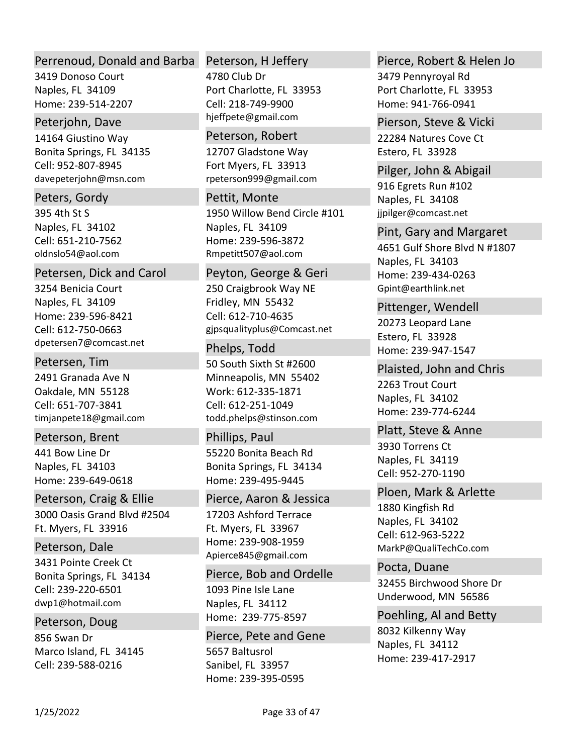### Perrenoud, Donald and Barba

3419 Donoso Court Naples, FL 34109 Home: 239‐514‐2207

### Peterjohn, Dave

14164 Giustino Way Bonita Springs, FL 34135 davepeterjohn@msn.com Cell: 952‐807‐8945

# Peters, Gordy

395 4th St S Naples, FL 34102 oldnslo54@aol.com Cell: 651‐210‐7562

### Petersen, Dick and Carol

3254 Benicia Court Naples, FL 34109 Home: 239‐596‐8421 dpetersen7@comcast.net Cell: 612‐750‐0663

### Petersen, Tim

2491 Granada Ave N Oakdale, MN 55128 timjanpete18@gmail.com Cell: 651‐707‐3841

### Peterson, Brent

441 Bow Line Dr Naples, FL 34103 Home: 239‐649‐0618

# Peterson, Craig & Ellie

3000 Oasis Grand Blvd #2504 Ft. Myers, FL 33916

# Peterson, Dale

3431 Pointe Creek Ct Bonita Springs, FL 34134 dwp1@hotmail.com Cell: 239‐220‐6501

# Peterson, Doug

856 Swan Dr Marco Island, FL 34145 Cell: 239‐588‐0216

# Peterson, H Jeffery

4780 Club Dr Port Charlotte, FL 33953 hjeffpete@gmail.com Cell: 218‐749‐9900

### Peterson, Robert

12707 Gladstone Way Fort Myers, FL 33913 rpeterson999@gmail.com

### Pettit, Monte

1950 Willow Bend Circle #101 Naples, FL 34109 Home: 239‐596‐3872 Rmpetitt507@aol.com

### Peyton, George & Geri

250 Craigbrook Way NE Fridley, MN 55432 gjpsqualityplus@Comcast.net Cell: 612‐710‐4635

# Phelps, Todd

50 South Sixth St #2600 Minneapolis, MN 55402 Work: 612‐335‐1871 todd.phelps@stinson.com Cell: 612‐251‐1049

# Phillips, Paul

55220 Bonita Beach Rd Bonita Springs, FL 34134 Home: 239‐495‐9445

# Pierce, Aaron & Jessica

17203 Ashford Terrace Ft. Myers, FL 33967 Home: 239‐908‐1959 Apierce845@gmail.com

# 1093 Pine Isle Lane Naples, FL 34112 Home: 239‐775‐8597 Pierce, Bob and Ordelle

5657 Baltusrol Sanibel, FL 33957 Home: 239‐395‐0595 Pierce, Pete and Gene

# Pierce, Robert & Helen Jo

3479 Pennyroyal Rd Port Charlotte, FL 33953 Home: 941‐766‐0941

# Pierson, Steve & Vicki

22284 Natures Cove Ct Estero, FL 33928

### Pilger, John & Abigail

916 Egrets Run #102 Naples, FL 34108 jjpilger@comcast.net

4651 Gulf Shore Blvd N #1807 Naples, FL 34103 Home: 239‐434‐0263 Gpint@earthlink.net Pint, Gary and Margaret

### Pittenger, Wendell

20273 Leopard Lane Estero, FL 33928 Home: 239‐947‐1547

# Plaisted, John and Chris

2263 Trout Court Naples, FL 34102 Home: 239‐774‐6244

# Platt, Steve & Anne

3930 Torrens Ct Naples, FL 34119 Cell: 952‐270‐1190

# Ploen, Mark & Arlette

1880 Kingfish Rd Naples, FL 34102 MarkP@QualiTechCo.com Cell: 612‐963‐5222

32455 Birchwood Shore Dr Underwood, MN 56586 Pocta, Duane

# Poehling, Al and Betty

8032 Kilkenny Way Naples, FL 34112 Home: 239‐417‐2917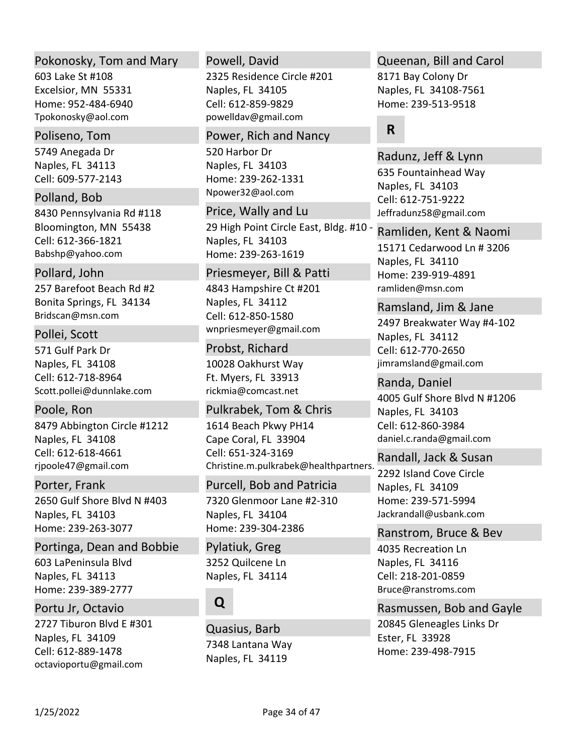### Pokonosky, Tom and Mary

603 Lake St #108 Excelsior, MN 55331 Home: 952‐484‐6940 Tpokonosky@aol.com

#### Poliseno, Tom

5749 Anegada Dr Naples, FL 34113 Cell: 609‐577‐2143

Polland, Bob

8430 Pennsylvania Rd #118 Bloomington, MN 55438 Babshp@yahoo.com Cell: 612‐366‐1821

### Pollard, John

257 Barefoot Beach Rd #2 Bonita Springs, FL 34134 Bridscan@msn.com

### Pollei, Scott

571 Gulf Park Dr Naples, FL 34108 Scott.pollei@dunnlake.com Cell: 612‐718‐8964

# Poole, Ron

8479 Abbington Circle #1212 Naples, FL 34108 rjpoole47@gmail.com Cell: 612‐618‐4661

# Porter, Frank

2650 Gulf Shore Blvd N #403 Naples, FL 34103 Home: 239‐263‐3077

603 LaPeninsula Blvd Naples, FL 34113 Home: 239‐389‐2777 Portinga, Dean and Bobbie

### Portu Jr, Octavio

2727 Tiburon Blvd E #301 Naples, FL 34109 octavioportu@gmail.com Cell: 612‐889‐1478

#### Powell, David

2325 Residence Circle #201 Naples, FL 34105 powelldav@gmail.com Cell: 612‐859‐9829

#### Power, Rich and Nancy

520 Harbor Dr Naples, FL 34103 Home: 239‐262‐1331 Npower32@aol.com

### Price, Wally and Lu

29 High Point Circle East, Bldg. #10 ‐ Naples, FL 34103 Home: 239‐263‐1619

### Priesmeyer, Bill & Patti

4843 Hampshire Ct #201 Naples, FL 34112 wnpriesmeyer@gmail.com Cell: 612‐850‐1580

#### Probst, Richard

10028 Oakhurst Way Ft. Myers, FL 33913 rickmia@comcast.net

### Pulkrabek, Tom & Chris

1614 Beach Pkwy PH14 Cape Coral, FL 33904 Christine.m.pulkrabek@healthpartners. Cell: 651‐324‐3169

# Purcell, Bob and Patricia

7320 Glenmoor Lane #2‐310 Naples, FL 34104 Home: 239‐304‐2386

3252 Quilcene Ln Naples, FL 34114 Pylatiuk, Greg

# **Q**

7348 Lantana Way Naples, FL 34119 Quasius, Barb

### Queenan, Bill and Carol

8171 Bay Colony Dr Naples, FL 34108‐7561 Home: 239‐513‐9518

# **R**

635 Fountainhead Way Naples, FL 34103 Jeffradunz58@gmail.com Radunz, Jeff & Lynn Cell: 612‐751‐9222

15171 Cedarwood Ln # 3206 Naples, FL 34110 Home: 239‐919‐4891 ramliden@msn.com Ramliden, Kent & Naomi

### Ramsland, Jim & Jane

2497 Breakwater Way #4‐102 Naples, FL 34112 jimramsland@gmail.com Cell: 612‐770‐2650

4005 Gulf Shore Blvd N #1206 Naples, FL 34103 daniel.c.randa@gmail.com Randa, Daniel Cell: 612‐860‐3984

### Randall, Jack & Susan

2292 Island Cove Circle Naples, FL 34109 Home: 239‐571‐5994 Jackrandall@usbank.com

#### Ranstrom, Bruce & Bev

4035 Recreation Ln Naples, FL 34116 Bruce@ranstroms.com Cell: 218‐201‐0859

### Rasmussen, Bob and Gayle

20845 Gleneagles Links Dr Ester, FL 33928 Home: 239‐498‐7915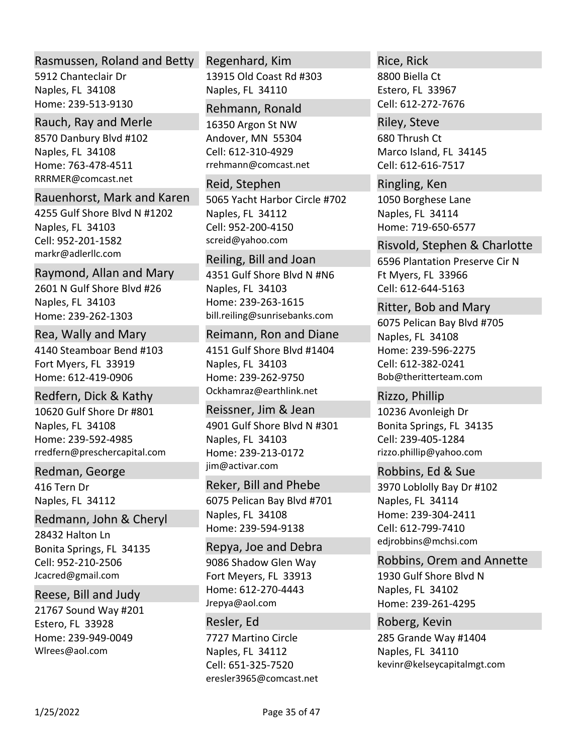### Rasmussen, Roland and Betty

5912 Chanteclair Dr Naples, FL 34108 Home: 239‐513‐9130

### Rauch, Ray and Merle

8570 Danbury Blvd #102 Naples, FL 34108 Home: 763‐478‐4511 RRRMER@comcast.net

### Rauenhorst, Mark and Karen

4255 Gulf Shore Blvd N #1202 Naples, FL 34103 markr@adlerllc.com Cell: 952‐201‐1582

### Raymond, Allan and Mary

2601 N Gulf Shore Blvd #26 Naples, FL 34103 Home: 239‐262‐1303

### Rea, Wally and Mary

4140 Steamboar Bend #103 Fort Myers, FL 33919 Home: 612‐419‐0906

# Redfern, Dick & Kathy

10620 Gulf Shore Dr #801 Naples, FL 34108 Home: 239‐592‐4985 rredfern@preschercapital.com

# Redman, George

416 Tern Dr Naples, FL 34112

# Redmann, John & Cheryl

28432 Halton Ln Bonita Springs, FL 34135 Jcacred@gmail.com Cell: 952‐210‐2506

# Reese, Bill and Judy

21767 Sound Way #201 Estero, FL 33928 Home: 239‐949‐0049 Wlrees@aol.com

# Regenhard, Kim

13915 Old Coast Rd #303 Naples, FL 34110

#### Rehmann, Ronald

16350 Argon St NW Andover, MN 55304 rrehmann@comcast.net Cell: 612‐310‐4929

### 5065 Yacht Harbor Circle #702 Reid, Stephen

Naples, FL 34112 screid@yahoo.com Cell: 952‐200‐4150

# Reiling, Bill and Joan

4351 Gulf Shore Blvd N #N6 Naples, FL 34103 Home: 239‐263‐1615 bill.reiling@sunrisebanks.com

# Reimann, Ron and Diane

4151 Gulf Shore Blvd #1404 Naples, FL 34103 Home: 239‐262‐9750 Ockhamraz@earthlink.net

# 4901 Gulf Shore Blvd N #301 Naples, FL 34103 Home: 239‐213‐0172 jim@activar.com Reissner, Jim & Jean

# Reker, Bill and Phebe

6075 Pelican Bay Blvd #701 Naples, FL 34108 Home: 239‐594‐9138

# 9086 Shadow Glen Way Fort Meyers, FL 33913 Home: 612‐270‐4443 Jrepya@aol.com Repya, Joe and Debra

# 7727 Martino Circle Naples, FL 34112 eresler3965@comcast.net Resler, Ed Cell: 651‐325‐7520

# Rice, Rick

8800 Biella Ct Estero, FL 33967 Cell: 612‐272‐7676

# Riley, Steve

680 Thrush Ct Marco Island, FL 34145 Cell: 612‐616‐7517

# 1050 Borghese Lane Naples, FL 34114 Home: 719‐650‐6577 Ringling, Ken

# Risvold, Stephen & Charlotte

6596 Plantation Preserve Cir N Ft Myers, FL 33966 Cell: 612‐644‐5163

### Ritter, Bob and Mary

6075 Pelican Bay Blvd #705 Naples, FL 34108 Home: 239‐596‐2275 Bob@theritterteam.com Cell: 612‐382‐0241

# 10236 Avonleigh Dr Bonita Springs, FL 34135 rizzo.phillip@yahoo.com Rizzo, Phillip Cell: 239‐405‐1284

# 3970 Loblolly Bay Dr #102 Naples, FL 34114 Home: 239‐304‐2411 edjrobbins@mchsi.com Robbins, Ed & Sue Cell: 612‐799‐7410

# 1930 Gulf Shore Blvd N Naples, FL 34102 Home: 239‐261‐4295 Robbins, Orem and Annette

# 285 Grande Way #1404 Naples, FL 34110 kevinr@kelseycapitalmgt.com Roberg, Kevin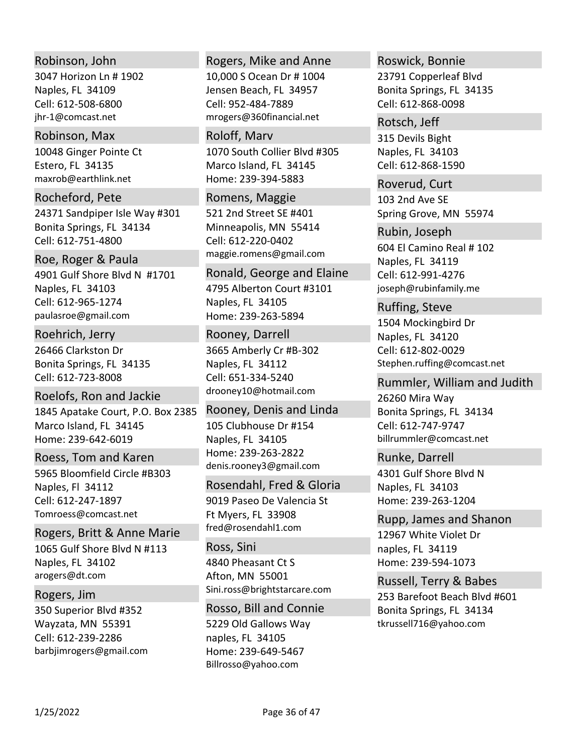### Robinson, John

3047 Horizon Ln # 1902 Naples, FL 34109 jhr‐1@comcast.net Cell: 612‐508‐6800

#### Robinson, Max

10048 Ginger Pointe Ct Estero, FL 34135 maxrob@earthlink.net

# Rocheford, Pete

24371 Sandpiper Isle Way #301 Bonita Springs, FL 34134 Cell: 612‐751‐4800

#### Roe, Roger & Paula

4901 Gulf Shore Blvd N #1701 Naples, FL 34103 paulasroe@gmail.com Cell: 612‐965‐1274

# Roehrich, Jerry

26466 Clarkston Dr Bonita Springs, FL 34135 Cell: 612‐723‐8008

# Roelofs, Ron and Jackie

1845 Apatake Court, P.O. Box 2385 Marco Island, FL 34145 Home: 239‐642‐6019

# Roess, Tom and Karen

5965 Bloomfield Circle #B303 Naples, Fl 34112 Tomroess@comcast.net Cell: 612‐247‐1897

# Rogers, Britt & Anne Marie

1065 Gulf Shore Blvd N #113 Naples, FL 34102 arogers@dt.com

# Rogers, Jim

350 Superior Blvd #352 Wayzata, MN 55391 barbjimrogers@gmail.com Cell: 612‐239‐2286

#### Rogers, Mike and Anne

10,000 S Ocean Dr # 1004 Jensen Beach, FL 34957 mrogers@360financial.net Cell: 952‐484‐7889

### Roloff, Marv

1070 South Collier Blvd #305 Marco Island, FL 34145 Home: 239‐394‐5883

#### Romens, Maggie

521 2nd Street SE #401 Minneapolis, MN 55414 maggie.romens@gmail.com Cell: 612‐220‐0402

### Ronald, George and Elaine

4795 Alberton Court #3101 Naples, FL 34105 Home: 239‐263‐5894

#### Rooney, Darrell

3665 Amberly Cr #B‐302 Naples, FL 34112 drooney10@hotmail.com Cell: 651‐334‐5240

# Rooney, Denis and Linda

105 Clubhouse Dr #154 Naples, FL 34105 Home: 239‐263‐2822 denis.rooney3@gmail.com

### Rosendahl, Fred & Gloria

9019 Paseo De Valencia St Ft Myers, FL 33908 fred@rosendahl1.com

### Ross, Sini

4840 Pheasant Ct S Afton, MN 55001 Sini.ross@brightstarcare.com

### Rosso, Bill and Connie

5229 Old Gallows Way naples, FL 34105 Home: 239‐649‐5467 Billrosso@yahoo.com

# 23791 Copperleaf Blvd Roswick, Bonnie

Bonita Springs, FL 34135 Cell: 612‐868‐0098

#### Rotsch, Jeff

315 Devils Bight Naples, FL 34103 Cell: 612‐868‐1590

103 2nd Ave SE Spring Grove, MN 55974 Roverud, Curt

604 El Camino Real # 102 Naples, FL 34119 joseph@rubinfamily.me Rubin, Joseph Cell: 612‐991‐4276

### Ruffing, Steve

1504 Mockingbird Dr Naples, FL 34120 Stephen.ruffing@comcast.net Cell: 612‐802‐0029

### Rummler, William and Judith

26260 Mira Way Bonita Springs, FL 34134 billrummler@comcast.net Cell: 612‐747‐9747

### Runke, Darrell

4301 Gulf Shore Blvd N Naples, FL 34103 Home: 239‐263‐1204

### Rupp, James and Shanon

12967 White Violet Dr naples, FL 34119 Home: 239‐594‐1073

# 253 Barefoot Beach Blvd #601 Bonita Springs, FL 34134 tkrussell716@yahoo.com Russell, Terry & Babes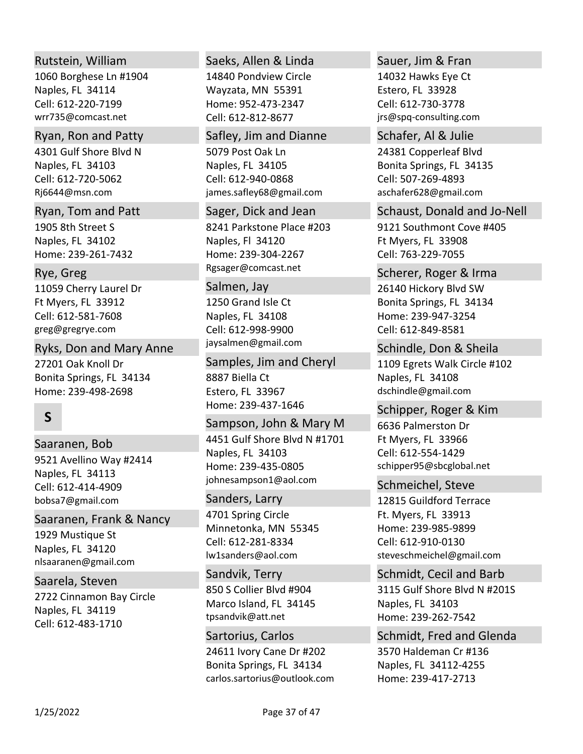# Rutstein, William

1060 Borghese Ln #1904 Naples, FL 34114 wrr735@comcast.net Cell: 612‐220‐7199

## Ryan, Ron and Patty

4301 Gulf Shore Blvd N Naples, FL 34103 Rj6644@msn.com Cell: 612‐720‐5062

1905 8th Street S Naples, FL 34102 Home: 239‐261‐7432 Ryan, Tom and Patt

11059 Cherry Laurel Dr Ft Myers, FL 33912 greg@gregrye.com Rye, Greg Cell: 612‐581‐7608

27201 Oak Knoll Dr Bonita Springs, FL 34134 Home: 239‐498‐2698 Ryks, Don and Mary Anne

# **S**

9521 Avellino Way #2414 Naples, FL 34113 bobsa7@gmail.com Saaranen, Bob Cell: 612‐414‐4909

Saaranen, Frank & Nancy

1929 Mustique St Naples, FL 34120 nlsaaranen@gmail.com

2722 Cinnamon Bay Circle Naples, FL 34119 Saarela, Steven Cell: 612‐483‐1710

# Saeks, Allen & Linda

14840 Pondview Circle Wayzata, MN 55391 Home: 952‐473‐2347 Cell: 612‐812‐8677

### Safley, Jim and Dianne

5079 Post Oak Ln Naples, FL 34105 james.safley68@gmail.com Cell: 612‐940‐0868

8241 Parkstone Place #203 Naples, Fl 34120 Home: 239‐304‐2267 Rgsager@comcast.net Sager, Dick and Jean

### Salmen, Jay

1250 Grand Isle Ct Naples, FL 34108 jaysalmen@gmail.com Cell: 612‐998‐9900

8887 Biella Ct Estero, FL 33967 Home: 239‐437‐1646 Samples, Jim and Cheryl

4451 Gulf Shore Blvd N #1701 Naples, FL 34103 Home: 239‐435‐0805 johnesampson1@aol.com Sampson, John & Mary M

### Sanders, Larry

4701 Spring Circle Minnetonka, MN 55345 lw1sanders@aol.com Cell: 612‐281‐8334

850 S Collier Blvd #904 Marco Island, FL 34145 tpsandvik@att.net Sandvik, Terry

24611 Ivory Cane Dr #202 Bonita Springs, FL 34134 carlos.sartorius@outlook.com Sartorius, Carlos

### Sauer, Jim & Fran

14032 Hawks Eye Ct Estero, FL 33928 jrs@spq‐consulting.com Cell: 612‐730‐3778

24381 Copperleaf Blvd Bonita Springs, FL 34135 aschafer628@gmail.com Schafer, Al & Julie Cell: 507‐269‐4893

### Schaust, Donald and Jo‐Nell

9121 Southmont Cove #405 Ft Myers, FL 33908 Cell: 763‐229‐7055

### Scherer, Roger & Irma

26140 Hickory Blvd SW Bonita Springs, FL 34134 Home: 239‐947‐3254 Cell: 612‐849‐8581

Schindle, Don & Sheila

1109 Egrets Walk Circle #102 Naples, FL 34108 dschindle@gmail.com

### 6636 Palmerston Dr Schipper, Roger & Kim

Ft Myers, FL 33966 schipper95@sbcglobal.net Cell: 612‐554‐1429

### Schmeichel, Steve

12815 Guildford Terrace Ft. Myers, FL 33913 Home: 239‐985‐9899 steveschmeichel@gmail.com Cell: 612‐910‐0130

3115 Gulf Shore Blvd N #201S Naples, FL 34103 Home: 239‐262‐7542 Schmidt, Cecil and Barb

3570 Haldeman Cr #136 Naples, FL 34112‐4255 Home: 239‐417‐2713 Schmidt, Fred and Glenda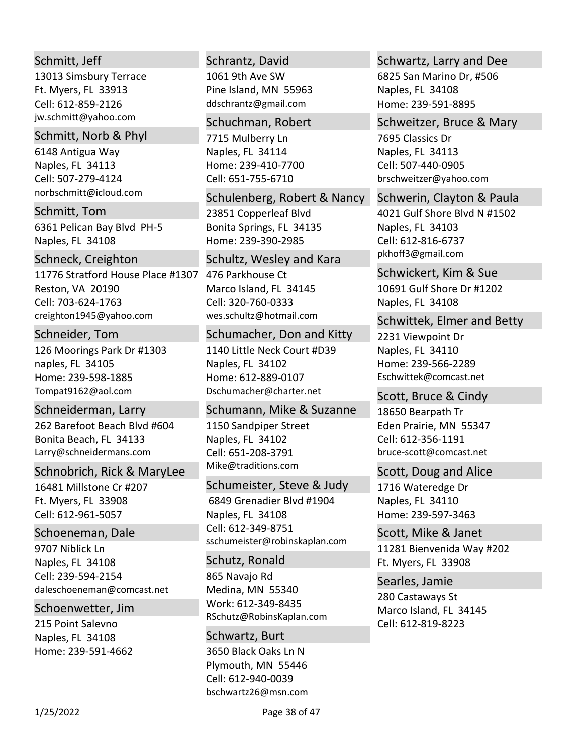# Schmitt, Jeff

13013 Simsbury Terrace Ft. Myers, FL 33913 jw.schmitt@yahoo.com Cell: 612‐859‐2126

### Schmitt, Norb & Phyl

6148 Antigua Way Naples, FL 34113 norbschmitt@icloud.com Cell: 507‐279‐4124

6361 Pelican Bay Blvd PH‐5 Naples, FL 34108 Schmitt, Tom

### Schneck, Creighton

11776 Stratford House Place #1307 476 Parkhouse Ct Reston, VA 20190 creighton1945@yahoo.com Cell: 703‐624‐1763

### Schneider, Tom

126 Moorings Park Dr #1303 naples, FL 34105 Home: 239‐598‐1885 Tompat9162@aol.com

### Schneiderman, Larry

262 Barefoot Beach Blvd #604 Bonita Beach, FL 34133 Larry@schneidermans.com

# Schnobrich, Rick & MaryLee

16481 Millstone Cr #207 Ft. Myers, FL 33908 Cell: 612‐961‐5057

### Schoeneman, Dale

9707 Niblick Ln Naples, FL 34108 daleschoeneman@comcast.net Cell: 239‐594‐2154

### Schoenwetter, Jim

215 Point Salevno Naples, FL 34108 Home: 239‐591‐4662

### Schrantz, David

1061 9th Ave SW Pine Island, MN 55963 ddschrantz@gmail.com

#### Schuchman, Robert

7715 Mulberry Ln Naples, FL 34114 Home: 239‐410‐7700 Cell: 651‐755‐6710

23851 Copperleaf Blvd Bonita Springs, FL 34135 Home: 239‐390‐2985 Schulenberg, Robert & Nancy

#### Schultz, Wesley and Kara

Marco Island, FL 34145 wes.schultz@hotmail.com Cell: 320‐760‐0333

#### Schumacher, Don and Kitty

1140 Little Neck Court #D39 Naples, FL 34102 Home: 612‐889‐0107 Dschumacher@charter.net

### Schumann, Mike & Suzanne

1150 Sandpiper Street Naples, FL 34102 Mike@traditions.com Cell: 651‐208‐3791

# Schumeister, Steve & Judy

 6849 Grenadier Blvd #1904 Naples, FL 34108 sschumeister@robinskaplan.com Cell: 612‐349‐8751

# Schutz, Ronald

865 Navajo Rd Medina, MN 55340 Work: 612‐349‐8435 RSchutz@RobinsKaplan.com

3650 Black Oaks Ln N Plymouth, MN 55446 bschwartz26@msn.com Schwartz, Burt Cell: 612‐940‐0039

### Schwartz, Larry and Dee

6825 San Marino Dr, #506 Naples, FL 34108 Home: 239‐591‐8895

# Schweitzer, Bruce & Mary

7695 Classics Dr Naples, FL 34113 brschweitzer@yahoo.com Cell: 507‐440‐0905

4021 Gulf Shore Blvd N #1502 Naples, FL 34103 pkhoff3@gmail.com Schwerin, Clayton & Paula Cell: 612‐816‐6737

10691 Gulf Shore Dr #1202 Naples, FL 34108 Schwickert, Kim & Sue

# Schwittek, Elmer and Betty

2231 Viewpoint Dr Naples, FL 34110 Home: 239‐566‐2289 Eschwittek@comcast.net

18650 Bearpath Tr Eden Prairie, MN 55347 bruce‐scott@comcast.net Scott, Bruce & Cindy Cell: 612‐356‐1191

# Scott, Doug and Alice

1716 Wateredge Dr Naples, FL 34110 Home: 239‐597‐3463

11281 Bienvenida Way #202 Ft. Myers, FL 33908 Scott, Mike & Janet

280 Castaways St Marco Island, FL 34145 Searles, Jamie Cell: 612‐819‐8223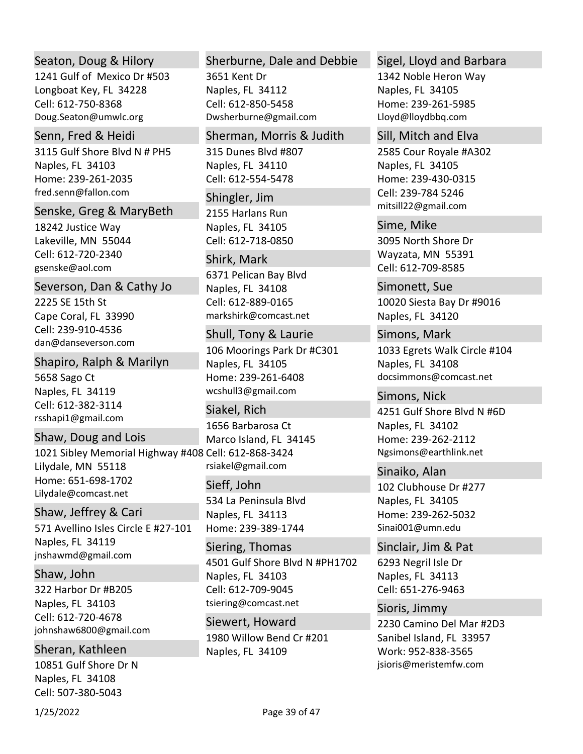# Seaton, Doug & Hilory

1241 Gulf of Mexico Dr #503 Longboat Key, FL 34228 Doug.Seaton@umwlc.org Cell: 612‐750‐8368

#### Senn, Fred & Heidi

3115 Gulf Shore Blvd N # PH5 Naples, FL 34103 Home: 239‐261‐2035 fred.senn@fallon.com

#### Senske, Greg & MaryBeth

18242 Justice Way Lakeville, MN 55044 gsenske@aol.com Cell: 612‐720‐2340

### Severson, Dan & Cathy Jo

2225 SE 15th St Cape Coral, FL 33990 dan@danseverson.com Cell: 239‐910‐4536

# Shapiro, Ralph & Marilyn

5658 Sago Ct Naples, FL 34119 rsshapi1@gmail.com Cell: 612‐382‐3114

# Shaw, Doug and Lois

1021 Sibley Memorial Highway #408 Cell: 612‐868‐3424 Lilydale, MN 55118 Home: 651‐698‐1702 Lilydale@comcast.net

### Shaw, Jeffrey & Cari

571 Avellino Isles Circle E #27‐101 Naples, FL 34119 jnshawmd@gmail.com

# Shaw, John

322 Harbor Dr #B205 Naples, FL 34103 johnshaw6800@gmail.com Cell: 612‐720‐4678

# Sheran, Kathleen

10851 Gulf Shore Dr N Naples, FL 34108 Cell: 507‐380‐5043

### Sherburne, Dale and Debbie

3651 Kent Dr Naples, FL 34112 Dwsherburne@gmail.com Cell: 612‐850‐5458

### Sherman, Morris & Judith

315 Dunes Blvd #807 Naples, FL 34110 Cell: 612‐554‐5478

2155 Harlans Run Naples, FL 34105 Shingler, Jim Cell: 612‐718‐0850

# Shirk, Mark

6371 Pelican Bay Blvd Naples, FL 34108 markshirk@comcast.net Cell: 612‐889‐0165

#### Shull, Tony & Laurie

106 Moorings Park Dr #C301 Naples, FL 34105 Home: 239‐261‐6408 wcshull3@gmail.com

# 1656 Barbarosa Ct Marco Island, FL 34145 rsiakel@gmail.com Siakel, Rich

### Sieff, John

534 La Peninsula Blvd Naples, FL 34113 Home: 239‐389‐1744

4501 Gulf Shore Blvd N #PH1702 Naples, FL 34103 tsiering@comcast.net Siering, Thomas Cell: 612‐709‐9045

1980 Willow Bend Cr #201 Naples, FL 34109 Siewert, Howard

# Sigel, Lloyd and Barbara

1342 Noble Heron Way Naples, FL 34105 Home: 239‐261‐5985 Lloyd@lloydbbq.com

# Sill, Mitch and Elva

2585 Cour Royale #A302 Naples, FL 34105 Home: 239‐430‐0315 mitsill22@gmail.com Cell: 239‐784 5246

3095 North Shore Dr Wayzata, MN 55391 Sime, Mike Cell: 612‐709‐8585

10020 Siesta Bay Dr #9016 Naples, FL 34120 Simonett, Sue

1033 Egrets Walk Circle #104 Naples, FL 34108 docsimmons@comcast.net Simons, Mark

4251 Gulf Shore Blvd N #6D Naples, FL 34102 Home: 239‐262‐2112 Ngsimons@earthlink.net Simons, Nick

102 Clubhouse Dr #277 Naples, FL 34105 Home: 239‐262‐5032 Sinai001@umn.edu Sinaiko, Alan

6293 Negril Isle Dr Naples, FL 34113 Sinclair, Jim & Pat Cell: 651‐276‐9463

2230 Camino Del Mar #2D3 Sanibel Island, FL 33957 Work: 952‐838‐3565 jsioris@meristemfw.com Sioris, Jimmy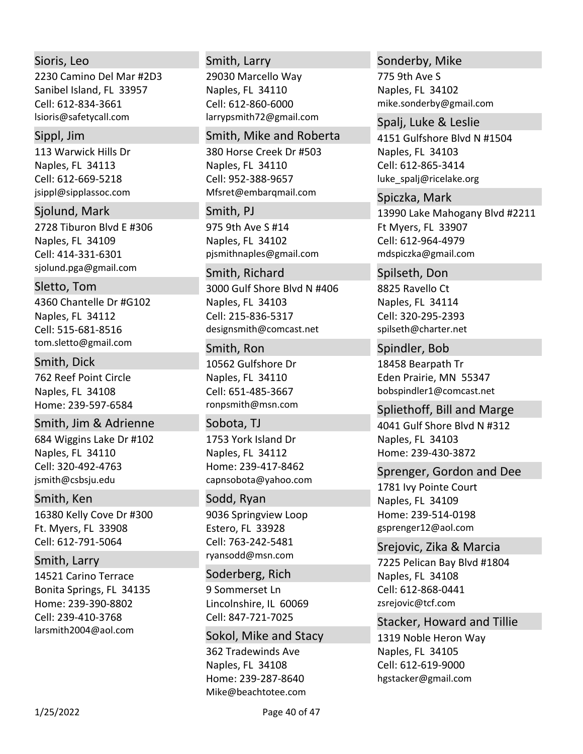# Sioris, Leo

2230 Camino Del Mar #2D3 Sanibel Island, FL 33957 lsioris@safetycall.com Cell: 612‐834‐3661

#### Sippl, Jim

113 Warwick Hills Dr Naples, FL 34113 jsippl@sipplassoc.com Cell: 612‐669‐5218

2728 Tiburon Blvd E #306 Naples, FL 34109 sjolund.pga@gmail.com Sjolund, Mark Cell: 414‐331‐6301

# Sletto, Tom

4360 Chantelle Dr #G102 Naples, FL 34112 tom.sletto@gmail.com Cell: 515‐681‐8516

Smith, Dick

762 Reef Point Circle Naples, FL 34108 Home: 239‐597‐6584

# 684 Wiggins Lake Dr #102 Naples, FL 34110 jsmith@csbsju.edu Smith, Jim & Adrienne Cell: 320‐492‐4763

16380 Kelly Cove Dr #300 Ft. Myers, FL 33908 Smith, Ken Cell: 612‐791‐5064

14521 Carino Terrace Bonita Springs, FL 34135 Home: 239‐390‐8802 larsmith2004@aol.com Smith, Larry Cell: 239‐410‐3768

# Smith, Larry

29030 Marcello Way Naples, FL 34110 larrypsmith72@gmail.com Cell: 612‐860‐6000

### Smith, Mike and Roberta

380 Horse Creek Dr #503 Naples, FL 34110 Mfsret@embarqmail.com Cell: 952‐388‐9657

# Smith, PJ

975 9th Ave S #14 Naples, FL 34102 pjsmithnaples@gmail.com

### 3000 Gulf Shore Blvd N #406 Smith, Richard

Naples, FL 34103 designsmith@comcast.net Cell: 215‐836‐5317

# 10562 Gulfshore Dr Smith, Ron

Naples, FL 34110 ronpsmith@msn.com Cell: 651‐485‐3667

# 1753 York Island Dr Naples, FL 34112 Home: 239‐417‐8462 capnsobota@yahoo.com Sobota, TJ

# 9036 Springview Loop Estero, FL 33928 ryansodd@msn.com Sodd, Ryan Cell: 763‐242‐5481

# 9 Sommerset Ln Lincolnshire, IL 60069 Soderberg, Rich Cell: 847‐721‐7025

362 Tradewinds Ave Naples, FL 34108 Home: 239‐287‐8640 Mike@beachtotee.com Sokol, Mike and Stacy

### Sonderby, Mike

775 9th Ave S Naples, FL 34102 mike.sonderby@gmail.com

#### Spalj, Luke & Leslie

4151 Gulfshore Blvd N #1504 Naples, FL 34103 luke\_spalj@ricelake.org Cell: 612‐865‐3414

# 13990 Lake Mahogany Blvd #2211 Ft Myers, FL 33907 mdspiczka@gmail.com Spiczka, Mark Cell: 612‐964‐4979

# Spilseth, Don

8825 Ravello Ct Naples, FL 34114 spilseth@charter.net Cell: 320‐295‐2393

## 18458 Bearpath Tr Spindler, Bob

Eden Prairie, MN 55347 bobspindler1@comcast.net

# Spliethoff, Bill and Marge

4041 Gulf Shore Blvd N #312 Naples, FL 34103 Home: 239‐430‐3872

# Sprenger, Gordon and Dee

1781 Ivy Pointe Court Naples, FL 34109 Home: 239‐514‐0198 gsprenger12@aol.com

# 7225 Pelican Bay Blvd #1804 Naples, FL 34108 zsrejovic@tcf.com Srejovic, Zika & Marcia Cell: 612‐868‐0441

# Stacker, Howard and Tillie

1319 Noble Heron Way Naples, FL 34105 hgstacker@gmail.com Cell: 612‐619‐9000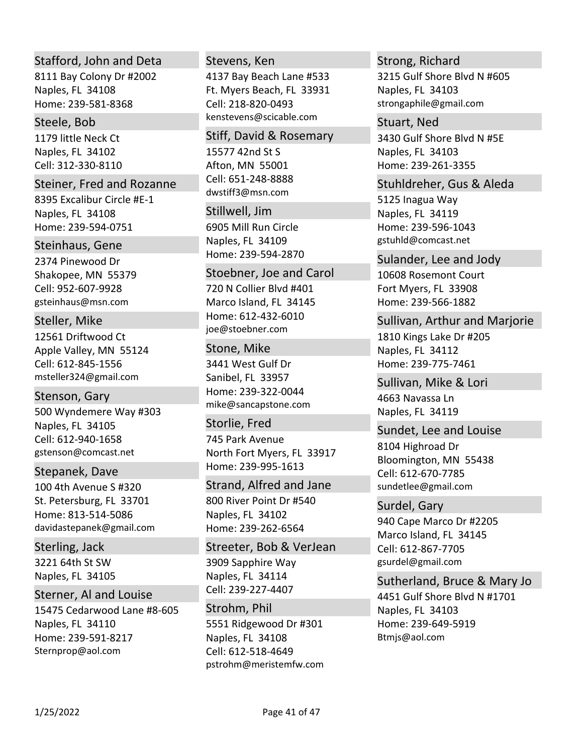# Stafford, John and Deta

8111 Bay Colony Dr #2002 Naples, FL 34108 Home: 239‐581‐8368

### Steele, Bob

1179 little Neck Ct Naples, FL 34102 Cell: 312‐330‐8110

### Steiner, Fred and Rozanne

8395 Excalibur Circle #E‐1 Naples, FL 34108 Home: 239‐594‐0751

# Steinhaus, Gene

2374 Pinewood Dr Shakopee, MN 55379 gsteinhaus@msn.com Cell: 952‐607‐9928

# Steller, Mike

12561 Driftwood Ct Apple Valley, MN 55124 msteller324@gmail.com Cell: 612‐845‐1556

500 Wyndemere Way #303 Naples, FL 34105 gstenson@comcast.net Stenson, Gary Cell: 612‐940‐1658

# Stepanek, Dave

100 4th Avenue S #320 St. Petersburg, FL 33701 Home: 813‐514‐5086 davidastepanek@gmail.com

3221 64th St SW Naples, FL 34105 Sterling, Jack

# Sterner, Al and Louise

15475 Cedarwood Lane #8‐605 Naples, FL 34110 Home: 239‐591‐8217 Sternprop@aol.com

### Stevens, Ken

4137 Bay Beach Lane #533 Ft. Myers Beach, FL 33931 kenstevens@scicable.com Cell: 218‐820‐0493

# Stiff, David & Rosemary

15577 42nd St S Afton, MN 55001 dwstiff3@msn.com Cell: 651‐248‐8888

# Stillwell, Jim

6905 Mill Run Circle Naples, FL 34109 Home: 239‐594‐2870

### Stoebner, Joe and Carol

720 N Collier Blvd #401 Marco Island, FL 34145 Home: 612‐432‐6010 joe@stoebner.com

# 3441 West Gulf Dr Sanibel, FL 33957 Home: 239‐322‐0044 mike@sancapstone.com Stone, Mike

# 745 Park Avenue North Fort Myers, FL 33917 Home: 239‐995‐1613 Storlie, Fred

800 River Point Dr #540 Naples, FL 34102 Home: 239‐262‐6564 Strand, Alfred and Jane

3909 Sapphire Way Naples, FL 34114 Streeter, Bob & VerJean Cell: 239‐227‐4407

# 5551 Ridgewood Dr #301 Naples, FL 34108 pstrohm@meristemfw.com Strohm, Phil Cell: 612‐518‐4649

# Strong, Richard

3215 Gulf Shore Blvd N #605 Naples, FL 34103 strongaphile@gmail.com

# Stuart, Ned

3430 Gulf Shore Blvd N #5E Naples, FL 34103 Home: 239‐261‐3355

# Stuhldreher, Gus & Aleda

5125 Inagua Way Naples, FL 34119 Home: 239‐596‐1043 gstuhld@comcast.net

# 10608 Rosemont Court Fort Myers, FL 33908 Home: 239‐566‐1882 Sulander, Lee and Jody

# Sullivan, Arthur and Marjorie

1810 Kings Lake Dr #205 Naples, FL 34112 Home: 239‐775‐7461

4663 Navassa Ln Naples, FL 34119 Sullivan, Mike & Lori

# Sundet, Lee and Louise

8104 Highroad Dr Bloomington, MN 55438 sundetlee@gmail.com Cell: 612‐670‐7785

# 940 Cape Marco Dr #2205 Marco Island, FL 34145 gsurdel@gmail.com Surdel, Gary Cell: 612‐867‐7705

4451 Gulf Shore Blvd N #1701 Naples, FL 34103 Home: 239‐649‐5919 Btmjs@aol.com Sutherland, Bruce & Mary Jo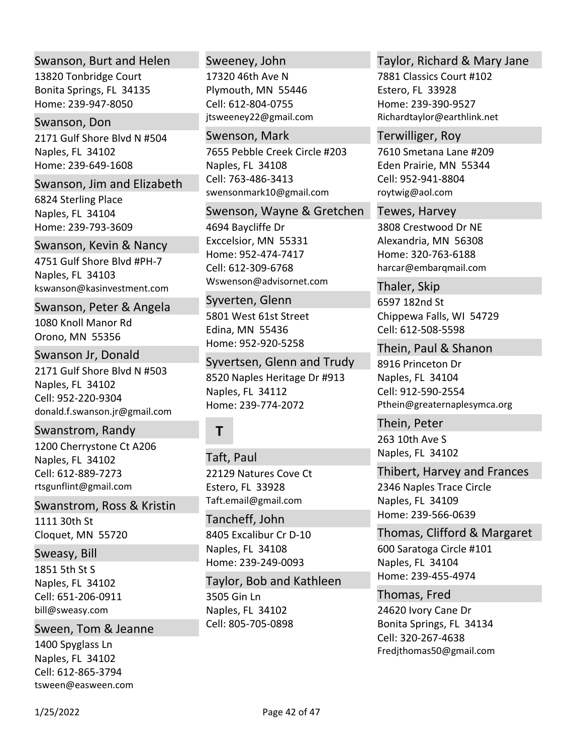## Swanson, Burt and Helen

13820 Tonbridge Court Bonita Springs, FL 34135 Home: 239‐947‐8050

### Swanson, Don

2171 Gulf Shore Blvd N #504 Naples, FL 34102 Home: 239‐649‐1608

### Swanson, Jim and Elizabeth

6824 Sterling Place Naples, FL 34104 Home: 239‐793‐3609

### Swanson, Kevin & Nancy

4751 Gulf Shore Blvd #PH‐7 Naples, FL 34103 kswanson@kasinvestment.com

### Swanson, Peter & Angela

1080 Knoll Manor Rd Orono, MN 55356

### Swanson Jr, Donald

2171 Gulf Shore Blvd N #503 Naples, FL 34102 donald.f.swanson.jr@gmail.com Cell: 952‐220‐9304

# Swanstrom, Randy

1200 Cherrystone Ct A206 Naples, FL 34102 rtsgunflint@gmail.com Cell: 612‐889‐7273

### Swanstrom, Ross & Kristin

1111 30th St Cloquet, MN 55720

# Sweasy, Bill

1851 5th St S Naples, FL 34102 bill@sweasy.com Cell: 651‐206‐0911

# Sween, Tom & Jeanne

1400 Spyglass Ln Naples, FL 34102 tsween@easween.com Cell: 612‐865‐3794

### Sweeney, John

17320 46th Ave N Plymouth, MN 55446 jtsweeney22@gmail.com Cell: 612‐804‐0755

### Swenson, Mark

7655 Pebble Creek Circle #203 Naples, FL 34108 swensonmark10@gmail.com Cell: 763‐486‐3413

#### Swenson, Wayne & Gretchen

4694 Baycliffe Dr Exccelsior, MN 55331 Home: 952‐474‐7417 Wswenson@advisornet.com Cell: 612‐309‐6768

# Syverten, Glenn

5801 West 61st Street Edina, MN 55436 Home: 952‐920‐5258

8520 Naples Heritage Dr #913 Naples, FL 34112 Home: 239‐774‐2072 Syvertsen, Glenn and Trudy

# **T**

22129 Natures Cove Ct Estero, FL 33928 Taft.email@gmail.com Taft, Paul

8405 Excalibur Cr D‐10 Naples, FL 34108 Home: 239‐249‐0093 Tancheff, John

3505 Gin Ln Naples, FL 34102 Taylor, Bob and Kathleen Cell: 805‐705‐0898

# Taylor, Richard & Mary Jane

7881 Classics Court #102 Estero, FL 33928 Home: 239‐390‐9527 Richardtaylor@earthlink.net

# Terwilliger, Roy

7610 Smetana Lane #209 Eden Prairie, MN 55344 roytwig@aol.com Cell: 952‐941‐8804

# 3808 Crestwood Dr NE Alexandria, MN 56308 Home: 320‐763‐6188 harcar@embarqmail.com Tewes, Harvey

6597 182nd St Chippewa Falls, WI 54729 Thaler, Skip Cell: 612‐508‐5598

# 8916 Princeton Dr Naples, FL 34104 Pthein@greaternaplesymca.org Thein, Paul & Shanon Cell: 912‐590‐2554

263 10th Ave S Naples, FL 34102 Thein, Peter

# Thibert, Harvey and Frances

2346 Naples Trace Circle Naples, FL 34109 Home: 239‐566‐0639

# 600 Saratoga Circle #101 Thomas, Clifford & Margaret

Naples, FL 34104 Home: 239‐455‐4974

# 24620 Ivory Cane Dr Bonita Springs, FL 34134 Fredjthomas50@gmail.com Thomas, Fred Cell: 320‐267‐4638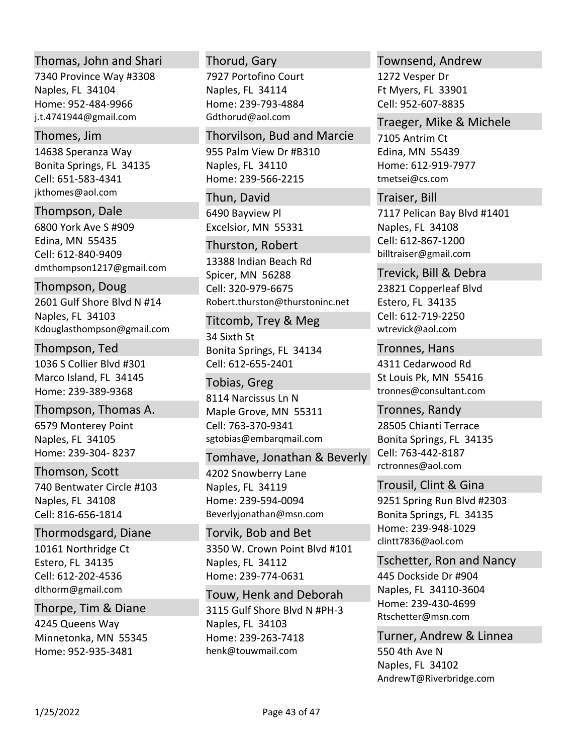# Thomas, John and Shari

7340 Province Way #3308 Naples, FL 34104 Home: 952‐484‐9966 j.t.4741944@gmail.com

### Thomes, Jim

14638 Speranza Way Bonita Springs, FL 34135 jkthomes@aol.com Cell: 651‐583‐4341

Thompson, Dale

6800 York Ave S #909 Edina, MN 55435 dmthompson1217@gmail.com Cell: 612‐840‐9409

Thompson, Doug

2601 Gulf Shore Blvd N #14 Naples, FL 34103 Kdouglasthompson@gmail.com

1036 S Collier Blvd #301 Marco Island, FL 34145 Home: 239‐389‐9368 Thompson, Ted

6579 Monterey Point Naples, FL 34105 Home: 239‐304‐ 8237 Thompson, Thomas A.

740 Bentwater Circle #103 Thomson, Scott

Naples, FL 34108 Cell: 816‐656‐1814

10161 Northridge Ct Estero, FL 34135 dlthorm@gmail.com Thormodsgard, Diane Cell: 612‐202‐4536

4245 Queens Way Minnetonka, MN 55345 Home: 952‐935‐3481 Thorpe, Tim & Diane

Thorud, Gary

7927 Portofino Court Naples, FL 34114 Home: 239‐793‐4884 Gdthorud@aol.com

955 Palm View Dr #B310 Naples, FL 34110 Home: 239‐566‐2215 Thorvilson, Bud and Marcie

6490 Bayview Pl Excelsior, MN 55331 Thun, David

13388 Indian Beach Rd Spicer, MN 56288 Robert.thurston@thurstoninc.net Thurston, Robert Cell: 320‐979‐6675

34 Sixth St Bonita Springs, FL 34134 Titcomb, Trey & Meg Cell: 612‐655‐2401

8114 Narcissus Ln N Maple Grove, MN 55311 sgtobias@embarqmail.com Tobias, Greg Cell: 763‐370‐9341

4202 Snowberry Lane Naples, FL 34119 Home: 239‐594‐0094 Beverlyjonathan@msn.com Tomhave, Jonathan & Beverly

3350 W. Crown Point Blvd #101 Naples, FL 34112 Home: 239‐774‐0631 Torvik, Bob and Bet

3115 Gulf Shore Blvd N #PH‐3 Naples, FL 34103 Home: 239‐263‐7418 henk@touwmail.com Touw, Henk and Deborah Townsend, Andrew

1272 Vesper Dr Ft Myers, FL 33901 Cell: 952‐607‐8835

Traeger, Mike & Michele

7105 Antrim Ct Edina, MN 55439 Home: 612‐919‐7977 tmetsei@cs.com

7117 Pelican Bay Blvd #1401 Naples, FL 34108 billtraiser@gmail.com Traiser, Bill Cell: 612‐867‐1200

23821 Copperleaf Blvd Estero, FL 34135 wtrevick@aol.com Trevick, Bill & Debra Cell: 612‐719‐2250

4311 Cedarwood Rd St Louis Pk, MN 55416 tronnes@consultant.com Tronnes, Hans

28505 Chianti Terrace Bonita Springs, FL 34135 rctronnes@aol.com Tronnes, Randy Cell: 763‐442‐8187

9251 Spring Run Blvd #2303 Bonita Springs, FL 34135 Home: 239‐948‐1029 clintt7836@aol.com Trousil, Clint & Gina

445 Dockside Dr #904 Naples, FL 34110‐3604 Home: 239‐430‐4699 Rtschetter@msn.com Tschetter, Ron and Nancy

550 4th Ave N Naples, FL 34102 AndrewT@Riverbridge.com Turner, Andrew & Linnea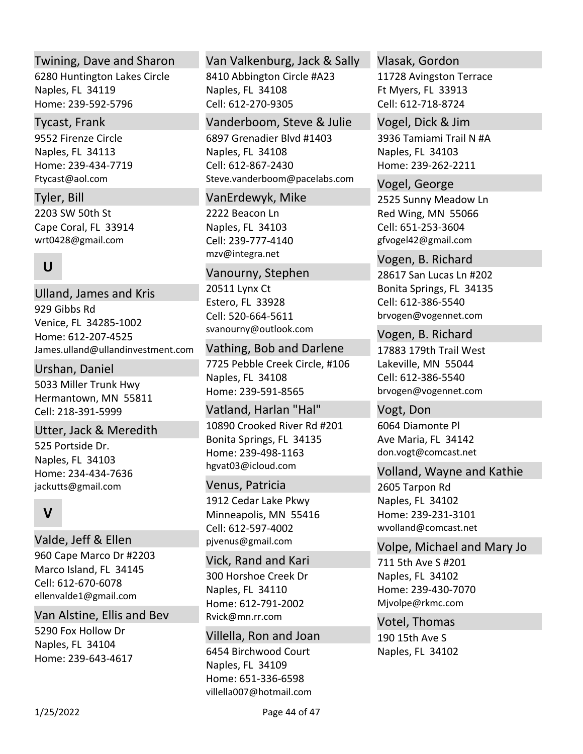# Twining, Dave and Sharon

6280 Huntington Lakes Circle Naples, FL 34119 Home: 239‐592‐5796

### Tycast, Frank

9552 Firenze Circle Naples, FL 34113 Home: 239‐434‐7719 Ftycast@aol.com

2203 SW 50th St Cape Coral, FL 33914 wrt0428@gmail.com Tyler, Bill

# **U**

929 Gibbs Rd Venice, FL 34285‐1002 Home: 612‐207‐4525 James.ulland@ullandinvestment.com Ulland, James and Kris

# Urshan, Daniel

5033 Miller Trunk Hwy Hermantown, MN 55811 Cell: 218‐391‐5999

# Utter, Jack & Meredith

525 Portside Dr. Naples, FL 34103 Home: 234‐434‐7636 jackutts@gmail.com

# **V**

960 Cape Marco Dr #2203 Marco Island, FL 34145 ellenvalde1@gmail.com Valde, Jeff & Ellen Cell: 612‐670‐6078

# Van Alstine, Ellis and Bev

5290 Fox Hollow Dr Naples, FL 34104 Home: 239‐643‐4617

# Van Valkenburg, Jack & Sally

8410 Abbington Circle #A23 Naples, FL 34108 Cell: 612‐270‐9305

# Vanderboom, Steve & Julie

6897 Grenadier Blvd #1403 Naples, FL 34108 Steve.vanderboom@pacelabs.com Cell: 612‐867‐2430

### VanErdewyk, Mike

2222 Beacon Ln Naples, FL 34103 mzv@integra.net Cell: 239‐777‐4140

# Vanourny, Stephen

20511 Lynx Ct Estero, FL 33928 svanourny@outlook.com Cell: 520‐664‐5611

7725 Pebble Creek Circle, #106 Naples, FL 34108 Home: 239‐591‐8565 Vathing, Bob and Darlene

10890 Crooked River Rd #201 Bonita Springs, FL 34135 Home: 239‐498‐1163 hgvat03@icloud.com Vatland, Harlan "Hal"

# Venus, Patricia

1912 Cedar Lake Pkwy Minneapolis, MN 55416 pjvenus@gmail.com Cell: 612‐597‐4002

300 Horshoe Creek Dr Naples, FL 34110 Home: 612‐791‐2002 Rvick@mn.rr.com Vick, Rand and Kari

6454 Birchwood Court Naples, FL 34109 Home: 651‐336‐6598 villella007@hotmail.com Villella, Ron and Joan

### Vlasak, Gordon

11728 Avingston Terrace Ft Myers, FL 33913 Cell: 612‐718‐8724

# Vogel, Dick & Jim

3936 Tamiami Trail N #A Naples, FL 34103 Home: 239‐262‐2211

2525 Sunny Meadow Ln Red Wing, MN 55066 gfvogel42@gmail.com Vogel, George Cell: 651‐253‐3604

28617 San Lucas Ln #202 Bonita Springs, FL 34135 brvogen@vogennet.com Vogen, B. Richard Cell: 612‐386‐5540

# Vogen, B. Richard

17883 179th Trail West Lakeville, MN 55044 brvogen@vogennet.com Cell: 612‐386‐5540

6064 Diamonte Pl Ave Maria, FL 34142 don.vogt@comcast.net Vogt, Don

# Volland, Wayne and Kathie

2605 Tarpon Rd Naples, FL 34102 Home: 239‐231‐3101 wvolland@comcast.net

# Volpe, Michael and Mary Jo

711 5th Ave S #201 Naples, FL 34102 Home: 239‐430‐7070 Mjvolpe@rkmc.com

190 15th Ave S Naples, FL 34102 Votel, Thomas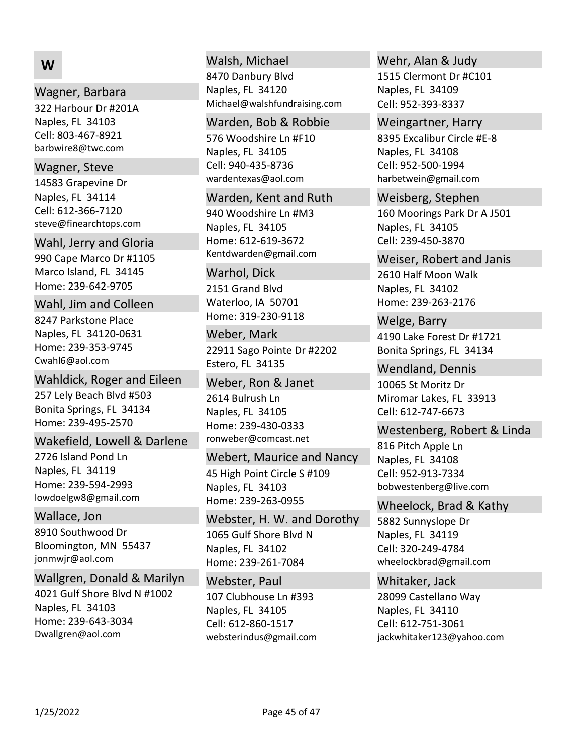# **W**

### Wagner, Barbara

322 Harbour Dr #201A Naples, FL 34103 barbwire8@twc.com Cell: 803‐467‐8921

### Wagner, Steve

14583 Grapevine Dr Naples, FL 34114 steve@finearchtops.com Cell: 612‐366‐7120

#### Wahl, Jerry and Gloria

990 Cape Marco Dr #1105 Marco Island, FL 34145 Home: 239‐642‐9705

### Wahl, Jim and Colleen

8247 Parkstone Place Naples, FL 34120‐0631 Home: 239‐353‐9745 Cwahl6@aol.com

#### Wahldick, Roger and Eileen

257 Lely Beach Blvd #503 Bonita Springs, FL 34134 Home: 239‐495‐2570

#### Wakefield, Lowell & Darlene

2726 Island Pond Ln Naples, FL 34119 Home: 239‐594‐2993 lowdoelgw8@gmail.com

### Wallace, Jon

8910 Southwood Dr Bloomington, MN 55437 jonmwjr@aol.com

4021 Gulf Shore Blvd N #1002 Naples, FL 34103 Home: 239‐643‐3034 Dwallgren@aol.com Wallgren, Donald & Marilyn

### Walsh, Michael

8470 Danbury Blvd Naples, FL 34120 Michael@walshfundraising.com

### Warden, Bob & Robbie

576 Woodshire Ln #F10 Naples, FL 34105 wardentexas@aol.com Cell: 940‐435‐8736

#### Warden, Kent and Ruth

940 Woodshire Ln #M3 Naples, FL 34105 Home: 612‐619‐3672 Kentdwarden@gmail.com

#### Warhol, Dick

2151 Grand Blvd Waterloo, IA 50701 Home: 319‐230‐9118

22911 Sago Pointe Dr #2202 Estero, FL 34135 Weber, Mark

2614 Bulrush Ln Naples, FL 34105 Home: 239‐430‐0333 ronweber@comcast.net Weber, Ron & Janet

45 High Point Circle S #109 Naples, FL 34103 Home: 239‐263‐0955 Webert, Maurice and Nancy

1065 Gulf Shore Blvd N Naples, FL 34102 Webster, H. W. and Dorothy

Home: 239‐261‐7084 107 Clubhouse Ln #393 Naples, FL 34105 websterindus@gmail.com Webster, Paul Cell: 612‐860‐1517

# Wehr, Alan & Judy

1515 Clermont Dr #C101 Naples, FL 34109 Cell: 952‐393‐8337

#### Weingartner, Harry

8395 Excalibur Circle #E‐8 Naples, FL 34108 harbetwein@gmail.com Cell: 952‐500‐1994

160 Moorings Park Dr A J501 Naples, FL 34105 Weisberg, Stephen Cell: 239‐450‐3870

2610 Half Moon Walk Naples, FL 34102 Home: 239‐263‐2176 Weiser, Robert and Janis

4190 Lake Forest Dr #1721 Bonita Springs, FL 34134 Welge, Barry

10065 St Moritz Dr Miromar Lakes, FL 33913 Wendland, Dennis Cell: 612‐747‐6673

### Westenberg, Robert & Linda

816 Pitch Apple Ln Naples, FL 34108 bobwestenberg@live.com Cell: 952‐913‐7334

#### Wheelock, Brad & Kathy

5882 Sunnyslope Dr Naples, FL 34119 wheelockbrad@gmail.com Cell: 320‐249‐4784

# Whitaker, Jack

28099 Castellano Way Naples, FL 34110 jackwhitaker123@yahoo.com Cell: 612‐751‐3061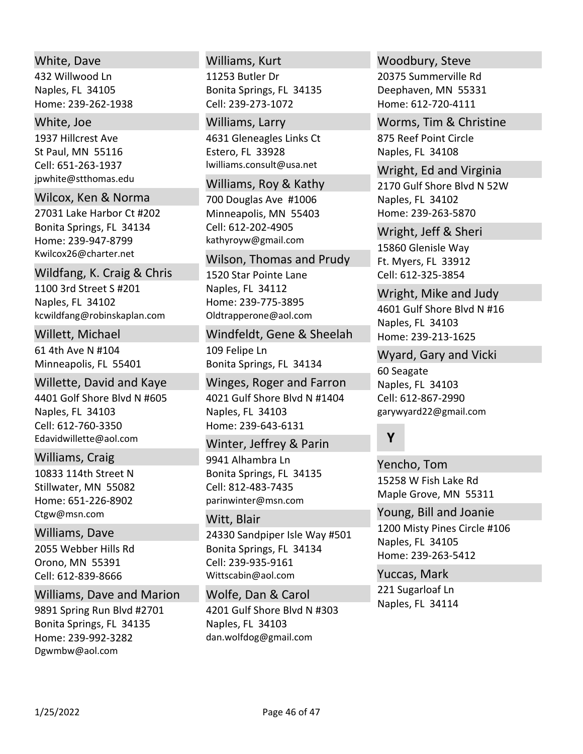## White, Dave

432 Willwood Ln Naples, FL 34105 Home: 239‐262‐1938

#### White, Joe

1937 Hillcrest Ave St Paul, MN 55116 jpwhite@stthomas.edu Cell: 651‐263‐1937

#### Wilcox, Ken & Norma

27031 Lake Harbor Ct #202 Bonita Springs, FL 34134 Home: 239‐947‐8799 Kwilcox26@charter.net

#### Wildfang, K. Craig & Chris

1100 3rd Street S #201 Naples, FL 34102 kcwildfang@robinskaplan.com

#### Willett, Michael

61 4th Ave N #104 Minneapolis, FL 55401

### Willette, David and Kaye

4401 Golf Shore Blvd N #605 Naples, FL 34103 Edavidwillette@aol.com Cell: 612‐760‐3350

#### Williams, Craig

10833 114th Street N Stillwater, MN 55082 Home: 651‐226‐8902 Ctgw@msn.com

# 2055 Webber Hills Rd Williams, Dave

Orono, MN 55391 Cell: 612‐839‐8666

# Williams, Dave and Marion

9891 Spring Run Blvd #2701 Bonita Springs, FL 34135 Home: 239‐992‐3282 Dgwmbw@aol.com

### Williams, Kurt

11253 Butler Dr Bonita Springs, FL 34135 Cell: 239‐273‐1072

### Williams, Larry

4631 Gleneagles Links Ct Estero, FL 33928 lwilliams.consult@usa.net

#### Williams, Roy & Kathy

700 Douglas Ave #1006 Minneapolis, MN 55403 kathyroyw@gmail.com Cell: 612‐202‐4905

#### Wilson, Thomas and Prudy

1520 Star Pointe Lane Naples, FL 34112 Home: 239‐775‐3895 Oldtrapperone@aol.com

# 109 Felipe Ln Bonita Springs, FL 34134 Windfeldt, Gene & Sheelah

4021 Gulf Shore Blvd N #1404 Naples, FL 34103 Home: 239‐643‐6131 Winges, Roger and Farron

# 9941 Alhambra Ln Bonita Springs, FL 34135 parinwinter@msn.com Winter, Jeffrey & Parin Cell: 812‐483‐7435

# 24330 Sandpiper Isle Way #501 Bonita Springs, FL 34134 Wittscabin@aol.com Witt, Blair Cell: 239‐935‐9161

4201 Gulf Shore Blvd N #303 Naples, FL 34103 dan.wolfdog@gmail.com Wolfe, Dan & Carol

#### Woodbury, Steve

20375 Summerville Rd Deephaven, MN 55331 Home: 612‐720‐4111

# Worms, Tim & Christine

875 Reef Point Circle Naples, FL 34108

# 2170 Gulf Shore Blvd N 52W Naples, FL 34102 Home: 239‐263‐5870 Wright, Ed and Virginia

15860 Glenisle Way Ft. Myers, FL 33912 Wright, Jeff & Sheri Cell: 612‐325‐3854

# 4601 Gulf Shore Blvd N #16 Naples, FL 34103 Home: 239‐213‐1625 Wright, Mike and Judy

# Wyard, Gary and Vicki

60 Seagate Naples, FL 34103 garywyard22@gmail.com Cell: 612‐867‐2990

# **Y**

15258 W Fish Lake Rd Maple Grove, MN 55311 Yencho, Tom

# 1200 Misty Pines Circle #106 Naples, FL 34105 Home: 239‐263‐5412 Young, Bill and Joanie

221 Sugarloaf Ln Naples, FL 34114 Yuccas, Mark